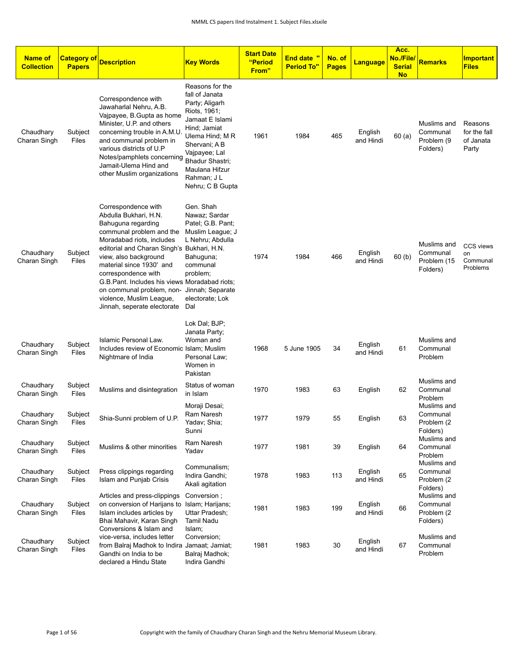| <b>Name of</b><br><b>Collection</b> | <b>Category of</b><br><b>Papers</b> | <b>Description</b>                                                                                                                                                                                                                                                                                                                                                                              | <b>Key Words</b>                                                                                                                                                                                                                    | <b>Start Date</b><br>"Period<br>From" | <b>End date</b> "<br><b>Period To"</b> | No. of<br><b>Pages</b> | <b>Language</b>      | Acc.<br>No./File/<br><b>Serial</b><br><b>No</b> | Remarks                                            | <b>Important</b><br><b>Files</b>               |
|-------------------------------------|-------------------------------------|-------------------------------------------------------------------------------------------------------------------------------------------------------------------------------------------------------------------------------------------------------------------------------------------------------------------------------------------------------------------------------------------------|-------------------------------------------------------------------------------------------------------------------------------------------------------------------------------------------------------------------------------------|---------------------------------------|----------------------------------------|------------------------|----------------------|-------------------------------------------------|----------------------------------------------------|------------------------------------------------|
| Chaudhary<br>Charan Singh           | Subject<br>Files                    | Correspondence with<br>Jawaharlal Nehru, A.B.<br>Vajpayee, B.Gupta as home<br>Minister, U.P. and others<br>concerning trouble in A.M.U<br>and communal problem in<br>various districts of U.P<br>Notes/pamphlets concerning<br>Jamait-Ulema Hind and<br>other Muslim organizations                                                                                                              | Reasons for the<br>fall of Janata<br>Party; Aligarh<br>Riots, 1961;<br>Jamaat E Islami<br>Hind; Jamiat<br>Ulema Hind; M R<br>Shervani; A B<br>Vajpayee; Lal<br>Bhadur Shastri;<br>Maulana Hifzur<br>Rahman; J L<br>Nehru; C B Gupta | 1961                                  | 1984                                   | 465                    | English<br>and Hindi | 60(a)                                           | Muslims and<br>Communal<br>Problem (9<br>Folders)  | Reasons<br>for the fall<br>of Janata<br>Party  |
| Chaudhary<br>Charan Singh           | Subject<br>Files                    | Correspondence with<br>Abdulla Bukhari, H.N.<br>Bahuguna regarding<br>communal problem and the<br>Moradabad riots, includes<br>editorial and Charan Singh's Bukhari, H.N.<br>view, also background<br>material since 1930' and<br>correspondence with<br>G.B. Pant. Includes his views Moradabad riots;<br>on communal problem, non-<br>violence, Muslim League,<br>Jinnah, seperate electorate | Gen. Shah<br>Nawaz; Sardar<br>Patel; G.B. Pant;<br>Muslim League; J<br>L Nehru; Abdulla<br>Bahuguna;<br>communal<br>problem;<br>Jinnah; Separate<br>electorate; Lok<br>Dal                                                          | 1974                                  | 1984                                   | 466                    | English<br>and Hindi | 60(b)                                           | Muslims and<br>Communal<br>Problem (15<br>Folders) | <b>CCS views</b><br>on<br>Communal<br>Problems |
| Chaudhary<br>Charan Singh           | Subject<br>Files                    | Islamic Personal Law.<br>Includes review of Economic Islam; Muslim<br>Nightmare of India                                                                                                                                                                                                                                                                                                        | Lok Dal; BJP;<br>Janata Party;<br>Woman and<br>Personal Law;<br>Women in<br>Pakistan                                                                                                                                                | 1968                                  | 5 June 1905                            | 34                     | English<br>and Hindi | 61                                              | Muslims and<br>Communal<br>Problem                 |                                                |
| Chaudhary<br>Charan Singh           | Subject<br>Files                    | Muslims and disintegration                                                                                                                                                                                                                                                                                                                                                                      | Status of woman<br>in Islam                                                                                                                                                                                                         | 1970                                  | 1983                                   | 63                     | English              | 62                                              | Muslims and<br>Communal<br>Problem                 |                                                |
| Chaudhary<br>Charan Singh           | Subject<br>Files                    | Shia-Sunni problem of U.P.                                                                                                                                                                                                                                                                                                                                                                      | Moraji Desai;<br>Ram Naresh<br>Yadav; Shia;<br>Sunni                                                                                                                                                                                | 1977                                  | 1979                                   | 55                     | English              | 63                                              | Muslims and<br>Communal<br>Problem (2)<br>Folders) |                                                |
| Chaudhary<br>Charan Singh           | Subject<br>Files                    | Muslims & other minorities                                                                                                                                                                                                                                                                                                                                                                      | Ram Naresh<br>Yadav                                                                                                                                                                                                                 | 1977                                  | 1981                                   | 39                     | English              | 64                                              | Muslims and<br>Communal<br>Problem                 |                                                |
| Chaudhary<br>Charan Singh           | Subject<br>Files                    | Press clippings regarding<br>Islam and Punjab Crisis                                                                                                                                                                                                                                                                                                                                            | Communalism;<br>Indira Gandhi;<br>Akali agitation                                                                                                                                                                                   | 1978                                  | 1983                                   | 113                    | English<br>and Hindi | 65                                              | Muslims and<br>Communal<br>Problem (2<br>Folders)  |                                                |
| Chaudhary<br>Charan Singh           | Subject<br>Files                    | Articles and press-clippings<br>on conversion of Harijans to Islam; Harijans;<br>Islam includes articles by<br>Bhai Mahavir, Karan Singh<br>Conversions & Islam and                                                                                                                                                                                                                             | Conversion;<br>Uttar Pradesh;<br>Tamil Nadu                                                                                                                                                                                         | 1981                                  | 1983                                   | 199                    | English<br>and Hindi | 66                                              | Muslims and<br>Communal<br>Problem (2)<br>Folders) |                                                |
| Chaudhary<br>Charan Singh           | Subject<br>Files                    | vice-versa, includes letter<br>from Balraj Madhok to Indira Jamaat; Jamiat;<br>Gandhi on India to be<br>declared a Hindu State                                                                                                                                                                                                                                                                  | Islam;<br>Conversion;<br>Balraj Madhok;<br>Indira Gandhi                                                                                                                                                                            | 1981                                  | 1983                                   | 30                     | English<br>and Hindi | 67                                              | Muslims and<br>Communal<br>Problem                 |                                                |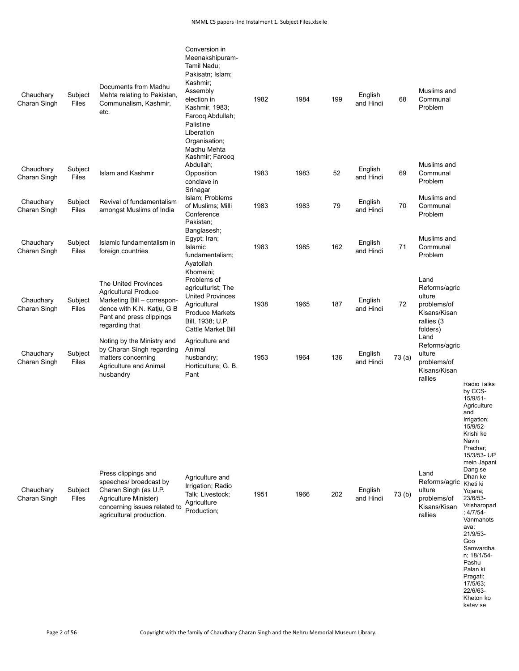| Chaudhary<br>Charan Singh | Subject<br>Files | Documents from Madhu<br>Mehta relating to Pakistan,<br>Communalism, Kashmir,<br>etc.                                                                           | Conversion in<br>Meenakshipuram-<br>Tamil Nadu:<br>Pakisatn; Islam;<br>Kashmir;<br>Assembly<br>election in<br>Kashmir, 1983;<br>Farooq Abdullah;<br>Palistine<br>Liberation<br>Organisation;<br>Madhu Mehta<br>Kashmir; Farooq | 1982 | 1984 | 199 | English<br>and Hindi | 68    | Muslims and<br>Communal<br>Problem                                                       |                                                                                                                                                                                                                                                                                                                                                                                |
|---------------------------|------------------|----------------------------------------------------------------------------------------------------------------------------------------------------------------|--------------------------------------------------------------------------------------------------------------------------------------------------------------------------------------------------------------------------------|------|------|-----|----------------------|-------|------------------------------------------------------------------------------------------|--------------------------------------------------------------------------------------------------------------------------------------------------------------------------------------------------------------------------------------------------------------------------------------------------------------------------------------------------------------------------------|
| Chaudhary<br>Charan Singh | Subject<br>Files | Islam and Kashmir                                                                                                                                              | Abdullah;<br>Opposition<br>conclave in<br>Srinagar                                                                                                                                                                             | 1983 | 1983 | 52  | English<br>and Hindi | 69    | Muslims and<br>Communal<br>Problem                                                       |                                                                                                                                                                                                                                                                                                                                                                                |
| Chaudhary<br>Charan Singh | Subject<br>Files | Revival of fundamentalism<br>amongst Muslims of India                                                                                                          | Islam; Problems<br>of Muslims; Milli<br>Conference<br>Pakistan;                                                                                                                                                                | 1983 | 1983 | 79  | English<br>and Hindi | 70    | Muslims and<br>Communal<br>Problem                                                       |                                                                                                                                                                                                                                                                                                                                                                                |
| Chaudhary<br>Charan Singh | Subject<br>Files | Islamic fundamentalism in<br>foreign countries                                                                                                                 | Banglasesh;<br>Egypt; Iran;<br>Islamic<br>fundamentalism;<br>Ayatollah                                                                                                                                                         | 1983 | 1985 | 162 | English<br>and Hindi | 71    | Muslims and<br>Communal<br>Problem                                                       |                                                                                                                                                                                                                                                                                                                                                                                |
| Chaudhary<br>Charan Singh | Subject<br>Files | The United Provinces<br><b>Agricultural Produce</b><br>Marketing Bill - correspon-<br>dence with K.N. Katju, G B<br>Pant and press clippings<br>regarding that | Khomeini:<br>Problems of<br>agriculturist; The<br><b>United Provinces</b><br>Agricultural<br><b>Produce Markets</b><br>Bill, 1938; U.P.<br>Cattle Market Bill                                                                  | 1938 | 1965 | 187 | English<br>and Hindi | 72    | Land<br>Reforms/agric<br>ulture<br>problems/of<br>Kisans/Kisan<br>rallies (3<br>folders) |                                                                                                                                                                                                                                                                                                                                                                                |
| Chaudhary<br>Charan Singh | Subject<br>Files | Noting by the Ministry and<br>by Charan Singh regarding<br>matters concerning<br>Agriculture and Animal<br>husbandry                                           | Agriculture and<br>Animal<br>husbandry;<br>Horticulture; G. B.<br>Pant                                                                                                                                                         | 1953 | 1964 | 136 | English<br>and Hindi | 73(a) | Land<br>Reforms/agric<br>ulture<br>problems/of<br>Kisans/Kisan<br>rallies                |                                                                                                                                                                                                                                                                                                                                                                                |
| Chaudhary<br>Charan Singh | Subject<br>Files | Press clippings and<br>speeches/ broadcast by<br>Charan Singh (as U.P.<br>Agriculture Minister)<br>concerning issues related to<br>agricultural production.    | Agriculture and<br>Irrigation; Radio<br>Talk; Livestock;<br>Agriculture<br>Production;                                                                                                                                         | 1951 | 1966 | 202 | English<br>and Hindi | 73(b) | Land<br>Reforms/agric<br>ulture<br>problems/of<br>Kisans/Kisan<br>rallies                | <b>Radio lalks</b><br>by CCS-<br>15/9/51-<br>Agriculture<br>and<br>Irrigation;<br>15/9/52-<br>Krishi ke<br>Navin<br>Prachar;<br>15/3/53- UP<br>mein Japani<br>Dang se<br>Dhan ke<br>Kheti ki<br>Yojana;<br>23/6/53-<br>Vrisharopad<br>$: 4/7/54-$<br>Vanmahots<br>ava;<br>21/9/53-<br>Goo<br>Samvardha<br>n; 18/1/54-<br>Pashu<br>Palan ki<br>Pragati;<br>17/5/63;<br>22/6/63- |

Kheton ko katav se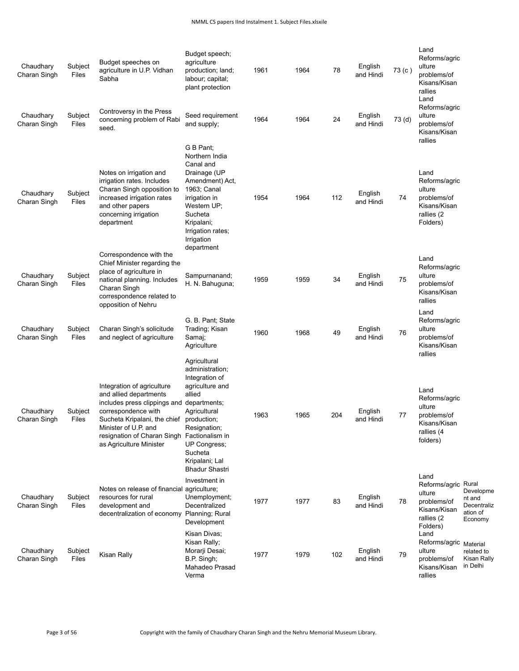| Chaudhary<br>Charan Singh | Subject<br>Files | Budget speeches on<br>agriculture in U.P. Vidhan<br>Sabha                                                                                                                                                                     | Budget speech;<br>agriculture<br>production; land;<br>labour; capital;<br>plant protection                                                                                                                                             | 1961 | 1964 | 78  | English<br>and Hindi | 73 (c)            | Land<br>Reforms/agric<br>ulture<br>problems/of<br>Kisans/Kisan<br>rallies<br>Land              |                                                           |
|---------------------------|------------------|-------------------------------------------------------------------------------------------------------------------------------------------------------------------------------------------------------------------------------|----------------------------------------------------------------------------------------------------------------------------------------------------------------------------------------------------------------------------------------|------|------|-----|----------------------|-------------------|------------------------------------------------------------------------------------------------|-----------------------------------------------------------|
| Chaudhary<br>Charan Singh | Subject<br>Files | Controversy in the Press<br>concerning problem of Rabi<br>seed.                                                                                                                                                               | Seed requirement<br>and supply;                                                                                                                                                                                                        | 1964 | 1964 | 24  | English<br>and Hindi | 73 <sub>(d)</sub> | Reforms/agric<br>ulture<br>problems/of<br>Kisans/Kisan<br>rallies                              |                                                           |
| Chaudhary<br>Charan Singh | Subject<br>Files | Notes on irrigation and<br>irrigation rates. Includes<br>Charan Singh opposition to<br>increased irrigation rates<br>and other papers<br>concerning irrigation<br>department                                                  | G B Pant;<br>Northern India<br>Canal and<br>Drainage (UP<br>Amendment) Act,<br>1963; Canal<br>irrigation in<br>Western UP;<br>Sucheta<br>Kripalani;<br>Irrigation rates;<br>Irrigation<br>department                                   | 1954 | 1964 | 112 | English<br>and Hindi | 74                | Land<br>Reforms/agric<br>ulture<br>problems/of<br>Kisans/Kisan<br>rallies (2<br>Folders)       |                                                           |
| Chaudhary<br>Charan Singh | Subject<br>Files | Correspondence with the<br>Chief Minister regarding the<br>place of agriculture in<br>national planning. Includes<br>Charan Singh<br>correspondence related to<br>opposition of Nehru                                         | Sampurnanand;<br>H. N. Bahuguna;                                                                                                                                                                                                       | 1959 | 1959 | 34  | English<br>and Hindi | 75                | Land<br>Reforms/agric<br>ulture<br>problems/of<br>Kisans/Kisan<br>rallies                      |                                                           |
| Chaudhary<br>Charan Singh | Subject<br>Files | Charan Singh's solicitude<br>and neglect of agriculture                                                                                                                                                                       | G. B. Pant; State<br>Trading; Kisan<br>Samaj;<br>Agriculture                                                                                                                                                                           | 1960 | 1968 | 49  | English<br>and Hindi | 76                | Land<br>Reforms/agric<br>ulture<br>problems/of<br>Kisans/Kisan<br>rallies                      |                                                           |
| Chaudhary<br>Charan Singh | Subject<br>Files | Integration of agriculture<br>and allied departments<br>includes press clippings and<br>correspondence with<br>Sucheta Kripalani, the chief<br>Minister of U.P. and<br>resignation of Charan Singh<br>as Agriculture Minister | Agricultural<br>administration;<br>Integration of<br>agriculture and<br>allied<br>departments;<br>Agricultural<br>production;<br>Resignation;<br>Factionalism in<br>UP Congress;<br>Sucheta<br>Kripalani; Lal<br><b>Bhadur Shastri</b> | 1963 | 1965 | 204 | English<br>and Hindi | 77                | Land<br>Reforms/agric<br>ulture<br>problems/of<br>Kisans/Kisan<br>rallies (4<br>folders)       |                                                           |
| Chaudhary<br>Charan Singh | Subject<br>Files | Notes on release of financial<br>resources for rural<br>development and<br>decentralization of economy Planning; Rural                                                                                                        | Investment in<br>agriculture;<br>Unemployment;<br>Decentralized<br>Development                                                                                                                                                         | 1977 | 1977 | 83  | English<br>and Hindi | 78                | Land<br>Reforms/agric Rural<br>ulture<br>problems/of<br>Kisans/Kisan<br>rallies (2<br>Folders) | Developme<br>nt and<br>Decentraliz<br>ation of<br>Economy |
| Chaudhary<br>Charan Singh | Subject<br>Files | Kisan Rally                                                                                                                                                                                                                   | Kisan Divas;<br>Kisan Rally;<br>Morarji Desai;<br>B.P. Singh;<br>Mahadeo Prasad<br>Verma                                                                                                                                               | 1977 | 1979 | 102 | English<br>and Hindi | 79                | Land<br>Reforms/agric<br>ulture<br>problems/of<br>Kisans/Kisan<br>rallies                      | Material<br>related to<br>Kisan Rally<br>in Delhi         |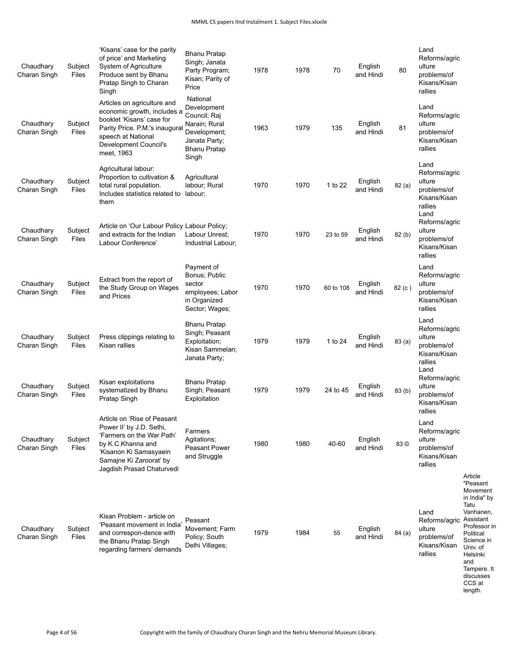| Chaudhary<br>Charan Singh | Subject<br>Files | 'Kisans' case for the parity<br>of price' and Marketing<br>System of Agriculture<br>Produce sent by Bhanu<br>Pratap Singh to Charan<br>Singh                                               | <b>Bhanu Pratap</b><br>Singh; Janata<br>Party Program;<br>Kisan; Parity of<br>Price                                       | 1978 | 1978 | 70        | English<br>and Hindi | 80     | Land<br>Reforms/agric<br>ulture<br>problems/of<br>Kisans/Kisan<br>rallies         |                                                                                                                                                                                                              |
|---------------------------|------------------|--------------------------------------------------------------------------------------------------------------------------------------------------------------------------------------------|---------------------------------------------------------------------------------------------------------------------------|------|------|-----------|----------------------|--------|-----------------------------------------------------------------------------------|--------------------------------------------------------------------------------------------------------------------------------------------------------------------------------------------------------------|
| Chaudhary<br>Charan Singh | Subject<br>Files | Articles on agriculture and<br>economic growth, includes a<br>booklet 'Kisans' case for<br>Parity Price. P.M.'s inaugural<br>speech at National<br>Development Council's<br>meet, 1963     | National<br>Development<br>Council; Raj<br>Narain; Rural<br>Development;<br>Janata Party;<br><b>Bhanu Pratap</b><br>Singh | 1963 | 1979 | 135       | English<br>and Hindi | 81     | Land<br>Reforms/agric<br>ulture<br>problems/of<br>Kisans/Kisan<br>rallies         |                                                                                                                                                                                                              |
| Chaudhary<br>Charan Singh | Subject<br>Files | Agricultural labour:<br>Proportion to cultivation &<br>total rural population.<br>Includes statistics related to<br>them                                                                   | Agricultural<br>labour; Rural<br>labour;                                                                                  | 1970 | 1970 | 1 to 22   | English<br>and Hindi | 82(a)  | Land<br>Reforms/agric<br>ulture<br>problems/of<br>Kisans/Kisan<br>rallies<br>Land |                                                                                                                                                                                                              |
| Chaudhary<br>Charan Singh | Subject<br>Files | Article on 'Our Labour Policy Labour Policy;<br>and extracts for the Indian<br>Labour Conference'                                                                                          | Labour Unrest:<br>Industrial Labour;                                                                                      | 1970 | 1970 | 23 to 59  | English<br>and Hindi | 82 (b) | Reforms/agric<br>ulture<br>problems/of<br>Kisans/Kisan<br>rallies                 |                                                                                                                                                                                                              |
| Chaudhary<br>Charan Singh | Subject<br>Files | Extract from the report of<br>the Study Group on Wages<br>and Prices                                                                                                                       | Payment of<br>Bonus; Public<br>sector<br>employees; Labor<br>in Organized<br>Sector; Wages;                               | 1970 | 1970 | 60 to 108 | English<br>and Hindi | 82 (c) | Land<br>Reforms/agric<br>ulture<br>problems/of<br>Kisans/Kisan<br>rallies         |                                                                                                                                                                                                              |
| Chaudhary<br>Charan Singh | Subject<br>Files | Press clippings relating to<br>Kisan rallies                                                                                                                                               | <b>Bhanu Pratap</b><br>Singh; Peasant<br>Exploitation;<br>Kisan Sammelan;<br>Janata Party;                                | 1979 | 1979 | 1 to 24   | English<br>and Hindi | 83(a)  | Land<br>Reforms/agric<br>ulture<br>problems/of<br>Kisans/Kisan<br>rallies<br>Land |                                                                                                                                                                                                              |
| Chaudhary<br>Charan Singh | Subject<br>Files | Kisan exploitations<br>systematized by Bhanu<br>Pratap Singh                                                                                                                               | <b>Bhanu Pratap</b><br>Singh; Peasant<br>Exploitation                                                                     | 1979 | 1979 | 24 to 45  | English<br>and Hindi | 83(b)  | Reforms/agric<br>ulture<br>problems/of<br>Kisans/Kisan<br>rallies                 |                                                                                                                                                                                                              |
| Chaudhary<br>Charan Singh | Subject<br>Files | Article on 'Rise of Peasant<br>Power II' by J.D. Sethi,<br>'Farmers on the War Path'<br>by K.C.Khanna and<br>'Kisanon Ki Samasyaein<br>Samajne Ki Zaroorať by<br>Jagdish Prasad Chaturvedi | Farmers<br>Agitations;<br><b>Peasant Power</b><br>and Struggle                                                            | 1980 | 1980 | 40-60     | English<br>and Hindi | 83 ©   | Land<br>Reforms/agric<br>ulture<br>problems/of<br>Kisans/Kisan<br>rallies         |                                                                                                                                                                                                              |
| Chaudhary<br>Charan Singh | Subject<br>Files | Kisan Problem - article on<br>'Peasant movement in India'<br>and correspon-dence with<br>the Bhanu Pratap Singh<br>regarding farmers' demands                                              | Peasant<br>Movement; Farm<br>Policy; South<br>Delhi Villages;                                                             | 1979 | 1984 | 55        | English<br>and Hindi | 84(a)  | Land<br>Reforms/agric<br>ulture<br>problems/of<br>Kisans/Kisan<br>rallies         | Article<br>"Peasant<br>Movement<br>in India" by<br>Tatu<br>Vanhanen,<br>Assistant<br>Professor in<br>Political<br>Science in<br>Univ. of<br>Helsinki<br>and<br>Tampere. It<br>discusses<br>CCS at<br>length. |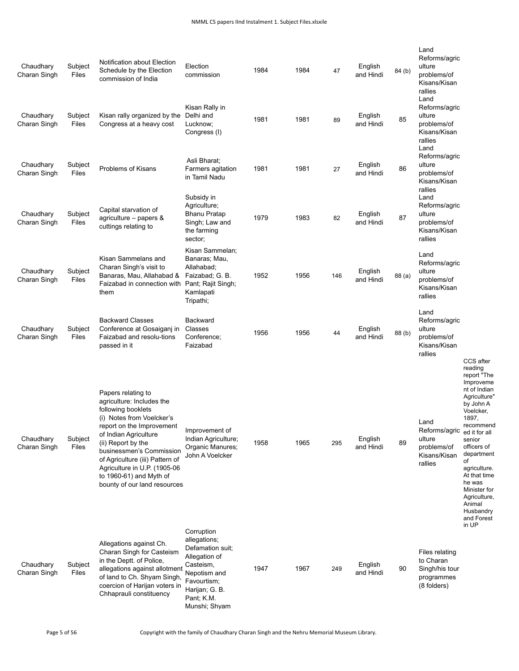| Chaudhary<br>Charan Singh | Subject<br>Files | Notification about Election<br>Schedule by the Election<br>commission of India                                                                                                                                                                                                                                                           | Election<br>commission                                                                                                                                       | 1984 | 1984 | 47  | English<br>and Hindi | 84(b)  | Land<br>Reforms/agric<br>ulture<br>problems/of<br>Kisans/Kisan<br>rallies<br>Land |                                                                                                                                                                                                                                                                                                               |
|---------------------------|------------------|------------------------------------------------------------------------------------------------------------------------------------------------------------------------------------------------------------------------------------------------------------------------------------------------------------------------------------------|--------------------------------------------------------------------------------------------------------------------------------------------------------------|------|------|-----|----------------------|--------|-----------------------------------------------------------------------------------|---------------------------------------------------------------------------------------------------------------------------------------------------------------------------------------------------------------------------------------------------------------------------------------------------------------|
| Chaudhary<br>Charan Singh | Subject<br>Files | Kisan rally organized by the<br>Congress at a heavy cost                                                                                                                                                                                                                                                                                 | Kisan Rally in<br>Delhi and<br>Lucknow;<br>Congress (I)                                                                                                      | 1981 | 1981 | 89  | English<br>and Hindi | 85     | Reforms/agric<br>ulture<br>problems/of<br>Kisans/Kisan<br>rallies<br>Land         |                                                                                                                                                                                                                                                                                                               |
| Chaudhary<br>Charan Singh | Subject<br>Files | Problems of Kisans                                                                                                                                                                                                                                                                                                                       | Asli Bharat;<br>Farmers agitation<br>in Tamil Nadu                                                                                                           | 1981 | 1981 | 27  | English<br>and Hindi | 86     | Reforms/agric<br>ulture<br>problems/of<br>Kisans/Kisan<br>rallies                 |                                                                                                                                                                                                                                                                                                               |
| Chaudhary<br>Charan Singh | Subject<br>Files | Capital starvation of<br>agriculture - papers &<br>cuttings relating to                                                                                                                                                                                                                                                                  | Subsidy in<br>Agriculture;<br><b>Bhanu Pratap</b><br>Singh; Law and<br>the farming<br>sector;                                                                | 1979 | 1983 | 82  | English<br>and Hindi | 87     | Land<br>Reforms/agric<br>ulture<br>problems/of<br>Kisans/Kisan<br>rallies         |                                                                                                                                                                                                                                                                                                               |
| Chaudhary<br>Charan Singh | Subject<br>Files | Kisan Sammelans and<br>Charan Singh's visit to<br>Banaras, Mau, Allahabad &<br>Faizabad in connection with<br>them                                                                                                                                                                                                                       | Kisan Sammelan:<br>Banaras; Mau,<br>Allahabad;<br>Faizabad; G. B.<br>Pant; Rajit Singh;<br>Kamlapati<br>Tripathi;                                            | 1952 | 1956 | 146 | English<br>and Hindi | 88 (a) | Land<br>Reforms/agric<br>ulture<br>problems/of<br>Kisans/Kisan<br>rallies         |                                                                                                                                                                                                                                                                                                               |
| Chaudhary<br>Charan Singh | Subject<br>Files | <b>Backward Classes</b><br>Conference at Gosaigani in<br>Faizabad and resolu-tions<br>passed in it                                                                                                                                                                                                                                       | Backward<br>Classes<br>Conference;<br>Faizabad                                                                                                               | 1956 | 1956 | 44  | English<br>and Hindi | 88 (b) | Land<br>Reforms/agric<br>ulture<br>problems/of<br>Kisans/Kisan<br>rallies         |                                                                                                                                                                                                                                                                                                               |
| Chaudhary<br>Charan Singh | Subject<br>Files | Papers relating to<br>agriculture: Includes the<br>following booklets<br>(i) Notes from Voelcker's<br>report on the Improvement<br>of Indian Agriculture<br>(ii) Report by the<br>businessmen's Commission<br>of Agriculture (iii) Pattern of<br>Agriculture in U.P. (1905-06<br>to 1960-61) and Myth of<br>bounty of our land resources | Improvement of<br>Indian Agriculture;<br>Organic Manures;<br>John A Voelcker                                                                                 | 1958 | 1965 | 295 | English<br>and Hindi | 89     | Land<br>Reforms/agric<br>ulture<br>problems/of<br>Kisans/Kisan<br>rallies         | CCS after<br>reading<br>report "The<br>Improveme<br>nt of Indian<br>Agriculture"<br>by John A<br>Voelcker,<br>1897,<br>recommend<br>ed it for all<br>senior<br>officers of<br>department<br>of<br>agriculture.<br>At that time<br>he was<br>Minister for<br>Agriculture,<br>Animal<br>Husbandry<br>and Forest |
| Chaudhary<br>Charan Singh | Subject<br>Files | Allegations against Ch.<br>Charan Singh for Casteism<br>in the Deptt. of Police,<br>allegations against allotment<br>of land to Ch. Shyam Singh,<br>coercion of Harijan voters in<br>Chhaprauli constituency                                                                                                                             | Corruption<br>allegations;<br>Defamation suit;<br>Allegation of<br>Casteism,<br>Nepotism and<br>Favourtism;<br>Harijan; G. B.<br>Pant; K.M.<br>Munshi; Shyam | 1947 | 1967 | 249 | English<br>and Hindi | 90     | Files relating<br>to Charan<br>Singh/his tour<br>programmes<br>(8 folders)        | in UP                                                                                                                                                                                                                                                                                                         |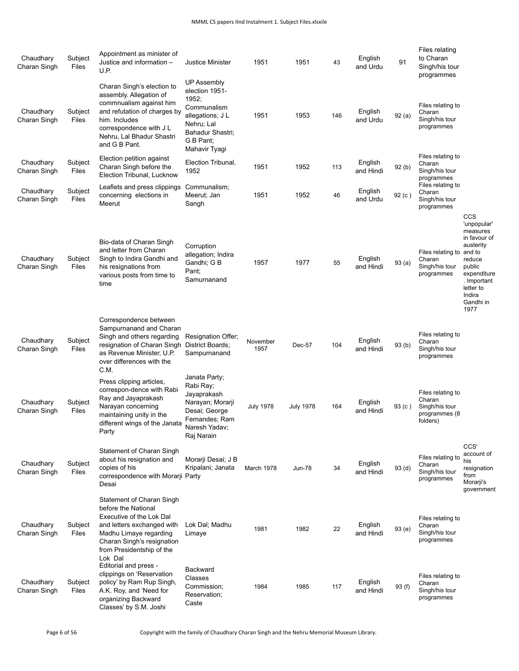| Chaudhary<br>Charan Singh | Subject<br>Files | Appointment as minister of<br>Justice and information -<br>U.P.                                                                                                                                            | <b>Justice Minister</b>                                                                                                                          | 1951             | 1951             | 43  | English<br>and Urdu  | 91                | Files relating<br>to Charan<br>Singh/his tour<br>programmes                |                                                                                                                                                                     |
|---------------------------|------------------|------------------------------------------------------------------------------------------------------------------------------------------------------------------------------------------------------------|--------------------------------------------------------------------------------------------------------------------------------------------------|------------------|------------------|-----|----------------------|-------------------|----------------------------------------------------------------------------|---------------------------------------------------------------------------------------------------------------------------------------------------------------------|
| Chaudhary<br>Charan Singh | Subject<br>Files | Charan Singh's election to<br>assembly. Allegation of<br>commnualism against him<br>and refutation of charges by<br>him. Includes<br>correspondence with J L<br>Nehru, Lal Bhadur Shastri<br>and G B Pant. | <b>UP Assembly</b><br>election 1951-<br>1952;<br>Communalism<br>allegations; J L<br>Nehru; Lal<br>Bahadur Shastri;<br>G B Pant:<br>Mahavir Tyagi | 1951             | 1953             | 146 | English<br>and Urdu  | 92(a)             | Files relating to<br>Charan<br>Singh/his tour<br>programmes                |                                                                                                                                                                     |
| Chaudhary<br>Charan Singh | Subject<br>Files | Election petition against<br>Charan Singh before the<br>Election Tribunal, Lucknow                                                                                                                         | Election Tribunal,<br>1952                                                                                                                       | 1951             | 1952             | 113 | English<br>and Hindi | 92(b)             | Files relating to<br>Charan<br>Singh/his tour<br>programmes                |                                                                                                                                                                     |
| Chaudhary<br>Charan Singh | Subject<br>Files | Leaflets and press clippings<br>concerning elections in<br>Meerut                                                                                                                                          | Communalism;<br>Meerut; Jan<br>Sangh                                                                                                             | 1951             | 1952             | 46  | English<br>and Urdu  | 92(c)             | Files relating to<br>Charan<br>Singh/his tour<br>programmes                |                                                                                                                                                                     |
| Chaudhary<br>Charan Singh | Subject<br>Files | Bio-data of Charan Singh<br>and letter from Charan<br>Singh to Indira Gandhi and<br>his resignations from<br>various posts from time to<br>time                                                            | Corruption<br>allegation; Indira<br>Gandhi; G B<br>Pant:<br>Samurnanand                                                                          | 1957             | 1977             | 55  | English<br>and Hindi | 93(a)             | Files relating to<br>Charan<br>Singh/his tour<br>programmes                | CCS<br>'unpopular'<br>measures<br>in favour of<br>austerity<br>and to<br>reduce<br>public<br>expenditure<br>. Important<br>letter to<br>Indira<br>Gandhi in<br>1977 |
| Chaudhary<br>Charan Singh | Subject<br>Files | Correspondence between<br>Sampurnanand and Charan<br>Singh and others regarding<br>resignation of Charan Singh<br>as Revenue Minister, U.P.<br>over differences with the<br>C.M.                           | Resignation Offer;<br>District Boards;<br>Sampurnanand                                                                                           | November<br>1957 | Dec-57           | 104 | English<br>and Hindi | 93(b)             | Files relating to<br>Charan<br>Singh/his tour<br>programmes                |                                                                                                                                                                     |
| Chaudhary<br>Charan Singh | Subject<br>Files | Press clipping articles,<br>correspon-dence with Rabi<br>Ray and Jayaprakash<br>Narayan concerning<br>maintaining unity in the<br>different wings of the Janata<br>Party                                   | Janata Party;<br>Rabi Ray;<br>Jayaprakash<br>Narayan; Morarji<br>Desai; George<br>Fernandes; Ram<br>Naresh Yadav;<br>Raj Narain                  | <b>July 1978</b> | <b>July 1978</b> | 164 | English<br>and Hindi | 93 (c)            | Files relating to<br>Charan<br>Singh/his tour<br>programmes (8<br>folders) |                                                                                                                                                                     |
| Chaudhary<br>Charan Singh | Subject<br>Files | Statement of Charan Singh<br>about his resignation and<br>copies of his<br>correspondence with Morarji Party<br>Desai                                                                                      | Morarji Desai; J B<br>Kripalani; Janata                                                                                                          | March 1978       | Jun-78           | 34  | English<br>and Hindi | 93 <sub>(d)</sub> | Files relating to<br>Charan<br>Singh/his tour<br>programmes                | CCS'<br>account of<br>his<br>resignation<br>from<br>Morarji's<br>government                                                                                         |
| Chaudhary<br>Charan Singh | Subject<br>Files | Statement of Charan Singh<br>before the National<br>Executive of the Lok Dal<br>and letters exchanged with<br>Madhu Limaye regarding<br>Charan Singh's resignation<br>from Presidentship of the<br>Lok Dal | Lok Dal; Madhu<br>Limaye                                                                                                                         | 1981             | 1982             | 22  | English<br>and Hindi | 93(e)             | Files relating to<br>Charan<br>Singh/his tour<br>programmes                |                                                                                                                                                                     |
| Chaudhary<br>Charan Singh | Subject<br>Files | Editorial and press -<br>clippings on 'Reservation<br>policy' by Ram Rup Singh,<br>A.K. Roy, and 'Need for<br>organizing Backward<br>Classes' by S.M. Joshi                                                | <b>Backward</b><br>Classes<br>Commission;<br>Reservation;<br>Caste                                                                               | 1984             | 1985             | 117 | English<br>and Hindi | 93(f)             | Files relating to<br>Charan<br>Singh/his tour<br>programmes                |                                                                                                                                                                     |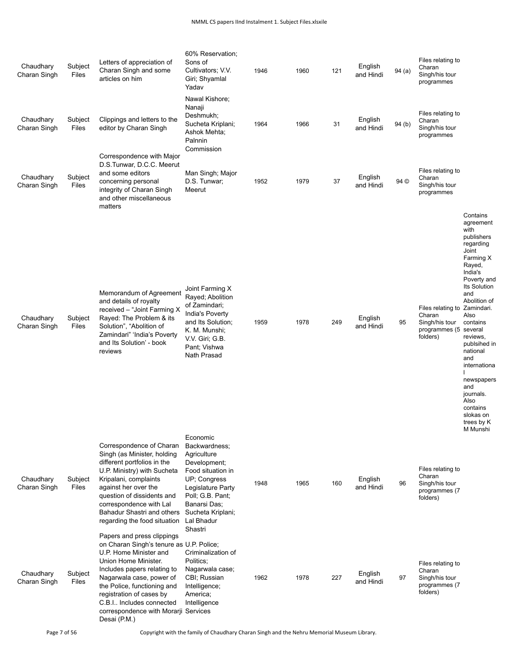| Chaudhary<br>Charan Singh | Subject<br>Files | Letters of appreciation of<br>Charan Singh and some<br>articles on him                                                                                                                                                                                                                                                             | 60% Reservation;<br>Sons of<br>Cultivators; V.V.<br>Giri; Shyamlal<br>Yadav                                                                                                                                 | 1946 | 1960 | 121 | English<br>and Hindi | 94(a) | Files relating to<br>Charan<br>Singh/his tour<br>programmes                           |                                                                                                                                                                                                                                                                                                                                                             |
|---------------------------|------------------|------------------------------------------------------------------------------------------------------------------------------------------------------------------------------------------------------------------------------------------------------------------------------------------------------------------------------------|-------------------------------------------------------------------------------------------------------------------------------------------------------------------------------------------------------------|------|------|-----|----------------------|-------|---------------------------------------------------------------------------------------|-------------------------------------------------------------------------------------------------------------------------------------------------------------------------------------------------------------------------------------------------------------------------------------------------------------------------------------------------------------|
| Chaudhary<br>Charan Singh | Subject<br>Files | Clippings and letters to the<br>editor by Charan Singh                                                                                                                                                                                                                                                                             | Nawal Kishore;<br>Nanaji<br>Deshmukh;<br>Sucheta Kriplani;<br>Ashok Mehta;<br>Palnnin<br>Commission                                                                                                         | 1964 | 1966 | 31  | English<br>and Hindi | 94(b) | Files relating to<br>Charan<br>Singh/his tour<br>programmes                           |                                                                                                                                                                                                                                                                                                                                                             |
| Chaudhary<br>Charan Singh | Subject<br>Files | Correspondence with Major<br>D.S.Tunwar, D.C.C. Meerut<br>and some editors<br>concerning personal<br>integrity of Charan Singh<br>and other miscellaneous<br>matters                                                                                                                                                               | Man Singh; Major<br>D.S. Tunwar;<br>Meerut                                                                                                                                                                  | 1952 | 1979 | 37  | English<br>and Hindi | 94 ©  | Files relating to<br>Charan<br>Singh/his tour<br>programmes                           |                                                                                                                                                                                                                                                                                                                                                             |
| Chaudhary<br>Charan Singh | Subject<br>Files | Memorandum of Agreement<br>and details of royalty<br>received - "Joint Farming X<br>Rayed: The Problem & its<br>Solution", "Abolition of<br>Zamindari" 'India's Poverty<br>and Its Solution' - book<br>reviews                                                                                                                     | Joint Farming X<br>Rayed; Abolition<br>of Zamindari;<br>India's Poverty<br>and Its Solution;<br>K. M. Munshi;<br>V.V. Giri; G.B.<br>Pant; Vishwa<br>Nath Prasad                                             | 1959 | 1978 | 249 | English<br>and Hindi | 95    | Files relating to Zamindari.<br>Charan<br>Singh/his tour<br>programmes (5<br>folders) | Contains<br>agreement<br>with<br>publishers<br>regarding<br>Joint<br>Farming X<br>Rayed,<br>India's<br>Poverty and<br><b>Its Solution</b><br>and<br>Abolition of<br>Also<br>contains<br>several<br>reviews,<br>publsihed in<br>national<br>and<br>internationa<br>newspapers<br>and<br>journals.<br>Also<br>contains<br>slokas on<br>trees by K<br>M Munshi |
| Chaudhary<br>Charan Singh | Subject<br>Files | Correspondence of Charan<br>Singh (as Minister, holding<br>different portfolios in the<br>U.P. Ministry) with Sucheta<br>Kripalani, complaints<br>against her over the<br>question of dissidents and<br>correspondence with Lal<br>Bahadur Shastri and others<br>regarding the food situation                                      | Economic<br>Backwardness;<br>Agriculture<br>Development;<br>Food situation in<br><b>UP: Congress</b><br>Legislature Party<br>Poll; G.B. Pant;<br>Banarsi Das;<br>Sucheta Kriplani;<br>Lal Bhadur<br>Shastri | 1948 | 1965 | 160 | English<br>and Hindi | 96    | Files relating to<br>Charan<br>Singh/his tour<br>programmes (7<br>folders)            |                                                                                                                                                                                                                                                                                                                                                             |
| Chaudhary<br>Charan Singh | Subject<br>Files | Papers and press clippings<br>on Charan Singh's tenure as U.P. Police;<br>U.P. Home Minister and<br>Union Home Minister.<br>Includes papers relating to<br>Nagarwala case, power of<br>the Police, functioning and<br>registration of cases by<br>C.B.I Includes connected<br>correspondence with Morarji Services<br>Desai (P.M.) | Criminalization of<br>Politics:<br>Nagarwala case;<br>CBI; Russian<br>Intelligence;<br>America;<br>Intelligence                                                                                             | 1962 | 1978 | 227 | English<br>and Hindi | 97    | Files relating to<br>Charan<br>Singh/his tour<br>programmes (7<br>folders)            |                                                                                                                                                                                                                                                                                                                                                             |

Page 7 of 56 Copyright with the family of Chaudhary Charan Singh and the Nehru Memorial Museum Library.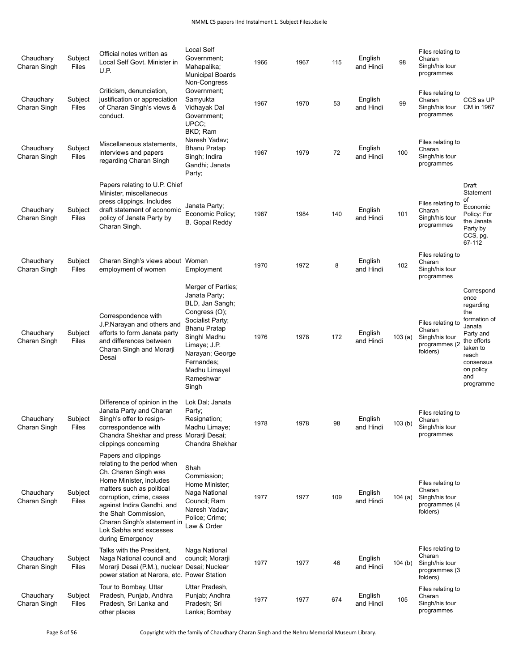## NMML CS papers IInd Instalment 1. Subject Files.xlsxile

| Chaudhary<br>Charan Singh | Subject<br>Files | Official notes written as<br>Local Self Govt. Minister in<br>U.P.                                                                                                                                                                                                                                  | <b>Local Self</b><br>Government:<br>Mahapalika;<br><b>Municipal Boards</b><br>Non-Congress                                                                                                                          | 1966 | 1967 | 115 | English<br>and Hindi | 98        | Files relating to<br>Charan<br>Singh/his tour<br>programmes                |                                                                                                                                                                 |
|---------------------------|------------------|----------------------------------------------------------------------------------------------------------------------------------------------------------------------------------------------------------------------------------------------------------------------------------------------------|---------------------------------------------------------------------------------------------------------------------------------------------------------------------------------------------------------------------|------|------|-----|----------------------|-----------|----------------------------------------------------------------------------|-----------------------------------------------------------------------------------------------------------------------------------------------------------------|
| Chaudhary<br>Charan Singh | Subject<br>Files | Criticism, denunciation,<br>justification or appreciation<br>of Charan Singh's views &<br>conduct.                                                                                                                                                                                                 | Government:<br>Samyukta<br>Vidhayak Dal<br>Government:<br>UPCC:                                                                                                                                                     | 1967 | 1970 | 53  | English<br>and Hindi | 99        | Files relating to<br>Charan<br>Singh/his tour<br>programmes                | CCS as UP<br>CM in 1967                                                                                                                                         |
| Chaudhary<br>Charan Singh | Subject<br>Files | Miscellaneous statements,<br>interviews and papers<br>regarding Charan Singh                                                                                                                                                                                                                       | BKD; Ram<br>Naresh Yadav;<br><b>Bhanu Pratap</b><br>Singh; Indira<br>Gandhi; Janata<br>Party;                                                                                                                       | 1967 | 1979 | 72  | English<br>and Hindi | 100       | Files relating to<br>Charan<br>Singh/his tour<br>programmes                |                                                                                                                                                                 |
| Chaudhary<br>Charan Singh | Subject<br>Files | Papers relating to U.P. Chief<br>Minister, miscellaneous<br>press clippings. Includes<br>draft statement of economic<br>policy of Janata Party by<br>Charan Singh.                                                                                                                                 | Janata Party;<br>Economic Policy;<br><b>B.</b> Gopal Reddy                                                                                                                                                          | 1967 | 1984 | 140 | English<br>and Hindi | 101       | Files relating to<br>Charan<br>Singh/his tour<br>programmes                | Draft<br>Statement<br>οf<br>Economic<br>Policy: For<br>the Janata<br>Party by<br>CCS, pg.<br>67-112                                                             |
| Chaudhary<br>Charan Singh | Subject<br>Files | Charan Singh's views about Women<br>employment of women                                                                                                                                                                                                                                            | Employment                                                                                                                                                                                                          | 1970 | 1972 | 8   | English<br>and Hindi | 102       | Files relating to<br>Charan<br>Singh/his tour<br>programmes                |                                                                                                                                                                 |
| Chaudhary<br>Charan Singh | Subject<br>Files | Correspondence with<br>J.P.Narayan and others and<br>efforts to form Janata party<br>and differences between<br>Charan Singh and Morarji<br>Desai                                                                                                                                                  | Merger of Parties;<br>Janata Party;<br>BLD, Jan Sangh;<br>Congress (O);<br>Socialist Party;<br>Bhanu Pratap<br>Singhl Madhu<br>Limaye; J.P.<br>Narayan; George<br>Fernandes:<br>Madhu Limayel<br>Rameshwar<br>Singh | 1976 | 1978 | 172 | English<br>and Hindi | 103(a)    | Files relating to<br>Charan<br>Singh/his tour<br>programmes (2<br>folders) | Correspond<br>ence<br>regarding<br>the<br>formation of<br>Janata<br>Party and<br>the efforts<br>taken to<br>reach<br>consensus<br>on policy<br>and<br>programme |
| Chaudhary<br>Charan Singh | Subject<br>Files | Difference of opinion in the<br>Janata Party and Charan<br>Singh's offer to resign-<br>correspondence with<br>Chandra Shekhar and press Morarji Desai;<br>clippings concerning                                                                                                                     | Lok Dal; Janata<br>Party;<br>Resignation;<br>Madhu Limaye;<br>Chandra Shekhar                                                                                                                                       | 1978 | 1978 | 98  | English<br>and Hindi | 103(b)    | Files relating to<br>Charan<br>Singh/his tour<br>programmes                |                                                                                                                                                                 |
| Chaudhary<br>Charan Singh | Subject<br>Files | Papers and clippings<br>relating to the period when<br>Ch. Charan Singh was<br>Home Minister, includes<br>matters such as political<br>corruption, crime, cases<br>against Indira Gandhi, and<br>the Shah Commission,<br>Charan Singh's statement in<br>Lok Sabha and excesses<br>during Emergency | Shah<br>Commission;<br>Home Minister;<br>Naga National<br>Council; Ram<br>Naresh Yadav;<br>Police; Crime;<br>Law & Order                                                                                            | 1977 | 1977 | 109 | English<br>and Hindi | 104 $(a)$ | Files relating to<br>Charan<br>Singh/his tour<br>programmes (4<br>folders) |                                                                                                                                                                 |
| Chaudhary<br>Charan Singh | Subject<br>Files | Talks with the President,<br>Naga National council and<br>Morarji Desai (P.M.), nuclear Desai; Nuclear<br>power station at Narora, etc. Power Station                                                                                                                                              | Naga National<br>council; Morarji                                                                                                                                                                                   | 1977 | 1977 | 46  | English<br>and Hindi | 104(b)    | Files relating to<br>Charan<br>Singh/his tour<br>programmes (3<br>folders) |                                                                                                                                                                 |
| Chaudhary<br>Charan Singh | Subject<br>Files | Tour to Bombay, Uttar<br>Pradesh, Punjab, Andhra<br>Pradesh, Sri Lanka and<br>other places                                                                                                                                                                                                         | Uttar Pradesh,<br>Punjab; Andhra<br>Pradesh; Sri<br>Lanka; Bombay                                                                                                                                                   | 1977 | 1977 | 674 | English<br>and Hindi | 105       | Files relating to<br>Charan<br>Singh/his tour<br>programmes                |                                                                                                                                                                 |

Page 8 of 56 Copyright with the family of Chaudhary Charan Singh and the Nehru Memorial Museum Library.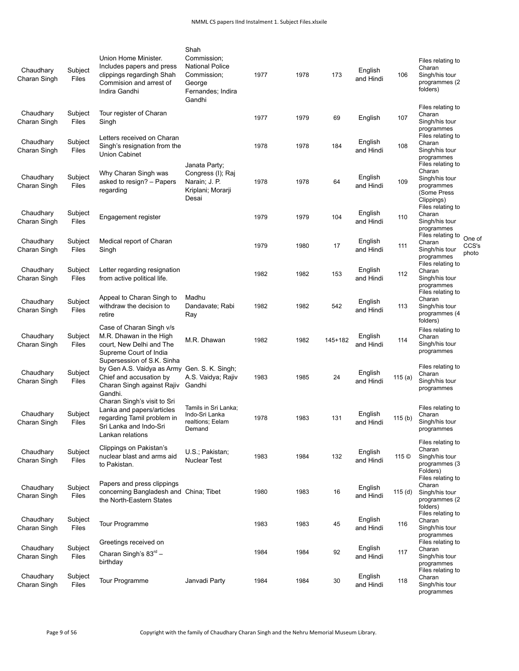| Chaudhary<br>Charan Singh | Subject<br>Files        | Union Home Minister.<br>Includes papers and press<br>clippings regardingh Shah<br>Commision and arrest of<br>Indira Gandhi                     | Shah<br>Commission;<br><b>National Police</b><br>Commission;<br>George<br>Fernandes; Indira<br>Gandhi | 1977 | 1978 | 173     | English<br>and Hindi | 106       | Files relating to<br>Charan<br>Singh/his tour<br>programmes (2<br>folders)               |                          |
|---------------------------|-------------------------|------------------------------------------------------------------------------------------------------------------------------------------------|-------------------------------------------------------------------------------------------------------|------|------|---------|----------------------|-----------|------------------------------------------------------------------------------------------|--------------------------|
| Chaudhary<br>Charan Singh | Subject<br><b>Files</b> | Tour register of Charan<br>Singh                                                                                                               |                                                                                                       | 1977 | 1979 | 69      | English              | 107       | Files relating to<br>Charan<br>Singh/his tour<br>programmes                              |                          |
| Chaudhary<br>Charan Singh | Subject<br>Files        | Letters received on Charan<br>Singh's resignation from the<br>Union Cabinet                                                                    |                                                                                                       | 1978 | 1978 | 184     | English<br>and Hindi | 108       | Files relating to<br>Charan<br>Singh/his tour<br>programmes                              |                          |
| Chaudhary<br>Charan Singh | Subject<br>Files        | Why Charan Singh was<br>asked to resign? - Papers<br>regarding                                                                                 | Janata Party;<br>Congress (I); Raj<br>Narain; J. P.<br>Kriplani; Morarji<br>Desai                     | 1978 | 1978 | 64      | English<br>and Hindi | 109       | Files relating to<br>Charan<br>Singh/his tour<br>programmes<br>(Some Press<br>Clippings) |                          |
| Chaudhary<br>Charan Singh | Subject<br>Files        | Engagement register                                                                                                                            |                                                                                                       | 1979 | 1979 | 104     | English<br>and Hindi | 110       | Files relating to<br>Charan<br>Singh/his tour<br>programmes                              |                          |
| Chaudhary<br>Charan Singh | Subject<br>Files        | Medical report of Charan<br>Singh                                                                                                              |                                                                                                       | 1979 | 1980 | 17      | English<br>and Hindi | 111       | Files relating to<br>Charan<br>Singh/his tour<br>programmes                              | One of<br>CCS's<br>photo |
| Chaudhary<br>Charan Singh | Subject<br><b>Files</b> | Letter regarding resignation<br>from active political life.                                                                                    |                                                                                                       | 1982 | 1982 | 153     | English<br>and Hindi | 112       | Files relating to<br>Charan<br>Singh/his tour<br>programmes                              |                          |
| Chaudhary<br>Charan Singh | Subject<br><b>Files</b> | Appeal to Charan Singh to<br>withdraw the decision to<br>retire                                                                                | Madhu<br>Dandavate; Rabi<br>Ray                                                                       | 1982 | 1982 | 542     | English<br>and Hindi | 113       | Files relating to<br>Charan<br>Singh/his tour<br>programmes (4<br>folders)               |                          |
| Chaudhary<br>Charan Singh | Subject<br>Files        | Case of Charan Singh v/s<br>M.R. Dhawan in the High<br>court, New Delhi and The<br>Supreme Court of India                                      | M.R. Dhawan                                                                                           | 1982 | 1982 | 145+182 | English<br>and Hindi | 114       | Files relating to<br>Charan<br>Singh/his tour<br>programmes                              |                          |
| Chaudhary<br>Charan Singh | Subject<br>Files        | Supersession of S.K. Sinha<br>by Gen A.S. Vaidya as Army Gen. S. K. Singh;<br>Chief and accusation by<br>Charan Singh against Rajiv<br>Gandhi. | A.S. Vaidya; Rajiv<br>Gandhi                                                                          | 1983 | 1985 | 24      | English<br>and Hindi | 115 $(a)$ | Files relating to<br>Charan<br>Singh/his tour<br>programmes                              |                          |
| Chaudhary<br>Charan Singh | Subject<br><b>Files</b> | Charan Singh's visit to Sri<br>Lanka and papers/articles<br>regarding Tamil problem in<br>Sri Lanka and Indo-Sri<br>Lankan relations           | Tamils in Sri Lanka;<br>Indo-Sri Lanka<br>realtions; Eelam<br>Demand                                  | 1978 | 1983 | 131     | English<br>and Hindi | 115 $(b)$ | Files relating to<br>Charan<br>Singh/his tour<br>programmes                              |                          |
| Chaudhary<br>Charan Singh | Subject<br><b>Files</b> | Clippings on Pakistan's<br>nuclear blast and arms aid<br>to Pakistan.                                                                          | U.S.; Pakistan;<br><b>Nuclear Test</b>                                                                | 1983 | 1984 | 132     | English<br>and Hindi | 115 ©     | Files relating to<br>Charan<br>Singh/his tour<br>programmes (3<br>Folders)               |                          |
| Chaudhary<br>Charan Singh | Subject<br>Files        | Papers and press clippings<br>concerning Bangladesh and China; Tibet<br>the North-Eastern States                                               |                                                                                                       | 1980 | 1983 | 16      | English<br>and Hindi | 115(d)    | Files relating to<br>Charan<br>Singh/his tour<br>programmes (2<br>folders)               |                          |
| Chaudhary<br>Charan Singh | Subject<br>Files        | Tour Programme                                                                                                                                 |                                                                                                       | 1983 | 1983 | 45      | English<br>and Hindi | 116       | Files relating to<br>Charan<br>Singh/his tour<br>programmes                              |                          |
| Chaudhary                 | Subject                 | Greetings received on                                                                                                                          |                                                                                                       | 1984 | 1984 |         | English              | 117       | Files relating to<br>Charan                                                              |                          |
| Charan Singh              | Files                   | Charan Singh's $83rd$ -<br>birthday                                                                                                            |                                                                                                       |      |      | 92      | and Hindi            |           | Singh/his tour<br>programmes                                                             |                          |
| Chaudhary<br>Charan Singh | Subject<br>Files        | Tour Programme                                                                                                                                 | Janvadi Party                                                                                         | 1984 | 1984 | 30      | English<br>and Hindi | 118       | Files relating to<br>Charan<br>Singh/his tour<br>programmes                              |                          |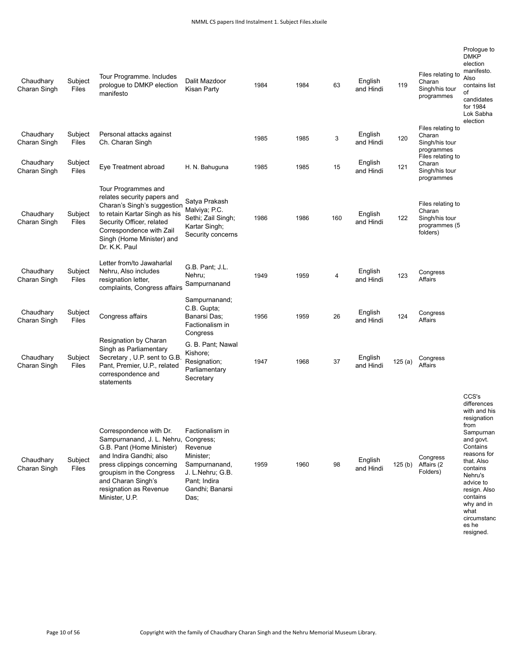| Chaudhary<br>Charan Singh | Subject<br>Files | Tour Programme. Includes<br>prologue to DMKP election<br>manifesto                                                                                                                                                                                  | Dalit Mazdoor<br>Kisan Party                                                                                            | 1984 | 1984 | 63  | English<br>and Hindi | 119    | Files relating to<br>Charan<br>Singh/his tour<br>programmes                | Prologue to<br><b>DMKP</b><br>election<br>manifesto.<br>Also<br>contains list<br>οf<br>candidates<br>for 1984<br>Lok Sabha<br>election                                                                                                       |
|---------------------------|------------------|-----------------------------------------------------------------------------------------------------------------------------------------------------------------------------------------------------------------------------------------------------|-------------------------------------------------------------------------------------------------------------------------|------|------|-----|----------------------|--------|----------------------------------------------------------------------------|----------------------------------------------------------------------------------------------------------------------------------------------------------------------------------------------------------------------------------------------|
| Chaudhary<br>Charan Singh | Subject<br>Files | Personal attacks against<br>Ch. Charan Singh                                                                                                                                                                                                        |                                                                                                                         | 1985 | 1985 | 3   | English<br>and Hindi | 120    | Files relating to<br>Charan<br>Singh/his tour<br>programmes                |                                                                                                                                                                                                                                              |
| Chaudhary<br>Charan Singh | Subject<br>Files | Eye Treatment abroad                                                                                                                                                                                                                                | H. N. Bahuguna                                                                                                          | 1985 | 1985 | 15  | English<br>and Hindi | 121    | Files relating to<br>Charan<br>Singh/his tour<br>programmes                |                                                                                                                                                                                                                                              |
| Chaudhary<br>Charan Singh | Subject<br>Files | Tour Programmes and<br>relates security papers and<br>Charan's Singh's suggestion<br>to retain Kartar Singh as his<br>Security Officer, related<br>Correspondence with Zail<br>Singh (Home Minister) and<br>Dr. K.K. Paul                           | Satya Prakash<br>Malviya; P.C.<br>Sethi; Zail Singh;<br>Kartar Singh;<br>Security concerns                              | 1986 | 1986 | 160 | English<br>and Hindi | 122    | Files relating to<br>Charan<br>Singh/his tour<br>programmes (5<br>folders) |                                                                                                                                                                                                                                              |
| Chaudhary<br>Charan Singh | Subject<br>Files | Letter from/to Jawaharlal<br>Nehru, Also includes<br>resignation letter,<br>complaints, Congress affairs                                                                                                                                            | G.B. Pant; J.L.<br>Nehru;<br>Sampurnanand                                                                               | 1949 | 1959 | 4   | English<br>and Hindi | 123    | Congress<br>Affairs                                                        |                                                                                                                                                                                                                                              |
| Chaudhary<br>Charan Singh | Subject<br>Files | Congress affairs                                                                                                                                                                                                                                    | Sampurnanand;<br>C.B. Gupta;<br>Banarsi Das:<br>Factionalism in<br>Congress                                             | 1956 | 1959 | 26  | English<br>and Hindi | 124    | Congress<br>Affairs                                                        |                                                                                                                                                                                                                                              |
| Chaudhary<br>Charan Singh | Subject<br>Files | Resignation by Charan<br>Singh as Parliamentary<br>Secretary, U.P. sent to G.B.<br>Pant, Premier, U.P., related<br>correspondence and<br>statements                                                                                                 | G. B. Pant; Nawal<br>Kishore;<br>Resignation;<br>Parliamentary<br>Secretary                                             | 1947 | 1968 | 37  | English<br>and Hindi | 125(a) | Congress<br>Affairs                                                        |                                                                                                                                                                                                                                              |
| Chaudhary<br>Charan Singh | Subject<br>Files | Correspondence with Dr.<br>Sampurnanand, J. L. Nehru, Congress;<br>G.B. Pant (Home Minister)<br>and Indira Gandhi; also<br>press clippings concerning<br>groupism in the Congress<br>and Charan Singh's<br>resignation as Revenue<br>Minister, U.P. | Factionalism in<br>Revenue<br>Minister;<br>Sampurnanand,<br>J. L.Nehru; G.B.<br>Pant; Indira<br>Gandhi; Banarsi<br>Das; | 1959 | 1960 | 98  | English<br>and Hindi | 125(b) | Congress<br>Affairs (2<br>Folders)                                         | CCS's<br>differences<br>with and his<br>resignation<br>from<br>Sampurnan<br>and govt.<br>Contains<br>reasons for<br>that. Also<br>contains<br>Nehru's<br>advice to<br>resign. Also<br>contains<br>why and in<br>what<br>circumstanc<br>es he |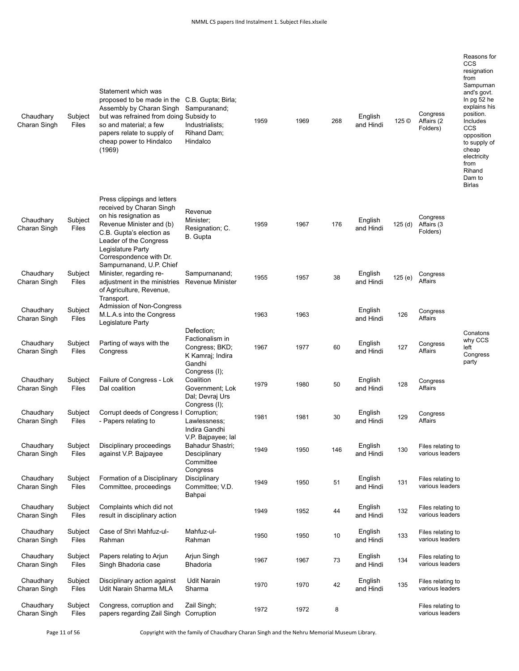| Chaudhary<br>Charan Singh | Subject<br>Files | Statement which was<br>proposed to be made in the<br>Assembly by Charan Singh<br>but was refrained from doing Subsidy to<br>so and material; a few<br>papers relate to supply of<br>cheap power to Hindalco<br>(1969) | C.B. Gupta; Birla;<br>Sampuranand;<br>Industrialists;<br>Rihand Dam;<br>Hindalco               | 1959 | 1969 | 268 | English<br>and Hindi | 125 ©  | Congress<br>Affairs (2<br>Folders)   | Reasons for<br>CCS<br>resignation<br>from<br>Sampurnan<br>and's govt.<br>In $pg$ 52 he<br>explains his<br>position.<br>Includes<br>CCS<br>opposition<br>to supply of<br>cheap<br>electricity<br>from<br>Rihand<br>Dam to<br><b>Birlas</b> |
|---------------------------|------------------|-----------------------------------------------------------------------------------------------------------------------------------------------------------------------------------------------------------------------|------------------------------------------------------------------------------------------------|------|------|-----|----------------------|--------|--------------------------------------|-------------------------------------------------------------------------------------------------------------------------------------------------------------------------------------------------------------------------------------------|
| Chaudhary<br>Charan Singh | Subject<br>Files | Press clippings and letters<br>received by Charan Singh<br>on his resignation as<br>Revenue Minister and (b)<br>C.B. Gupta's election as<br>Leader of the Congress<br>Legislature Party<br>Correspondence with Dr.    | Revenue<br>Minister;<br>Resignation; C.<br>B. Gupta                                            | 1959 | 1967 | 176 | English<br>and Hindi | 125(d) | Congress<br>Affairs (3<br>Folders)   |                                                                                                                                                                                                                                           |
| Chaudhary<br>Charan Singh | Subject<br>Files | Sampurnanand, U.P. Chief<br>Minister, regarding re-<br>adjustment in the ministries<br>of Agriculture, Revenue,<br>Transport.                                                                                         | Sampurnanand;<br><b>Revenue Minister</b>                                                       | 1955 | 1957 | 38  | English<br>and Hindi | 125(e) | Congress<br>Affairs                  |                                                                                                                                                                                                                                           |
| Chaudhary<br>Charan Singh | Subject<br>Files | Admission of Non-Congress<br>M.L.A.s into the Congress<br>Legislature Party                                                                                                                                           |                                                                                                | 1963 | 1963 |     | English<br>and Hindi | 126    | Congress<br>Affairs                  |                                                                                                                                                                                                                                           |
| Chaudhary<br>Charan Singh | Subject<br>Files | Parting of ways with the<br>Congress                                                                                                                                                                                  | Defection;<br>Factionalism in<br>Congress; BKD;<br>K Kamraj; Indira<br>Gandhi<br>Congress (I); | 1967 | 1977 | 60  | English<br>and Hindi | 127    | Congress<br>Affairs                  | Conatons<br>why CCS<br>left<br>Congress<br>party                                                                                                                                                                                          |
| Chaudhary<br>Charan Singh | Subject<br>Files | Failure of Congress - Lok<br>Dal coalition                                                                                                                                                                            | Coalition<br>Government; Lok<br>Dal; Devraj Urs                                                | 1979 | 1980 | 50  | English<br>and Hindi | 128    | Congress<br>Affairs                  |                                                                                                                                                                                                                                           |
| Chaudhary<br>Charan Singh | Subject<br>Files | Corrupt deeds of Congress I Corruption;<br>- Papers relating to                                                                                                                                                       | Congress (I);<br>Lawlessness;<br>Indira Gandhi                                                 | 1981 | 1981 | 30  | English<br>and Hindi | 129    | Congress<br>Affairs                  |                                                                                                                                                                                                                                           |
| Chaudhary<br>Charan Singh | Subject<br>Files | Disciplinary proceedings<br>against V.P. Bajpayee                                                                                                                                                                     | V.P. Bajpayee; lal<br>Bahadur Shastri;<br>Desciplinary<br>Committee                            | 1949 | 1950 | 146 | English<br>and Hindi | 130    | Files relating to<br>various leaders |                                                                                                                                                                                                                                           |
| Chaudhary<br>Charan Singh | Subject<br>Files | Formation of a Disciplinary<br>Committee, proceedings                                                                                                                                                                 | Congress<br>Disciplinary<br>Committee; V.D.<br>Bahpai                                          | 1949 | 1950 | 51  | English<br>and Hindi | 131    | Files relating to<br>various leaders |                                                                                                                                                                                                                                           |
| Chaudhary<br>Charan Singh | Subject<br>Files | Complaints which did not<br>result in disciplinary action                                                                                                                                                             |                                                                                                | 1949 | 1952 | 44  | English<br>and Hindi | 132    | Files relating to<br>various leaders |                                                                                                                                                                                                                                           |
| Chaudhary<br>Charan Singh | Subject<br>Files | Case of Shri Mahfuz-ul-<br>Rahman                                                                                                                                                                                     | Mahfuz-ul-<br>Rahman                                                                           | 1950 | 1950 | 10  | English<br>and Hindi | 133    | Files relating to<br>various leaders |                                                                                                                                                                                                                                           |
| Chaudhary<br>Charan Singh | Subject<br>Files | Papers relating to Arjun<br>Singh Bhadoria case                                                                                                                                                                       | Arjun Singh<br><b>Bhadoria</b>                                                                 | 1967 | 1967 | 73  | English<br>and Hindi | 134    | Files relating to<br>various leaders |                                                                                                                                                                                                                                           |
| Chaudhary<br>Charan Singh | Subject<br>Files | Disciplinary action against<br>Udit Narain Sharma MLA                                                                                                                                                                 | <b>Udit Narain</b><br>Sharma                                                                   | 1970 | 1970 | 42  | English<br>and Hindi | 135    | Files relating to<br>various leaders |                                                                                                                                                                                                                                           |
| Chaudhary<br>Charan Singh | Subject<br>Files | Congress, corruption and<br>papers regarding Zail Singh                                                                                                                                                               | Zail Singh;<br>Corruption                                                                      | 1972 | 1972 | 8   |                      |        | Files relating to<br>various leaders |                                                                                                                                                                                                                                           |

Page 11 of 56 Copyright with the family of Chaudhary Charan Singh and the Nehru Memorial Museum Library.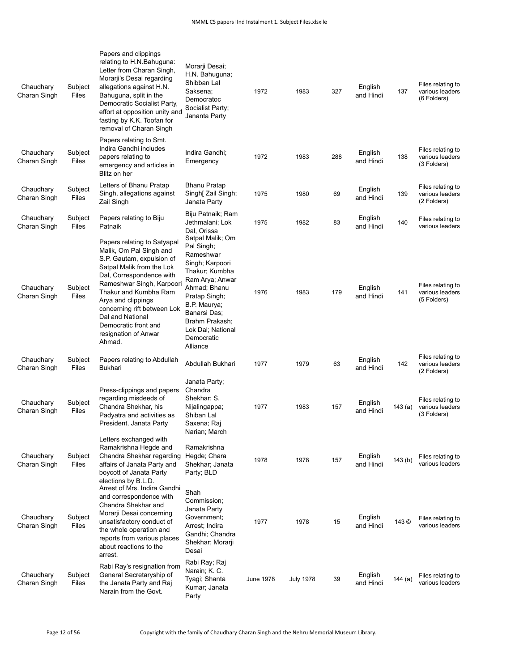| Chaudhary<br>Charan Singh | Subject<br>Files | Papers and clippings<br>relating to H.N.Bahuguna:<br>Letter from Charan Singh,<br>Morarji's Desai regarding<br>allegations against H.N.<br>Bahuguna, split in the<br>Democratic Socialist Party,<br>effort at opposition unity and<br>fasting by K.K. Toofan for<br>removal of Charan Singh                                           | Morarji Desai;<br>H.N. Bahuguna;<br>Shibban Lal<br>Saksena;<br>Democratoc<br>Socialist Party;<br>Jananta Party                                                                                                                        | 1972             | 1983             | 327 | English<br>and Hindi | 137       | Files relating to<br>various leaders<br>(6 Folders) |
|---------------------------|------------------|---------------------------------------------------------------------------------------------------------------------------------------------------------------------------------------------------------------------------------------------------------------------------------------------------------------------------------------|---------------------------------------------------------------------------------------------------------------------------------------------------------------------------------------------------------------------------------------|------------------|------------------|-----|----------------------|-----------|-----------------------------------------------------|
| Chaudhary<br>Charan Singh | Subject<br>Files | Papers relating to Smt.<br>Indira Gandhi includes<br>papers relating to<br>emergency and articles in<br>Blitz on her                                                                                                                                                                                                                  | Indira Gandhi;<br>Emergency                                                                                                                                                                                                           | 1972             | 1983             | 288 | English<br>and Hindi | 138       | Files relating to<br>various leaders<br>(3 Folders) |
| Chaudhary<br>Charan Singh | Subject<br>Files | Letters of Bhanu Pratap<br>Singh, allegations against<br>Zail Singh                                                                                                                                                                                                                                                                   | <b>Bhanu Pratap</b><br>Singh[ Zail Singh;<br>Janata Party                                                                                                                                                                             | 1975             | 1980             | 69  | English<br>and Hindi | 139       | Files relating to<br>various leaders<br>(2 Folders) |
| Chaudhary<br>Charan Singh | Subject<br>Files | Papers relating to Biju<br>Patnaik                                                                                                                                                                                                                                                                                                    | Biju Patnaik; Ram<br>Jethmalani; Lok<br>Dal, Orissa                                                                                                                                                                                   | 1975             | 1982             | 83  | English<br>and Hindi | 140       | Files relating to<br>various leaders                |
| Chaudhary<br>Charan Singh | Subject<br>Files | Papers relating to Satyapal<br>Malik, Om Pal Singh and<br>S.P. Gautam, expulsion of<br>Satpal Malik from the Lok<br>Dal, Correspondence with<br>Rameshwar Singh, Karpoori<br>Thakur and Kumbha Ram<br>Arya and clippings<br>concerning rift between Lok<br>Dal and National<br>Democratic front and<br>resignation of Anwar<br>Ahmad. | Satpal Malik; Om<br>Pal Singh;<br>Rameshwar<br>Singh; Karpoori<br>Thakur; Kumbha<br>Ram Arya; Anwar<br>Ahmad: Bhanu<br>Pratap Singh;<br>B.P. Maurya;<br>Banarsi Das;<br>Brahm Prakash;<br>Lok Dal; National<br>Democratic<br>Alliance | 1976             | 1983             | 179 | English<br>and Hindi | 141       | Files relating to<br>various leaders<br>(5 Folders) |
| Chaudhary<br>Charan Singh | Subject<br>Files | Papers relating to Abdullah<br><b>Bukhari</b>                                                                                                                                                                                                                                                                                         | Abdullah Bukhari                                                                                                                                                                                                                      | 1977             | 1979             | 63  | English<br>and Hindi | 142       | Files relating to<br>various leaders<br>(2 Folders) |
| Chaudhary<br>Charan Singh | Subject<br>Files | Press-clippings and papers<br>regarding misdeeds of<br>Chandra Shekhar, his<br>Padyatra and activities as<br>President, Janata Party                                                                                                                                                                                                  | Janata Party;<br>Chandra<br>Shekhar; S.<br>Nijalingappa;<br>Shiban Lal<br>Saxena; Raj<br>Narian; March                                                                                                                                | 1977             | 1983             | 157 | English<br>and Hindi | 143 $(a)$ | Files relating to<br>various leaders<br>(3 Folders) |
| Chaudhary<br>Charan Singh | Subject<br>Files | Letters exchanged with<br>Ramakrishna Hegde and<br>Chandra Shekhar regarding<br>affairs of Janata Party and<br>boycott of Janata Party<br>elections by B.L.D.                                                                                                                                                                         | Ramakrishna<br>Hegde; Chara<br>Shekhar; Janata<br>Party; BLD                                                                                                                                                                          | 1978             | 1978             | 157 | English<br>and Hindi | 143(b)    | Files relating to<br>various leaders                |
| Chaudhary<br>Charan Singh | Subject<br>Files | Arrest of Mrs. Indira Gandhi<br>and correspondence with<br>Chandra Shekhar and<br>Morarji Desai concerning<br>unsatisfactory conduct of<br>the whole operation and<br>reports from various places<br>about reactions to the<br>arrest.                                                                                                | Shah<br>Commission;<br>Janata Party<br>Government:<br>Arrest; Indira<br>Gandhi; Chandra<br>Shekhar; Morarji<br>Desai                                                                                                                  | 1977             | 1978             | 15  | English<br>and Hindi | 143 ©     | Files relating to<br>various leaders                |
| Chaudhary<br>Charan Singh | Subject<br>Files | Rabi Ray's resignation from<br>General Secretaryship of<br>the Janata Party and Raj<br>Narain from the Govt.                                                                                                                                                                                                                          | Rabi Ray; Raj<br>Narain; K. C.<br>Tyagi; Shanta<br>Kumar; Janata<br>Party                                                                                                                                                             | <b>June 1978</b> | <b>July 1978</b> | 39  | English<br>and Hindi | 144(a)    | Files relating to<br>various leaders                |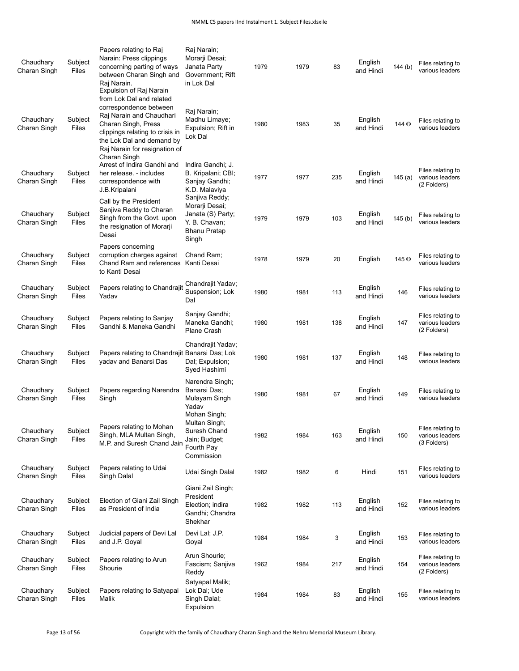| Chaudhary<br>Charan Singh | Subject<br>Files | Papers relating to Raj<br>Narain: Press clippings<br>concerning parting of ways<br>between Charan Singh and<br>Raj Narain.<br>Expulsion of Raj Narain<br>from Lok Dal and related          | Raj Narain;<br>Morarji Desai;<br>Janata Party<br>Government; Rift<br>in Lok Dal              | 1979 | 1979 | 83  | English<br>and Hindi | 144 (b)   | Files relating to<br>various leaders                |
|---------------------------|------------------|--------------------------------------------------------------------------------------------------------------------------------------------------------------------------------------------|----------------------------------------------------------------------------------------------|------|------|-----|----------------------|-----------|-----------------------------------------------------|
| Chaudhary<br>Charan Singh | Subject<br>Files | correspondence between<br>Raj Narain and Chaudhari<br>Charan Singh, Press<br>clippings relating to crisis in<br>the Lok Dal and demand by<br>Raj Narain for resignation of<br>Charan Singh | Raj Narain;<br>Madhu Limaye;<br>Expulsion; Rift in<br>Lok Dal                                | 1980 | 1983 | 35  | English<br>and Hindi | 144 ©     | Files relating to<br>various leaders                |
| Chaudhary<br>Charan Singh | Subject<br>Files | Arrest of Indira Gandhi and<br>her release. - includes<br>correspondence with<br>J.B.Kripalani                                                                                             | Indira Gandhi; J.<br>B. Kripalani; CBI;<br>Sanjay Gandhi;<br>K.D. Malaviya<br>Sanjiva Reddy; | 1977 | 1977 | 235 | English<br>and Hindi | 145 $(a)$ | Files relating to<br>various leaders<br>(2 Folders) |
| Chaudhary<br>Charan Singh | Subject<br>Files | Call by the President<br>Sanjiva Reddy to Charan<br>Singh from the Govt. upon<br>the resignation of Morarii<br>Desai                                                                       | Morarji Desai;<br>Janata (S) Party;<br>Y. B. Chavan;<br><b>Bhanu Pratap</b><br>Singh         | 1979 | 1979 | 103 | English<br>and Hindi | 145(b)    | Files relating to<br>various leaders                |
| Chaudhary<br>Charan Singh | Subject<br>Files | Papers concerning<br>corruption charges against<br>Chand Ram and references<br>to Kanti Desai                                                                                              | Chand Ram;<br>Kanti Desai                                                                    | 1978 | 1979 | 20  | English              | 145 ©     | Files relating to<br>various leaders                |
| Chaudhary<br>Charan Singh | Subject<br>Files | Papers relating to Chandrajit<br>Yadav                                                                                                                                                     | Chandrajit Yadav;<br>Suspension; Lok<br>Dal                                                  | 1980 | 1981 | 113 | English<br>and Hindi | 146       | Files relating to<br>various leaders                |
| Chaudhary<br>Charan Singh | Subject<br>Files | Papers relating to Sanjay<br>Gandhi & Maneka Gandhi                                                                                                                                        | Sanjay Gandhi;<br>Maneka Gandhi;<br>Plane Crash                                              | 1980 | 1981 | 138 | English<br>and Hindi | 147       | Files relating to<br>various leaders<br>(2 Folders) |
| Chaudhary<br>Charan Singh | Subject<br>Files | Papers relating to Chandrajit Banarsi Das; Lok<br>yadav and Banarsi Das                                                                                                                    | Chandrajit Yadav;<br>Dal; Expulsion;<br>Syed Hashimi                                         | 1980 | 1981 | 137 | English<br>and Hindi | 148       | Files relating to<br>various leaders                |
| Chaudhary<br>Charan Singh | Subject<br>Files | Papers regarding Narendra<br>Singh                                                                                                                                                         | Narendra Singh;<br>Banarsi Das;<br>Mulayam Singh<br>Yadav                                    | 1980 | 1981 | 67  | English<br>and Hindi | 149       | Files relating to<br>various leaders                |
| Chaudhary<br>Charan Singh | Subject<br>Files | Papers relating to Mohan<br>Singh, MLA Multan Singh,<br>M.P. and Suresh Chand Jain                                                                                                         | Mohan Singh;<br>Multan Singh;<br>Suresh Chand<br>Jain; Budget;<br>Fourth Pay<br>Commission   | 1982 | 1984 | 163 | English<br>and Hindi | 150       | Files relating to<br>various leaders<br>(3 Folders) |
| Chaudhary<br>Charan Singh | Subject<br>Files | Papers relating to Udai<br>Singh Dalal                                                                                                                                                     | Udai Singh Dalal                                                                             | 1982 | 1982 | 6   | Hindi                | 151       | Files relating to<br>various leaders                |
| Chaudhary<br>Charan Singh | Subject<br>Files | Election of Giani Zail Singh<br>as President of India                                                                                                                                      | Giani Zail Singh;<br>President<br>Election; indira<br>Gandhi; Chandra<br>Shekhar             | 1982 | 1982 | 113 | English<br>and Hindi | 152       | Files relating to<br>various leaders                |
| Chaudhary<br>Charan Singh | Subject<br>Files | Judicial papers of Devi Lal<br>and J.P. Goyal                                                                                                                                              | Devi Lal; J.P.<br>Goyal                                                                      | 1984 | 1984 | 3   | English<br>and Hindi | 153       | Files relating to<br>various leaders                |
| Chaudhary<br>Charan Singh | Subject<br>Files | Papers relating to Arun<br>Shourie                                                                                                                                                         | Arun Shourie;<br>Fascism; Sanjiva<br>Reddy                                                   | 1962 | 1984 | 217 | English<br>and Hindi | 154       | Files relating to<br>various leaders<br>(2 Folders) |
| Chaudhary<br>Charan Singh | Subject<br>Files | Papers relating to Satyapal<br>Malik                                                                                                                                                       | Satyapal Malik;<br>Lok Dal; Ude<br>Singh Dalal;<br>Expulsion                                 | 1984 | 1984 | 83  | English<br>and Hindi | 155       | Files relating to<br>various leaders                |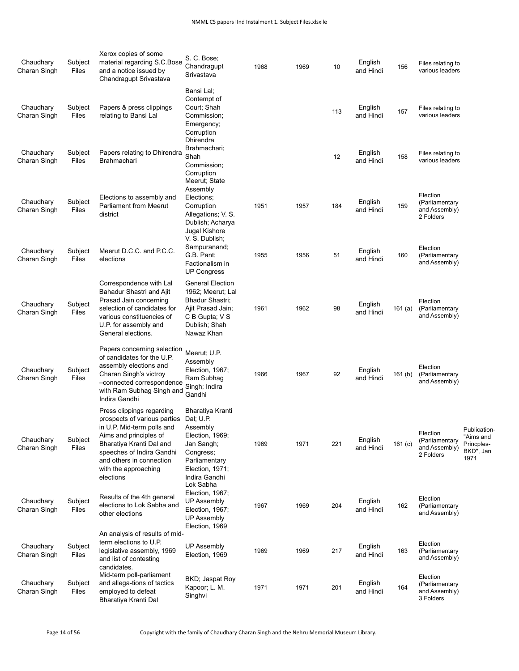| Chaudhary<br>Charan Singh | Subject<br>Files | Xerox copies of some<br>material regarding S.C.Bose<br>and a notice issued by<br>Chandragupt Srivastava                                                                                                                                     | S. C. Bose;<br>Chandragupt<br>Srivastava                                                                                                     | 1968 | 1969 | 10  | English<br>and Hindi | 156       | Files relating to<br>various leaders                     |                                                              |
|---------------------------|------------------|---------------------------------------------------------------------------------------------------------------------------------------------------------------------------------------------------------------------------------------------|----------------------------------------------------------------------------------------------------------------------------------------------|------|------|-----|----------------------|-----------|----------------------------------------------------------|--------------------------------------------------------------|
| Chaudhary<br>Charan Singh | Subject<br>Files | Papers & press clippings<br>relating to Bansi Lal                                                                                                                                                                                           | Bansi Lal;<br>Contempt of<br>Court; Shah<br>Commission;<br>Emergency;<br>Corruption                                                          |      |      | 113 | English<br>and Hindi | 157       | Files relating to<br>various leaders                     |                                                              |
| Chaudhary<br>Charan Singh | Subject<br>Files | Papers relating to Dhirendra<br>Brahmachari                                                                                                                                                                                                 | Dhirendra<br>Brahmachari;<br>Shah<br>Commission;<br>Corruption<br>Meerut; State                                                              |      |      | 12  | English<br>and Hindi | 158       | Files relating to<br>various leaders                     |                                                              |
| Chaudhary<br>Charan Singh | Subject<br>Files | Elections to assembly and<br>Parliament from Meerut<br>district                                                                                                                                                                             | Assembly<br>Elections;<br>Corruption<br>Allegations; V. S.<br>Dublish; Acharya<br>Jugal Kishore                                              | 1951 | 1957 | 184 | English<br>and Hindi | 159       | Election<br>(Parliamentary<br>and Assembly)<br>2 Folders |                                                              |
| Chaudhary<br>Charan Singh | Subject<br>Files | Meerut D.C.C. and P.C.C.<br>elections                                                                                                                                                                                                       | V. S. Dublish;<br>Sampuranand;<br>G.B. Pant;<br>Factionalism in<br>UP Congress                                                               | 1955 | 1956 | 51  | English<br>and Hindi | 160       | Election<br>(Parliamentary<br>and Assembly)              |                                                              |
| Chaudhary<br>Charan Singh | Subject<br>Files | Correspondence with Lal<br>Bahadur Shastri and Ajit<br>Prasad Jain concerning<br>selection of candidates for<br>various constituencies of<br>U.P. for assembly and<br>General elections.                                                    | <b>General Election</b><br>1962; Meerut; Lal<br>Bhadur Shastri;<br>Ajit Prasad Jain;<br>C B Gupta; V S<br>Dublish; Shah<br>Nawaz Khan        | 1961 | 1962 | 98  | English<br>and Hindi | 161 $(a)$ | Election<br>(Parliamentary<br>and Assembly)              |                                                              |
| Chaudhary<br>Charan Singh | Subject<br>Files | Papers concerning selection<br>of candidates for the U.P.<br>assembly elections and<br>Charan Singh's victroy<br>-connected correspondence<br>with Ram Subhag Singh and<br>Indira Gandhi                                                    | Meerut; U.P.<br>Assembly<br>Election, 1967;<br>Ram Subhag<br>Singh; Indira<br>Gandhi                                                         | 1966 | 1967 | 92  | English<br>and Hindi | 161 $(b)$ | Election<br>(Parliamentary<br>and Assembly)              |                                                              |
| Chaudhary<br>Charan Singh | Subject<br>Files | Press clippings regarding<br>prospects of various parties<br>in U.P. Mid-term polls and<br>Aims and principles of<br>Bharatiya Kranti Dal and<br>speeches of Indira Gandhi<br>and others in connection<br>with the approaching<br>elections | Bharatiya Kranti<br>Dal; U.P.<br>Assembly<br>Election, 1969;<br>Jan Sangh;<br>Congress;<br>Parliamentary<br>Election, 1971;<br>Indira Gandhi | 1969 | 1971 | 221 | English<br>and Hindi | 161 $(c)$ | Election<br>(Parliamentary<br>and Assembly)<br>2 Folders | Publication-<br>"Aims and<br>Princples-<br>BKD", Jan<br>1971 |
| Chaudhary<br>Charan Singh | Subject<br>Files | Results of the 4th general<br>elections to Lok Sabha and<br>other elections                                                                                                                                                                 | Lok Sabha<br>Election, 1967;<br>UP Assembly<br>Election, 1967;<br>UP Assembly<br>Election, 1969                                              | 1967 | 1969 | 204 | English<br>and Hindi | 162       | Election<br>(Parliamentary<br>and Assembly)              |                                                              |
| Chaudhary<br>Charan Singh | Subject<br>Files | An analysis of results of mid-<br>term elections to U.P.<br>legislative assembly, 1969<br>and list of contesting<br>candidates.                                                                                                             | <b>UP Assembly</b><br>Election, 1969                                                                                                         | 1969 | 1969 | 217 | English<br>and Hindi | 163       | Election<br>(Parliamentary<br>and Assembly)              |                                                              |
| Chaudhary<br>Charan Singh | Subject<br>Files | Mid-term poll-parliament<br>and allega-tions of tactics<br>employed to defeat<br>Bharatiya Kranti Dal                                                                                                                                       | BKD; Jaspat Roy<br>Kapoor; L. M.<br>Singhvi                                                                                                  | 1971 | 1971 | 201 | English<br>and Hindi | 164       | Election<br>(Parliamentary<br>and Assembly)<br>3 Folders |                                                              |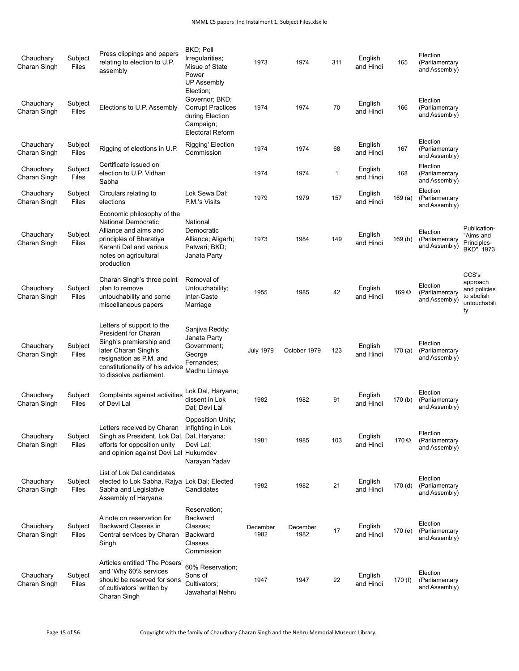| Chaudhary<br>Charan Singh | Subject<br>Files | Press clippings and papers<br>relating to election to U.P.<br>assembly                                                                                                                               | BKD; Poll<br>Irregularities;<br>Misue of State<br>Power<br><b>UP Assembly</b><br>Election;            | 1973             | 1974             | 311          | English<br>and Hindi | 165                | Election<br>(Parliamentary<br>and Assembly) |                                                                       |
|---------------------------|------------------|------------------------------------------------------------------------------------------------------------------------------------------------------------------------------------------------------|-------------------------------------------------------------------------------------------------------|------------------|------------------|--------------|----------------------|--------------------|---------------------------------------------|-----------------------------------------------------------------------|
| Chaudhary<br>Charan Singh | Subject<br>Files | Elections to U.P. Assembly                                                                                                                                                                           | Governor; BKD;<br><b>Corrupt Practices</b><br>during Election<br>Campaign;<br><b>Electoral Reform</b> | 1974             | 1974             | 70           | English<br>and Hindi | 166                | Election<br>(Parliamentary<br>and Assembly) |                                                                       |
| Chaudhary<br>Charan Singh | Subject<br>Files | Rigging of elections in U.P.                                                                                                                                                                         | Rigging' Election<br>Commission                                                                       | 1974             | 1974             | 68           | English<br>and Hindi | 167                | Election<br>(Parliamentary<br>and Assembly) |                                                                       |
| Chaudhary<br>Charan Singh | Subject<br>Files | Certificate issued on<br>election to U.P. Vidhan<br>Sabha                                                                                                                                            |                                                                                                       | 1974             | 1974             | $\mathbf{1}$ | English<br>and Hindi | 168                | Election<br>(Parliamentary<br>and Assembly) |                                                                       |
| Chaudhary<br>Charan Singh | Subject<br>Files | Circulars relating to<br>elections                                                                                                                                                                   | Lok Sewa Dal;<br>P.M.'s Visits                                                                        | 1979             | 1979             | 157          | English<br>and Hindi | 169(a)             | Election<br>(Parliamentary<br>and Assembly) |                                                                       |
| Chaudhary<br>Charan Singh | Subject<br>Files | Economic philosophy of the<br><b>National Democratic</b><br>Alliance and aims and<br>principles of Bharatiya<br>Karanti Dal and various<br>notes on agricultural<br>production                       | National<br>Democratic<br>Alliance; Aligarh;<br>Patwari; BKD;<br>Janata Party                         | 1973             | 1984             | 149          | English<br>and Hindi | 169 <sub>(b)</sub> | Election<br>(Parliamentary<br>and Assembly) | Publication-<br>"Aims and<br>Principles-<br>BKD", 1973                |
| Chaudhary<br>Charan Singh | Subject<br>Files | Charan Singh's three point<br>plan to remove<br>untouchability and some<br>miscellaneous papers                                                                                                      | Removal of<br>Untouchability;<br>Inter-Caste<br>Marriage                                              | 1955             | 1985             | 42           | English<br>and Hindi | 169 ©              | Election<br>(Parliamentary<br>and Assembly) | CCS's<br>approach<br>and policies<br>to abolish<br>untouchabili<br>ty |
| Chaudhary<br>Charan Singh | Subject<br>Files | Letters of support to the<br><b>President for Charan</b><br>Singh's premiership and<br>later Charan Singh's<br>resignation as P.M. and<br>constitutionality of his advice<br>to dissolve parliament. | Sanjiva Reddy;<br>Janata Party<br>Government;<br>George<br>Fernandes;<br>Madhu Limaye                 | <b>July 1979</b> | October 1979     | 123          | English<br>and Hindi | 170 $(a)$          | Election<br>(Parliamentary<br>and Assembly) |                                                                       |
| Chaudhary<br>Charan Singh | Subject<br>Files | Complaints against activities<br>of Devi Lal                                                                                                                                                         | Lok Dal, Haryana;<br>dissent in Lok<br>Dal; Devi Lal                                                  | 1982             | 1982             | 91           | English<br>and Hindi | 170(b)             | Election<br>(Parliamentary<br>and Assembly) |                                                                       |
| Chaudhary<br>Charan Singh | Subject<br>Files | Letters received by Charan Infighting in Lok<br>Singh as President, Lok Dal, Dal, Haryana;<br>efforts for opposition unity<br>and opinion against Devi Lal Hukumdev                                  | Opposition Unity;<br>Devi Lal:<br>Narayan Yadav                                                       | 1981             | 1985             | 103          | English<br>and Hindi | 170 ©              | Election<br>(Parliamentary<br>and Assembly) |                                                                       |
| Chaudhary<br>Charan Singh | Subject<br>Files | List of Lok Dal candidates<br>elected to Lok Sabha, Rajya Lok Dal; Elected<br>Sabha and Legislative<br>Assembly of Haryana                                                                           | Candidates                                                                                            | 1982             | 1982             | 21           | English<br>and Hindi | 170(d)             | Election<br>(Parliamentary<br>and Assembly) |                                                                       |
| Chaudhary<br>Charan Singh | Subject<br>Files | A note on reservation for<br>Backward Classes in<br>Central services by Charan<br>Singh                                                                                                              | Reservation;<br><b>Backward</b><br>Classes;<br>Backward<br>Classes<br>Commission                      | December<br>1982 | December<br>1982 | 17           | English<br>and Hindi | 170 (e)            | Election<br>(Parliamentary<br>and Assembly) |                                                                       |
| Chaudhary<br>Charan Singh | Subject<br>Files | Articles entitled 'The Posers'<br>and 'Why 60% services<br>should be reserved for sons<br>of cultivators' written by<br>Charan Singh                                                                 | 60% Reservation;<br>Sons of<br>Cultivators;<br>Jawaharlal Nehru                                       | 1947             | 1947             | 22           | English<br>and Hindi | 170 (f)            | Election<br>(Parliamentary<br>and Assembly) |                                                                       |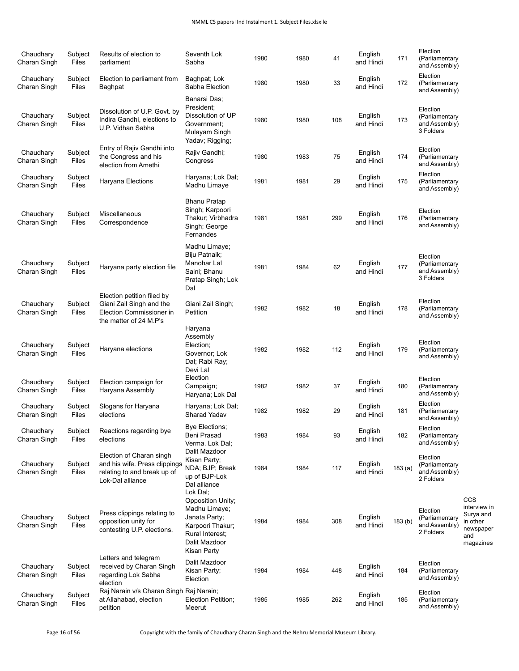| Chaudhary<br>Charan Singh | Subject<br>Files        | Results of election to<br>parliament                                                                         | Seventh Lok<br>Sabha                                                                                                                          | 1980 | 1980 | 41  | English<br>and Hindi | 171    | Election<br>(Parliamentary<br>and Assembly)              |                                                                               |
|---------------------------|-------------------------|--------------------------------------------------------------------------------------------------------------|-----------------------------------------------------------------------------------------------------------------------------------------------|------|------|-----|----------------------|--------|----------------------------------------------------------|-------------------------------------------------------------------------------|
| Chaudhary<br>Charan Singh | Subject<br>Files        | Election to parliament from<br>Baghpat                                                                       | Baghpat; Lok<br>Sabha Election                                                                                                                | 1980 | 1980 | 33  | English<br>and Hindi | 172    | Election<br>(Parliamentary<br>and Assembly)              |                                                                               |
| Chaudhary<br>Charan Singh | Subject<br>Files        | Dissolution of U.P. Govt. by<br>Indira Gandhi, elections to<br>U.P. Vidhan Sabha                             | Banarsi Das;<br>President:<br>Dissolution of UP<br>Government:<br>Mulayam Singh<br>Yadav; Rigging;                                            | 1980 | 1980 | 108 | English<br>and Hindi | 173    | Election<br>(Parliamentary<br>and Assembly)<br>3 Folders |                                                                               |
| Chaudhary<br>Charan Singh | Subject<br>Files        | Entry of Rajiv Gandhi into<br>the Congress and his<br>election from Amethi                                   | Rajiv Gandhi;<br>Congress                                                                                                                     | 1980 | 1983 | 75  | English<br>and Hindi | 174    | Election<br>(Parliamentary<br>and Assembly)              |                                                                               |
| Chaudhary<br>Charan Singh | Subject<br>Files        | Haryana Elections                                                                                            | Haryana; Lok Dal;<br>Madhu Limaye                                                                                                             | 1981 | 1981 | 29  | English<br>and Hindi | 175    | Election<br>(Parliamentary<br>and Assembly)              |                                                                               |
| Chaudhary<br>Charan Singh | Subject<br>Files        | Miscellaneous<br>Correspondence                                                                              | <b>Bhanu Pratap</b><br>Singh; Karpoori<br>Thakur; Virbhadra<br>Singh; George<br>Fernandes                                                     | 1981 | 1981 | 299 | English<br>and Hindi | 176    | Election<br>(Parliamentary<br>and Assembly)              |                                                                               |
| Chaudhary<br>Charan Singh | Subject<br>Files        | Haryana party election file                                                                                  | Madhu Limaye;<br>Biju Patnaik;<br>Manohar Lal<br>Saini; Bhanu<br>Pratap Singh; Lok<br>Dal                                                     | 1981 | 1984 | 62  | English<br>and Hindi | 177    | Election<br>(Parliamentary<br>and Assembly)<br>3 Folders |                                                                               |
| Chaudhary<br>Charan Singh | Subject<br>Files        | Election petition filed by<br>Giani Zail Singh and the<br>Election Commissioner in<br>the matter of 24 M.P's | Giani Zail Singh;<br>Petition                                                                                                                 | 1982 | 1982 | 18  | English<br>and Hindi | 178    | Election<br>(Parliamentary<br>and Assembly)              |                                                                               |
| Chaudhary<br>Charan Singh | Subject<br>Files        | Haryana elections                                                                                            | Haryana<br>Assembly<br>Election;<br>Governor; Lok<br>Dal; Rabi Ray;<br>Devi Lal                                                               | 1982 | 1982 | 112 | English<br>and Hindi | 179    | Election<br>(Parliamentary<br>and Assembly)              |                                                                               |
| Chaudhary<br>Charan Singh | Subject<br>Files        | Election campaign for<br>Haryana Assembly                                                                    | Election<br>Campaign;<br>Haryana; Lok Dal                                                                                                     | 1982 | 1982 | 37  | English<br>and Hindi | 180    | Election<br>(Parliamentary<br>and Assembly)              |                                                                               |
| Chaudhary<br>Charan Singh | Subject<br>Files        | Slogans for Haryana<br>elections                                                                             | Haryana; Lok Dal;<br>Sharad Yadav                                                                                                             | 1982 | 1982 | 29  | English<br>and Hindi | 181    | Election<br>(Parliamentary<br>and Assembly)              |                                                                               |
| Chaudhary<br>Charan Singh | Subject<br>Files        | Reactions regarding bye<br>elections                                                                         | Bye Elections;<br>Beni Prasad<br>Verma. Lok Dal;                                                                                              | 1983 | 1984 | 93  | English<br>and Hindi | 182    | Election<br>(Parliamentary<br>and Assembly)              |                                                                               |
| Chaudhary<br>Charan Singh | Subject<br>Files        | Election of Charan singh<br>and his wife. Press clippings<br>relating to and break up of<br>Lok-Dal alliance | Dalit Mazdoor<br>Kisan Party;<br>NDA; BJP; Break<br>up of BJP-Lok<br>Dal alliance                                                             | 1984 | 1984 | 117 | English<br>and Hindi | 183(a) | Election<br>(Parliamentary<br>and Assembly)<br>2 Folders |                                                                               |
| Chaudhary<br>Charan Singh | Subject<br>Files        | Press clippings relating to<br>opposition unity for<br>contesting U.P. elections.                            | Lok Dal;<br><b>Opposition Unity:</b><br>Madhu Limaye;<br>Janata Party;<br>Karpoori Thakur;<br>Rural Interest;<br>Dalit Mazdoor<br>Kisan Party | 1984 | 1984 | 308 | English<br>and Hindi | 183(b) | Election<br>(Parliamentary<br>and Assembly)<br>2 Folders | CCS<br>interview in<br>Surya and<br>in other<br>newspaper<br>and<br>magazines |
| Chaudhary<br>Charan Singh | Subject<br>Files        | Letters and telegram<br>received by Charan Singh<br>regarding Lok Sabha<br>election                          | Dalit Mazdoor<br>Kisan Party;<br>Election                                                                                                     | 1984 | 1984 | 448 | English<br>and Hindi | 184    | Election<br>(Parliamentary<br>and Assembly)              |                                                                               |
| Chaudhary<br>Charan Singh | Subject<br><b>Files</b> | Raj Narain v/s Charan Singh Raj Narain;<br>at Allahabad, election<br>petition                                | Election Petition;<br>Meerut                                                                                                                  | 1985 | 1985 | 262 | English<br>and Hindi | 185    | Election<br>(Parliamentary<br>and Assembly)              |                                                                               |

Page 16 of 56 Copyright with the family of Chaudhary Charan Singh and the Nehru Memorial Museum Library.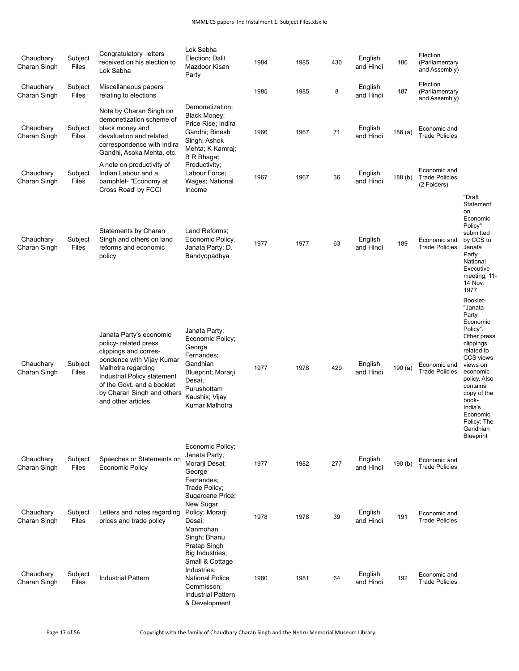## NMML CS papers IInd Instalment 1. Subject Files.xlsxile

| Chaudhary<br>Charan Singh | Subject<br>Files        | Congratulatory letters<br>received on his election to<br>Lok Sabha                                                                                                                                                                            | Lok Sabha<br>Election; Dalit<br>Mazdoor Kisan<br>Party                                                                                                   | 1984 | 1985 | 430 | English<br>and Hindi | 186                | Election<br>(Parliamentary<br>and Assembly)          |                                                                                                                                                                                                                                                               |
|---------------------------|-------------------------|-----------------------------------------------------------------------------------------------------------------------------------------------------------------------------------------------------------------------------------------------|----------------------------------------------------------------------------------------------------------------------------------------------------------|------|------|-----|----------------------|--------------------|------------------------------------------------------|---------------------------------------------------------------------------------------------------------------------------------------------------------------------------------------------------------------------------------------------------------------|
| Chaudhary<br>Charan Singh | Subject<br>Files        | Miscellaneous papers<br>relating to elections                                                                                                                                                                                                 |                                                                                                                                                          | 1985 | 1985 | 8   | English<br>and Hindi | 187                | Election<br>(Parliamentary<br>and Assembly)          |                                                                                                                                                                                                                                                               |
| Chaudhary<br>Charan Singh | Subject<br>Files        | Note by Charan Singh on<br>demonetization scheme of<br>black money and<br>devaluation and related<br>correspondence with Indira<br>Gandhi, Asoka Mehta, etc.                                                                                  | Demonetization;<br>Black Money;<br>Price Rise; Indira<br>Gandhi; Binesh<br>Singh; Ashok<br>Mehta; K Kamraj;<br><b>B</b> R Bhagat                         | 1966 | 1967 | 71  | English<br>and Hindi | 188(a)             | Economic and<br><b>Trade Policies</b>                |                                                                                                                                                                                                                                                               |
| Chaudhary<br>Charan Singh | Subject<br>Files        | A note on productivity of<br>Indian Labour and a<br>pamphlet- "Economy at<br>Cross Road' by FCCI                                                                                                                                              | Productivity;<br>Labour Force;<br>Wages; National<br>Income                                                                                              | 1967 | 1967 | 36  | English<br>and Hindi | 188 <sub>(b)</sub> | Economic and<br><b>Trade Policies</b><br>(2 Folders) |                                                                                                                                                                                                                                                               |
| Chaudhary<br>Charan Singh | Subject<br>Files        | Statements by Charan<br>Singh and others on land<br>reforms and economic<br>policy                                                                                                                                                            | Land Reforms;<br>Economic Policy,<br>Janata Party; D.<br>Bandyopadhya                                                                                    | 1977 | 1977 | 63  | English<br>and Hindi | 189                | Economic and<br><b>Trade Policies</b>                | "Draft<br>Statement<br>on<br>Economic<br>Policy"<br>submitted<br>by CCS to<br>Janata<br>Party<br>National<br>Executive<br>meeting, 11-<br>14 Nov.<br>1977                                                                                                     |
| Chaudhary<br>Charan Singh | Subject<br>Files        | Janata Party's economic<br>policy- related press<br>clippings and corres-<br>pondence with Vijay Kumar<br>Malhotra regarding<br>Industrial Policy statement<br>of the Govt. and a booklet<br>by Charan Singh and others<br>and other articles | Janata Party;<br>Economic Policy;<br>George<br>Fernandes;<br>Gandhian<br>Blueprint; Morarji<br>Desai;<br>Purushottam<br>Kaushik; Vijay<br>Kumar Malhotra | 1977 | 1978 | 429 | English<br>and Hindi | 190(a)             | Economic and<br><b>Trade Policies</b>                | Booklet-<br>"Janata<br>Party<br>Economic<br>Policy".<br>Other press<br>clippings<br>related to<br>CCS views<br>views on<br>economic<br>policy. Also<br>contains<br>copy of the<br>book-<br>India's<br>Economic<br>Policy: The<br>Gandhian<br><b>Blueprint</b> |
| Chaudhary<br>Charan Singh | Subject<br>Files        | Speeches or Statements on<br><b>Economic Policy</b>                                                                                                                                                                                           | Economic Policy;<br>Janata Party;<br>Morarji Desai;<br>George<br>Fernandes;<br>Trade Policy;<br>Sugarcane Price:                                         | 1977 | 1982 | 277 | English<br>and Hindi | 190(b)             | Economic and<br><b>Trade Policies</b>                |                                                                                                                                                                                                                                                               |
| Chaudhary<br>Charan Singh | Subject<br>Files        | Letters and notes regarding<br>prices and trade policy                                                                                                                                                                                        | New Sugar<br>Policy; Morarji<br>Desai;<br>Manmohan<br>Singh; Bhanu<br>Pratap Singh<br>Big Industries;<br>Small & Cottage                                 | 1978 | 1978 | 39  | English<br>and Hindi | 191                | Economic and<br><b>Trade Policies</b>                |                                                                                                                                                                                                                                                               |
| Chaudhary<br>Charan Singh | Subject<br><b>Files</b> | <b>Industrial Pattern</b>                                                                                                                                                                                                                     | Industries;<br>National Police<br>Commisson;<br><b>Industrial Pattern</b><br>& Development                                                               | 1980 | 1981 | 64  | English<br>and Hindi | 192                | Economic and<br><b>Trade Policies</b>                |                                                                                                                                                                                                                                                               |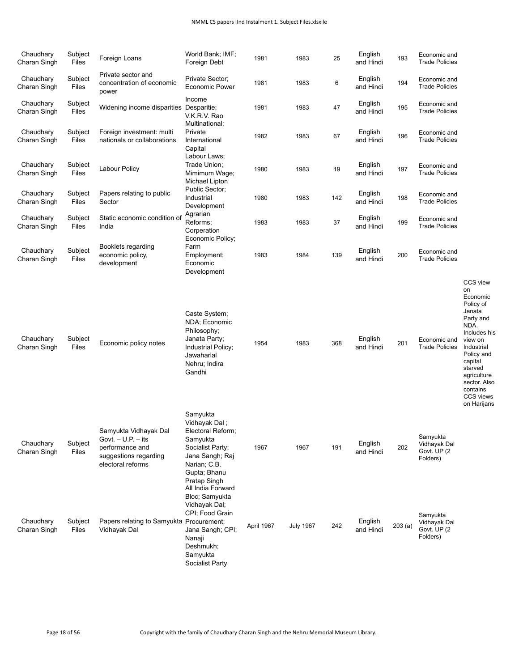| Chaudhary<br>Charan Singh | Subject<br>Files | Foreign Loans                                                                                                  | World Bank; IMF;<br>Foreign Debt                                                                                                                                                         | 1981       | 1983             | 25  | English<br>and Hindi | 193    | Economic and<br><b>Trade Policies</b>                |                                                                                                                                                                                                                            |
|---------------------------|------------------|----------------------------------------------------------------------------------------------------------------|------------------------------------------------------------------------------------------------------------------------------------------------------------------------------------------|------------|------------------|-----|----------------------|--------|------------------------------------------------------|----------------------------------------------------------------------------------------------------------------------------------------------------------------------------------------------------------------------------|
| Chaudhary<br>Charan Singh | Subject<br>Files | Private sector and<br>concentration of economic<br>power                                                       | Private Sector:<br><b>Economic Power</b>                                                                                                                                                 | 1981       | 1983             | 6   | English<br>and Hindi | 194    | Economic and<br><b>Trade Policies</b>                |                                                                                                                                                                                                                            |
| Chaudhary<br>Charan Singh | Subject<br>Files | Widening income disparities Desparitie;                                                                        | Income<br>V.K.R.V. Rao                                                                                                                                                                   | 1981       | 1983             | 47  | English<br>and Hindi | 195    | Economic and<br><b>Trade Policies</b>                |                                                                                                                                                                                                                            |
| Chaudhary<br>Charan Singh | Subject<br>Files | Foreign investment: multi<br>nationals or collaborations                                                       | Multinational;<br>Private<br>International<br>Capital                                                                                                                                    | 1982       | 1983             | 67  | English<br>and Hindi | 196    | Economic and<br><b>Trade Policies</b>                |                                                                                                                                                                                                                            |
| Chaudhary<br>Charan Singh | Subject<br>Files | <b>Labour Policy</b>                                                                                           | Labour Laws;<br>Trade Union;<br>Mimimum Wage;<br>Michael Lipton                                                                                                                          | 1980       | 1983             | 19  | English<br>and Hindi | 197    | Economic and<br><b>Trade Policies</b>                |                                                                                                                                                                                                                            |
| Chaudhary<br>Charan Singh | Subject<br>Files | Papers relating to public<br>Sector                                                                            | Public Sector;<br>Industrial<br>Development                                                                                                                                              | 1980       | 1983             | 142 | English<br>and Hindi | 198    | Economic and<br><b>Trade Policies</b>                |                                                                                                                                                                                                                            |
| Chaudhary<br>Charan Singh | Subject<br>Files | Static economic condition of<br>India                                                                          | Agrarian<br>Reforms:<br>Corperation<br>Economic Policy;                                                                                                                                  | 1983       | 1983             | 37  | English<br>and Hindi | 199    | Economic and<br><b>Trade Policies</b>                |                                                                                                                                                                                                                            |
| Chaudhary<br>Charan Singh | Subject<br>Files | Booklets regarding<br>economic policy,<br>development                                                          | Farm<br>Employment:<br>Economic<br>Development                                                                                                                                           | 1983       | 1984             | 139 | English<br>and Hindi | 200    | Economic and<br><b>Trade Policies</b>                |                                                                                                                                                                                                                            |
| Chaudhary<br>Charan Singh | Subject<br>Files | Economic policy notes                                                                                          | Caste System;<br>NDA; Economic<br>Philosophy;<br>Janata Party;<br>Industrial Policy;<br>Jawaharlal<br>Nehru; Indira<br>Gandhi                                                            | 1954       | 1983             | 368 | English<br>and Hindi | 201    | Economic and<br><b>Trade Policies</b>                | CCS view<br>on<br>Economic<br>Policy of<br>Janata<br>Party and<br>NDA.<br>Includes his<br>view on<br>Industrial<br>Policy and<br>capital<br>starved<br>agriculture<br>sector. Also<br>contains<br>CCS views<br>on Harijans |
| Chaudhary<br>Charan Singh | Subject<br>Files | Samyukta Vidhayak Dal<br>Govt. $- U.P. - its$<br>performance and<br>suggestions regarding<br>electoral reforms | Samyukta<br>Vidhayak Dal;<br>Electoral Reform;<br>Samyukta<br>Socialist Party;<br>Jana Sangh; Raj<br>Narian; C.B.<br>Gupta; Bhanu<br>Pratap Singh<br>All India Forward<br>Bloc; Samyukta | 1967       | 1967             | 191 | English<br>and Hindi | 202    | Samyukta<br>Vidhayak Dal<br>Govt. UP (2)<br>Folders) |                                                                                                                                                                                                                            |
| Chaudhary<br>Charan Singh | Subject<br>Files | Papers relating to Samyukta Procurement.<br>Vidhayak Dal                                                       | Vidhayak Dal;<br>CPI; Food Grain<br>Jana Sangh; CPI;<br>Nanaji<br>Deshmukh;<br>Samyukta<br>Socialist Party                                                                               | April 1967 | <b>July 1967</b> | 242 | English<br>and Hindi | 203(a) | Samyukta<br>Vidhayak Dal<br>Govt. UP (2)<br>Folders) |                                                                                                                                                                                                                            |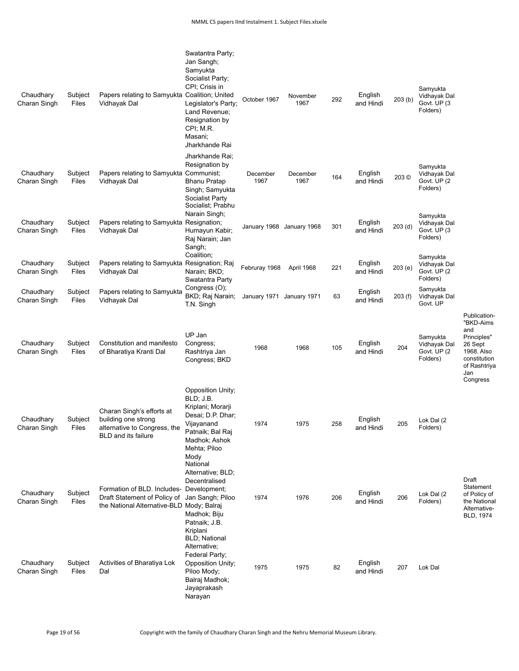| Chaudhary<br>Charan Singh | Subject<br>Files | Papers relating to Samyukta Coalition; United<br>Vidhayak Dal                                                                          | Swatantra Party;<br>Jan Sangh;<br>Samyukta<br>Socialist Party;<br>CPI; Crisis in<br>Legislator's Party;<br>Land Revenue;<br>Resignation by<br>CPI; M.R.<br>Masani;<br>Jharkhande Rai | October 1967              | November<br>1967 | 292 | English<br>and Hindi | 203(b)  | Samyukta<br>Vidhayak Dal<br>Govt. UP (3<br>Folders)  |                                                                                                                             |
|---------------------------|------------------|----------------------------------------------------------------------------------------------------------------------------------------|--------------------------------------------------------------------------------------------------------------------------------------------------------------------------------------|---------------------------|------------------|-----|----------------------|---------|------------------------------------------------------|-----------------------------------------------------------------------------------------------------------------------------|
| Chaudhary<br>Charan Singh | Subject<br>Files | Papers relating to Samyukta Communist;<br>Vidhayak Dal                                                                                 | Jharkhande Rai;<br>Resignation by<br><b>Bhanu Pratap</b><br>Singh; Samyukta<br>Socialist Party<br>Socialist; Prabhu                                                                  | December<br>1967          | December<br>1967 | 164 | English<br>and Hindi | 203 ©   | Samyukta<br>Vidhayak Dal<br>Govt. UP (2<br>Folders)  |                                                                                                                             |
| Chaudhary<br>Charan Singh | Subject<br>Files | Papers relating to Samyukta Resignation;<br>Vidhayak Dal                                                                               | Narain Singh;<br>Humayun Kabir;<br>Raj Narain; Jan<br>Sangh;                                                                                                                         | January 1968 January 1968 |                  | 301 | English<br>and Hindi | 203(d)  | Samyukta<br>Vidhayak Dal<br>Govt. UP (3<br>Folders)  |                                                                                                                             |
| Chaudhary<br>Charan Singh | Subject<br>Files | Papers relating to Samyukta Resignation; Raj<br>Vidhayak Dal                                                                           | Coalition;<br>Narain; BKD;<br>Swatantra Party                                                                                                                                        | Februray 1968             | April 1968       | 221 | English<br>and Hindi | 203(e)  | Samyukta<br>Vidhayak Dal<br>Govt. UP (2)<br>Folders) |                                                                                                                             |
| Chaudhary<br>Charan Singh | Subject<br>Files | Papers relating to Samyukta<br>Vidhayak Dal                                                                                            | Congress (O);<br>BKD; Raj Narain;<br>T.N. Singh                                                                                                                                      | January 1971 January 1971 |                  | 63  | English<br>and Hindi | 203 (f) | Samyukta<br>Vidhayak Dal<br>Govt. UP                 |                                                                                                                             |
| Chaudhary<br>Charan Singh | Subject<br>Files | Constitution and manifesto<br>of Bharatiya Kranti Dal                                                                                  | UP Jan<br>Congress;<br>Rashtriya Jan<br>Congress; BKD                                                                                                                                | 1968                      | 1968             | 105 | English<br>and Hindi | 204     | Samyukta<br>Vidhayak Dal<br>Govt. UP (2)<br>Folders) | Publication-<br>"BKD-Aims<br>and<br>Principles"<br>26 Sept<br>1968. Also<br>constitution<br>of Rashtriya<br>Jan<br>Congress |
| Chaudhary<br>Charan Singh | Subject<br>Files | Charan Singh's efforts at<br>building one strong<br>alternative to Congress, the<br><b>BLD</b> and its failure                         | <b>Opposition Unity;</b><br>BLD; J.B.<br>Kriplani; Morarji<br>Desai; D.P. Dhar;<br>Vijayanand<br>Patnaik; Bal Raj<br>Madhok; Ashok<br>Mehta; Piloo<br>Mody<br>National               | 1974                      | 1975             | 258 | English<br>and Hindi | 205     | Lok Dal (2<br>Folders)                               |                                                                                                                             |
| Chaudhary<br>Charan Singh | Subject<br>Files | Formation of BLD. Includes- Development;<br>Draft Statement of Policy of Jan Sangh; Piloo<br>the National Alternative-BLD Mody; Balraj | Alternative; BLD;<br>Decentralised<br>Madhok; Biju<br>Patnaik; J.B.<br>Kriplani<br><b>BLD</b> ; National                                                                             | 1974                      | 1976             | 206 | English<br>and Hindi | 206     | Lok Dal (2<br>Folders)                               | Draft<br>Statement<br>of Policy of<br>the National<br>Alternative-<br>BLD, 1974                                             |
| Chaudhary<br>Charan Singh | Subject<br>Files | Activities of Bharatiya Lok<br>Dal                                                                                                     | Alternative;<br>Federal Party;<br>Opposition Unity;<br>Piloo Mody;<br>Balraj Madhok;<br>Jayaprakash<br>Narayan                                                                       | 1975                      | 1975             | 82  | English<br>and Hindi | 207     | Lok Dal                                              |                                                                                                                             |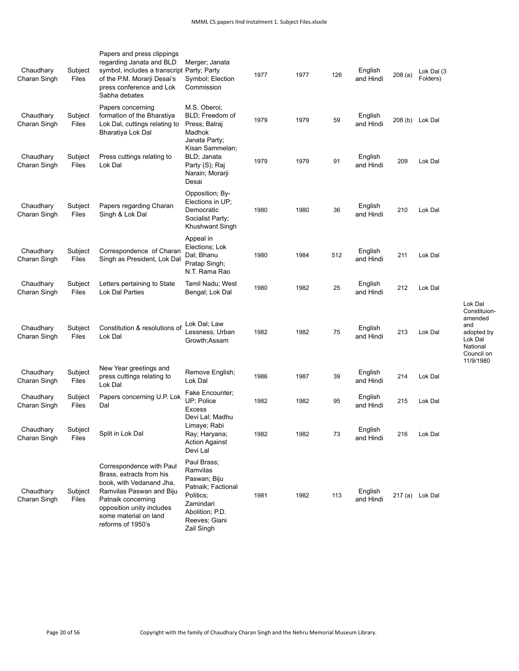| Chaudhary<br>Charan Singh | Subject<br>Files | Papers and press clippings<br>regarding Janata and BLD<br>symbol, includes a transcript Party; Party<br>of the P.M. Morarji Desai's<br>press conference and Lok<br>Sabha debates                              | Merger; Janata<br>Symbol; Election<br>Commission                                                                                          | 1977 | 1977 | 126 | English<br>and Hindi | 208(a) | Lok Dal (3<br>Folders) |
|---------------------------|------------------|---------------------------------------------------------------------------------------------------------------------------------------------------------------------------------------------------------------|-------------------------------------------------------------------------------------------------------------------------------------------|------|------|-----|----------------------|--------|------------------------|
| Chaudhary<br>Charan Singh | Subject<br>Files | Papers concerning<br>formation of the Bharatiya<br>Lok Dal, cuttings relating to<br>Bharatiya Lok Dal                                                                                                         | M.S. Oberoi;<br>BLD; Freedom of<br>Press; Balraj<br>Madhok<br>Janata Party;<br>Kisan Sammelan;                                            | 1979 | 1979 | 59  | English<br>and Hindi |        | 208 (b) Lok Dal        |
| Chaudhary<br>Charan Singh | Subject<br>Files | Press cuttings relating to<br>Lok Dal                                                                                                                                                                         | BLD: Janata<br>Party (S); Raj<br>Narain; Morarji<br>Desai                                                                                 | 1979 | 1979 | 91  | English<br>and Hindi | 209    | Lok Dal                |
| Chaudhary<br>Charan Singh | Subject<br>Files | Papers regarding Charan<br>Singh & Lok Dal                                                                                                                                                                    | Opposition; By-<br>Elections in UP;<br>Democratic<br>Socialist Party;<br>Khushwant Singh                                                  | 1980 | 1980 | 36  | English<br>and Hindi | 210    | Lok Dal                |
| Chaudhary<br>Charan Singh | Subject<br>Files | Correspondence of Charan<br>Singh as President, Lok Dal                                                                                                                                                       | Appeal in<br>Elections; Lok<br>Dal; Bhanu<br>Pratap Singh;<br>N.T. Rama Rao                                                               | 1980 | 1984 | 512 | English<br>and Hindi | 211    | Lok Dal                |
| Chaudhary<br>Charan Singh | Subject<br>Files | Letters pertaining to State<br>Lok Dal Parties                                                                                                                                                                | Tamil Nadu; West<br>Bengal; Lok Dal                                                                                                       | 1980 | 1982 | 25  | English<br>and Hindi | 212    | Lok Dal                |
| Chaudhary<br>Charan Singh | Subject<br>Files | Constitution & resolutions of<br>Lok Dal                                                                                                                                                                      | Lok Dal; Law<br>Lessness: Urban<br>Growth;Assam                                                                                           | 1982 | 1982 | 75  | English<br>and Hindi | 213    | Lok Dal                |
| Chaudhary<br>Charan Singh | Subject<br>Files | New Year greetings and<br>press cuttings relating to<br>Lok Dal                                                                                                                                               | Remove English;<br>Lok Dal                                                                                                                | 1986 | 1987 | 39  | English<br>and Hindi | 214    | Lok Dal                |
| Chaudhary<br>Charan Singh | Subject<br>Files | Papers concerning U.P. Lok<br>Dal                                                                                                                                                                             | Fake Encounter;<br>UP; Police<br><b>Excess</b>                                                                                            | 1982 | 1982 | 95  | English<br>and Hindi | 215    | Lok Dal                |
| Chaudhary<br>Charan Singh | Subject<br>Files | Split in Lok Dal                                                                                                                                                                                              | Devi Lal; Madhu<br>Limaye; Rabi<br>Ray; Haryana;<br>Action Against<br>Devi Lal                                                            | 1982 | 1982 | 73  | English<br>and Hindi | 216    | Lok Dal                |
| Chaudhary<br>Charan Singh | Subject<br>Files | Correspondence with Paul<br>Brass, extracts from his<br>book, with Vedanand Jha,<br>Ramvilas Paswan and Biju<br>Patnaik concerning<br>opposition unity includes<br>some material on land<br>reforms of 1950's | Paul Brass;<br>Ramvilas<br>Paswan; Biju<br>Patnaik; Factional<br>Politics;<br>Zamindari<br>Abolition; P.D.<br>Reeves; Giani<br>Zail Singh | 1981 | 1982 | 113 | English<br>and Hindi |        | 217 (a) Lok Dal        |

Lok Dal Constituionamended and adopted by Lok Dal National Council on 11/9/1980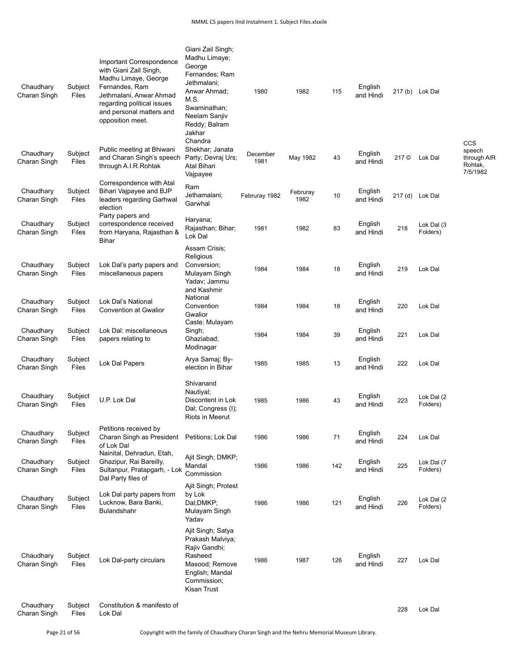| Chaudhary<br>Charan Singh | Subject<br>Files | <b>Important Correspondence</b><br>with Giani Zail Singh,<br>Madhu Limaye, George<br>Fernandes, Ram<br>Jethmalani, Anwar Ahmad<br>regarding political issues<br>and personal matters and<br>opposition meet. | Giani Zail Singh;<br>Madhu Limaye;<br>George<br>Fernandes; Ram<br>Jethmalani;<br>Anwar Ahmad;<br>M.S.<br>Swaminathan;<br>Neelam Sanjiv<br>Reddy; Balram<br>Jakhar<br>Chandra | 1980             | 1982             | 115 | English<br>and Hindi |       | 217 (b) Lok Dal        | CCS                                          |
|---------------------------|------------------|--------------------------------------------------------------------------------------------------------------------------------------------------------------------------------------------------------------|------------------------------------------------------------------------------------------------------------------------------------------------------------------------------|------------------|------------------|-----|----------------------|-------|------------------------|----------------------------------------------|
| Chaudhary<br>Charan Singh | Subject<br>Files | Public meeting at Bhiwani<br>and Charan Singh's speech<br>through A.I.R. Rohtak                                                                                                                              | Shekhar; Janata<br>Party; Devraj Urs;<br>Atal Bihari<br>Vajpayee                                                                                                             | December<br>1981 | May 1982         | 43  | English<br>and Hindi | 217 © | Lok Dal                | speech<br>through AIR<br>Rohtak,<br>7/5/1982 |
| Chaudhary<br>Charan Singh | Subject<br>Files | Correspondence with Atal<br>Bihari Vajpayee and BJP<br>leaders regarding Garhwal<br>election                                                                                                                 | Ram<br>Jethamalani;<br>Garwhal                                                                                                                                               | Februray 1982    | Februray<br>1982 | 10  | English<br>and Hindi |       | 217 (d) Lok Dal        |                                              |
| Chaudhary<br>Charan Singh | Subject<br>Files | Party papers and<br>correspondence received<br>from Haryana, Rajasthan &<br><b>Bihar</b>                                                                                                                     | Haryana;<br>Rajasthan; Bihar;<br>Lok Dal                                                                                                                                     | 1981             | 1982             | 83  | English<br>and Hindi | 218   | Lok Dal (3<br>Folders) |                                              |
| Chaudhary<br>Charan Singh | Subject<br>Files | Lok Dal's party papers and<br>miscellaneous papers                                                                                                                                                           | Assam Crisis:<br>Religious<br>Conversion;<br>Mulayam Singh<br>Yadav; Jammu<br>and Kashmir                                                                                    | 1984             | 1984             | 18  | English<br>and Hindi | 219   | Lok Dal                |                                              |
| Chaudhary<br>Charan Singh | Subject<br>Files | Lok Dal's National<br><b>Convention at Gwallor</b>                                                                                                                                                           | National<br>Convention<br>Gwalior<br>Caste; Mulayam                                                                                                                          | 1984             | 1984             | 18  | English<br>and Hindi | 220   | Lok Dal                |                                              |
| Chaudhary<br>Charan Singh | Subject<br>Files | Lok Dal: miscellaneous<br>papers relating to                                                                                                                                                                 | Singh;<br>Ghaziabad;<br>Modinagar                                                                                                                                            | 1984             | 1984             | 39  | English<br>and Hindi | 221   | Lok Dal                |                                              |
| Chaudhary<br>Charan Singh | Subject<br>Files | Lok Dal Papers                                                                                                                                                                                               | Arya Samaj; By-<br>election in Bihar                                                                                                                                         | 1985             | 1985             | 13  | English<br>and Hindi | 222   | Lok Dal                |                                              |
| Chaudhary<br>Charan Singh | Subject<br>Files | U.P. Lok Dal                                                                                                                                                                                                 | Shivanand<br>Nautiyal;<br>Discontent in Lok<br>Dal; Congress (I);<br>Riots in Meerut                                                                                         | 1985             | 1986             | 43  | English<br>and Hindi | 223   | Lok Dal (2<br>Folders) |                                              |
| Chaudhary<br>Charan Singh | Subject<br>Files | Petitions received by<br>Charan Singh as President<br>of Lok Dal                                                                                                                                             | Petitions; Lok Dal                                                                                                                                                           | 1986             | 1986             | 71  | English<br>and Hindi | 224   | Lok Dal                |                                              |
| Chaudhary<br>Charan Singh | Subject<br>Files | Nainital, Dehradun, Etah,<br>Ghazipur, Rai Bareilly,<br>Sultanpur, Pratapgarh, - Lok<br>Dal Party files of                                                                                                   | Ajit Singh; DMKP;<br>Mandal<br>Commission                                                                                                                                    | 1986             | 1986             | 142 | English<br>and Hindi | 225   | Lok Dal (7<br>Folders) |                                              |
| Chaudhary<br>Charan Singh | Subject<br>Files | Lok Dal party papers from<br>Lucknow, Bara Banki,<br>Bulandshahr                                                                                                                                             | Ajit Singh; Protest<br>by Lok<br>Dal;DMKP;<br>Mulayam Singh<br>Yadav                                                                                                         | 1986             | 1986             | 121 | English<br>and Hindi | 226   | Lok Dal (2<br>Folders) |                                              |
| Chaudhary<br>Charan Singh | Subject<br>Files | Lok Dal-party circulars                                                                                                                                                                                      | Ajit Singh; Satya<br>Prakash Malviya;<br>Rajiv Gandhi;<br>Rasheed<br>Masood; Remove<br>English; Mandal<br>Commission;<br>Kisan Trust                                         | 1986             | 1987             | 126 | English<br>and Hindi | 227   | Lok Dal                |                                              |
| Chaudhary<br>Charan Singh | Subject<br>Files | Constitution & manifesto of<br>Lok Dal                                                                                                                                                                       |                                                                                                                                                                              |                  |                  |     |                      | 228   | Lok Dal                |                                              |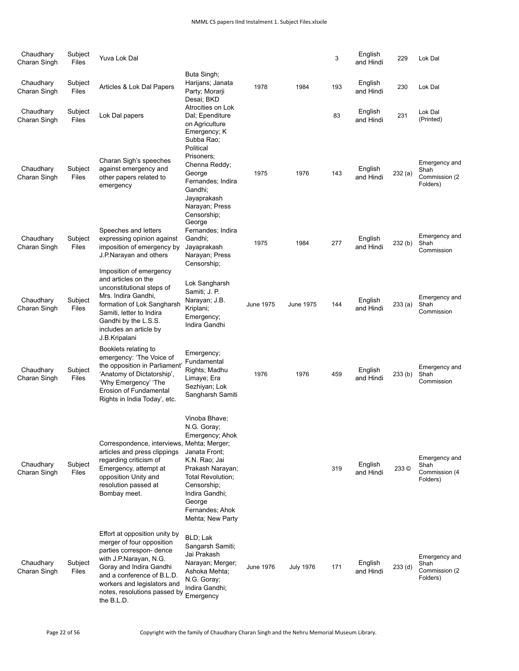| Chaudhary<br>Charan Singh | Subject<br>Files | Yuva Lok Dal                                                                                                                                                                                                                                           |                                                                                                                                                                                                              |                  |                  | 3   | English<br>and Hindi | 229     | Lok Dal                                             |
|---------------------------|------------------|--------------------------------------------------------------------------------------------------------------------------------------------------------------------------------------------------------------------------------------------------------|--------------------------------------------------------------------------------------------------------------------------------------------------------------------------------------------------------------|------------------|------------------|-----|----------------------|---------|-----------------------------------------------------|
| Chaudhary<br>Charan Singh | Subject<br>Files | Articles & Lok Dal Papers                                                                                                                                                                                                                              | Buta Singh;<br>Harijans; Janata<br>Party; Morarji<br>Desai: BKD                                                                                                                                              | 1978             | 1984             | 193 | English<br>and Hindi | 230     | Lok Dal                                             |
| Chaudhary<br>Charan Singh | Subject<br>Files | Lok Dal papers                                                                                                                                                                                                                                         | Atrocities on Lok<br>Dal; Ependiture<br>on Agriculture<br>Emergency; K                                                                                                                                       |                  |                  | 83  | English<br>and Hindi | 231     | Lok Dal<br>(Printed)                                |
| Chaudhary<br>Charan Singh | Subject<br>Files | Charan Sigh's speeches<br>against emergency and<br>other papers related to<br>emergency                                                                                                                                                                | Subba Rao;<br>Political<br>Prisoners;<br>Chenna Reddy;<br>George<br>Fernandes; Indira<br>Gandhi;<br>Jayaprakash<br>Narayan; Press<br>Censorship;<br>George                                                   | 1975             | 1976             | 143 | English<br>and Hindi | 232(a)  | Emergency and<br>Shah<br>Commission (2)<br>Folders) |
| Chaudhary<br>Charan Singh | Subject<br>Files | Speeches and letters<br>expressing opinion against<br>imposition of emergency by<br>J.P.Narayan and others                                                                                                                                             | Fernandes; Indira<br>Gandhi;<br>Jayaprakash<br>Narayan; Press<br>Censorship;                                                                                                                                 | 1975             | 1984             | 277 | English<br>and Hindi | 232(b)  | Emergency and<br>Shah<br>Commission                 |
| Chaudhary<br>Charan Singh | Subject<br>Files | Imposition of emergency<br>and articles on the<br>unconstitutional steps of<br>Mrs. Indira Gandhi,<br>formation of Lok Sangharsh<br>Samiti, letter to Indira<br>Gandhi by the L.S.S.<br>includes an article by<br>J.B.Kripalani                        | Lok Sangharsh<br>Samiti; J. P.<br>Narayan; J.B.<br>Kriplani;<br>Emergency;<br>Indira Gandhi                                                                                                                  | <b>June 1975</b> | June 1975        | 144 | English<br>and Hindi | 233 (a) | Emergency and<br>Shah<br>Commission                 |
| Chaudhary<br>Charan Singh | Subject<br>Files | Booklets relating to<br>emergency: 'The Voice of<br>the opposition in Parliament'<br>'Anatomy of Dictatorship',<br>'Why Emergency' 'The<br>Erosion of Fundamental<br>Rights in India Today', etc.                                                      | Emergency;<br>Fundamental<br>Rights; Madhu<br>Limaye; Era<br>Sezhiyan; Lok<br>Sangharsh Samiti                                                                                                               | 1976             | 1976             | 459 | English<br>and Hindi | 233(b)  | Emergency and<br>Shah<br>Commission                 |
| Chaudhary<br>Charan Singh | Subject<br>Files | Correspondence, interviews, Mehta; Merger;<br>articles and press clippings<br>regarding criticism of<br>Emergency, attempt at<br>opposition Unity and<br>resolution passed at<br>Bombay meet.                                                          | Vinoba Bhave;<br>N.G. Goray;<br>Emergency; Ahok<br>Janata Front:<br>K.N. Rao; Jai<br>Prakash Narayan;<br>Total Revolution;<br>Censorship;<br>Indira Gandhi;<br>George<br>Fernandes; Ahok<br>Mehta; New Party |                  |                  | 319 | English<br>and Hindi | 233 ©   | Emergency and<br>Shah<br>Commission (4<br>Folders)  |
| Chaudhary<br>Charan Singh | Subject<br>Files | Effort at opposition unity by<br>merger of four opposition<br>parties correspon- dence<br>with J.P.Narayan, N.G.<br>Goray and Indira Gandhi<br>and a conference of B.L.D.<br>workers and legislators and<br>notes, resolutions passed by<br>the B.L.D. | BLD; Lak<br>Sangarsh Samiti;<br>Jai Prakash<br>Narayan; Merger;<br>Ashoka Mehta;<br>N.G. Goray;<br>Indira Gandhi;<br>Emergency                                                                               | June 1976        | <b>July 1976</b> | 171 | English<br>and Hindi | 233(d)  | Emergency and<br>Shah<br>Commission (2)<br>Folders) |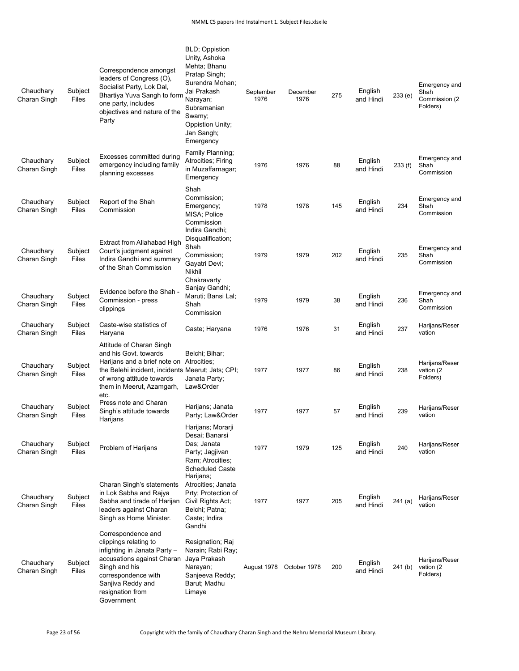| Chaudhary<br>Charan Singh | Subject<br>Files        | Correspondence amongst<br>leaders of Congress (O),<br>Socialist Party, Lok Dal,<br>Bhartiya Yuva Sangh to form<br>one party, includes<br>objectives and nature of the<br>Party                                       | <b>BLD</b> ; Oppistion<br>Unity, Ashoka<br>Mehta; Bhanu<br>Pratap Singh;<br>Surendra Mohan;<br>Jai Prakash<br>Narayan;<br>Subramanian<br>Swamy;<br>Oppistion Unity;<br>Jan Sangh;<br>Emergency | September<br>1976 | December<br>1976 | 275 | English<br>and Hindi | 233 (e) | Emergency and<br>Shah<br>Commission (2)<br>Folders) |
|---------------------------|-------------------------|----------------------------------------------------------------------------------------------------------------------------------------------------------------------------------------------------------------------|------------------------------------------------------------------------------------------------------------------------------------------------------------------------------------------------|-------------------|------------------|-----|----------------------|---------|-----------------------------------------------------|
| Chaudhary<br>Charan Singh | Subject<br>Files        | Excesses committed during<br>emergency including family<br>planning excesses                                                                                                                                         | Family Planning;<br>Atrocities; Firing<br>in Muzaffarnagar;<br>Emergency                                                                                                                       | 1976              | 1976             | 88  | English<br>and Hindi | 233(f)  | Emergency and<br>Shah<br>Commission                 |
| Chaudhary<br>Charan Singh | Subject<br>Files        | Report of the Shah<br>Commission                                                                                                                                                                                     | Shah<br>Commission;<br>Emergency;<br>MISA; Police<br>Commission<br>Indira Gandhi;                                                                                                              | 1978              | 1978             | 145 | English<br>and Hindi | 234     | Emergency and<br>Shah<br>Commission                 |
| Chaudhary<br>Charan Singh | Subject<br>Files        | Extract from Allahabad High<br>Court's judgment against<br>Indira Gandhi and summary<br>of the Shah Commission                                                                                                       | Disqualification;<br>Shah<br>Commission;<br>Gayatri Devi;<br><b>Nikhil</b>                                                                                                                     | 1979              | 1979             | 202 | English<br>and Hindi | 235     | Emergency and<br>Shah<br>Commission                 |
| Chaudhary<br>Charan Singh | Subject<br>Files        | Evidence before the Shah -<br>Commission - press<br>clippings                                                                                                                                                        | Chakravarty<br>Sanjay Gandhi;<br>Maruti; Bansi Lal;<br>Shah<br>Commission                                                                                                                      | 1979              | 1979             | 38  | English<br>and Hindi | 236     | Emergency and<br>Shah<br>Commission                 |
| Chaudhary<br>Charan Singh | Subject<br>Files        | Caste-wise statistics of<br>Haryana                                                                                                                                                                                  | Caste; Haryana                                                                                                                                                                                 | 1976              | 1976             | 31  | English<br>and Hindi | 237     | Harijans/Reser<br>vation                            |
| Chaudhary<br>Charan Singh | Subject<br>Files        | Attitude of Charan Singh<br>and his Govt. towards<br>Harijans and a brief note on Atrocities;<br>the Belehi incident, incidents Meerut; Jats; CPI;<br>of wrong attitude towards<br>them in Meerut, Azamgarh,<br>etc. | Belchi; Bihar;<br>Janata Party;<br>Law&Order                                                                                                                                                   | 1977              | 1977             | 86  | English<br>and Hindi | 238     | Harijans/Reser<br>vation (2<br>Folders)             |
| Chaudhary<br>Charan Singh | Subject<br>Files        | Press note and Charan<br>Singh's attitude towards<br>Harijans                                                                                                                                                        | Harijans; Janata<br>Party; Law&Order                                                                                                                                                           | 1977              | 1977             | 57  | English<br>and Hindi | 239     | Harijans/Reser<br>vation                            |
| Chaudhary<br>Charan Singh | Subject<br><b>Files</b> | Problem of Harijans                                                                                                                                                                                                  | Harijans; Morarji<br>Desai; Banarsi<br>Das; Janata<br>Party; Jagjivan<br>Ram; Atrocities;<br><b>Scheduled Caste</b>                                                                            | 1977              | 1979             | 125 | English<br>and Hindi | 240     | Harijans/Reser<br>vation                            |
| Chaudhary<br>Charan Singh | Subject<br>Files        | Charan Singh's statements<br>in Lok Sabha and Rajya<br>Sabha and tirade of Harijan<br>leaders against Charan<br>Singh as Home Minister.                                                                              | Harijans;<br>Atrocities; Janata<br>Prty; Protection of<br>Civil Rights Act;<br>Belchi; Patna;<br>Caste; Indira<br>Gandhi                                                                       | 1977              | 1977             | 205 | English<br>and Hindi | 241(a)  | Harijans/Reser<br>vation                            |
| Chaudhary<br>Charan Singh | Subject<br>Files        | Correspondence and<br>clippings relating to<br>infighting in Janata Party -<br>accusations against Charan<br>Singh and his<br>correspondence with<br>Sanjiva Reddy and<br>resignation from<br>Government             | Resignation; Raj<br>Narain; Rabi Ray;<br>Jaya Prakash<br>Narayan;<br>Sanjeeva Reddy;<br>Barut; Madhu<br>Limaye                                                                                 | August 1978       | October 1978     | 200 | English<br>and Hindi | 241 (b) | Harijans/Reser<br>vation (2<br>Folders)             |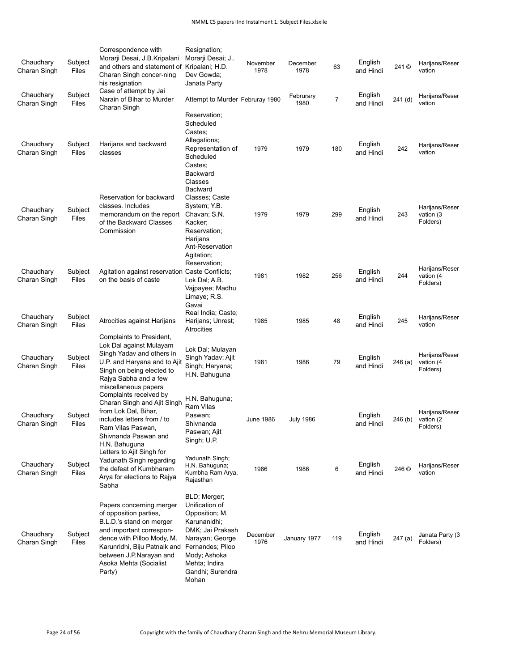| Chaudhary<br>Charan Singh | Subject<br>Files | Correspondence with<br>Morarji Desai, J.B.Kripalani<br>and others and statement of<br>Charan Singh concer-ning<br>his resignation                                                                                                       | Resignation;<br>Morarji Desai; J<br>Kripalani; H.D.<br>Dev Gowda;<br>Janata Party                                                                                                         | November<br>1978 | December<br>1978  | 63             | English<br>and Hindi | 241 ©   | Harijans/Reser<br>vation                |
|---------------------------|------------------|-----------------------------------------------------------------------------------------------------------------------------------------------------------------------------------------------------------------------------------------|-------------------------------------------------------------------------------------------------------------------------------------------------------------------------------------------|------------------|-------------------|----------------|----------------------|---------|-----------------------------------------|
| Chaudhary<br>Charan Singh | Subject<br>Files | Case of attempt by Jai<br>Narain of Bihar to Murder<br>Charan Singh                                                                                                                                                                     | Attempt to Murder Februray 1980                                                                                                                                                           |                  | Februrary<br>1980 | $\overline{7}$ | English<br>and Hindi | 241 (d) | Harijans/Reser<br>vation                |
| Chaudhary<br>Charan Singh | Subject<br>Files | Harijans and backward<br>classes                                                                                                                                                                                                        | Reservation;<br>Scheduled<br>Castes:<br>Allegations;<br>Representation of<br>Scheduled<br>Castes:<br><b>Backward</b><br>Classes                                                           | 1979             | 1979              | 180            | English<br>and Hindi | 242     | Harijans/Reser<br>vation                |
| Chaudhary<br>Charan Singh | Subject<br>Files | Reservation for backward<br>classes. Includes<br>memorandum on the report<br>of the Backward Classes<br>Commission                                                                                                                      | <b>Baclward</b><br>Classes; Caste<br>System; Y.B.<br>Chavan; S.N.<br>Kacker:<br>Reservation;<br>Harijans<br>Ant-Reservation<br>Agitation;                                                 | 1979             | 1979              | 299            | English<br>and Hindi | 243     | Harijans/Reser<br>vation (3<br>Folders) |
| Chaudhary<br>Charan Singh | Subject<br>Files | Agitation against reservation Caste Conflicts:<br>on the basis of caste                                                                                                                                                                 | Reservation;<br>Lok Dal; A.B.<br>Vajpayee; Madhu<br>Limaye; R.S.<br>Gavai                                                                                                                 | 1981             | 1982              | 256            | English<br>and Hindi | 244     | Harijans/Reser<br>vation (4<br>Folders) |
| Chaudhary<br>Charan Singh | Subject<br>Files | Atrocities against Harijans                                                                                                                                                                                                             | Real India; Caste;<br>Harijans; Unrest;<br><b>Atrocities</b>                                                                                                                              | 1985             | 1985              | 48             | English<br>and Hindi | 245     | Harijans/Reser<br>vation                |
| Chaudhary<br>Charan Singh | Subject<br>Files | Complaints to President,<br>Lok Dal against Mulayam<br>Singh Yadav and others in<br>U.P. and Haryana and to Ajit<br>Singh on being elected to<br>Rajya Sabha and a few<br>miscellaneous papers                                          | Lok Dal; Mulayan<br>Singh Yadav; Ajit<br>Singh; Haryana;<br>H.N. Bahuguna                                                                                                                 | 1981             | 1986              | 79             | English<br>and Hindi | 246(a)  | Harijans/Reser<br>vation (4<br>Folders) |
| Chaudhary<br>Charan Singh | Subject<br>Files | Complaints received by<br>Charan Singh and Ajit Singh<br>from Lok Dal, Bihar,<br>includes letters from / to<br>Ram Vilas Paswan,<br>Shivnanda Paswan and<br>H.N. Bahuguna                                                               | H.N. Bahuguna;<br>Ram Vilas<br>Paswan;<br>Shivnanda<br>Paswan; Ajit<br>Singh; U.P.                                                                                                        | <b>June 1986</b> | <b>July 1986</b>  |                | English<br>and Hindi | 246 (b) | Harijans/Reser<br>vation (2<br>Folders) |
| Chaudhary<br>Charan Singh | Subject<br>Files | Letters to Ajit Singh for<br>Yadunath Singh regarding<br>the defeat of Kumbharam<br>Arya for elections to Rajya<br>Sabha                                                                                                                | Yadunath Singh;<br>H.N. Bahuguna;<br>Kumbha Ram Arya,<br>Rajasthan                                                                                                                        | 1986             | 1986              | 6              | English<br>and Hindi | 246 ©   | Harijans/Reser<br>vation                |
| Chaudhary<br>Charan Singh | Subject<br>Files | Papers concerning merger<br>of opposition parties,<br>B.L.D.'s stand on merger<br>and important correspon-<br>dence with Pilloo Mody, M.<br>Karunridhi, Biju Patnaik and<br>between J.P.Narayan and<br>Asoka Mehta (Socialist<br>Party) | BLD; Merger;<br>Unification of<br>Opposition; M.<br>Karunanidhi;<br>DMK; Jai Prakash<br>Narayan; George<br>Fernandes; Piloo<br>Mody; Ashoka<br>Mehta; Indira<br>Gandhi; Surendra<br>Mohan | December<br>1976 | January 1977      | 119            | English<br>and Hindi | 247(a)  | Janata Party (3<br>Folders)             |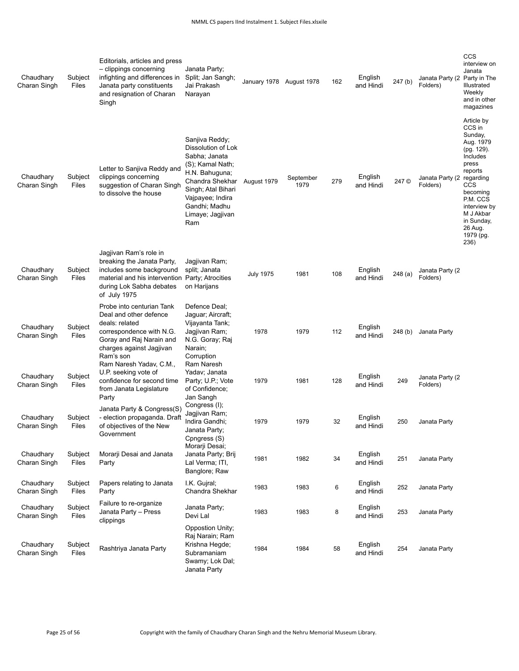| Chaudhary<br>Charan Singh | Subject<br>Files        | Editorials, articles and press<br>- clippings concerning<br>infighting and differences in<br>Janata party constituents<br>and resignation of Charan<br>Singh                    | Janata Party;<br>Split; Jan Sangh;<br>Jai Prakash<br>Narayan                                                                                                                                         | January 1978 August 1978 |                   | 162 | English<br>and Hindi | 247 (b) | Janata Party (2 Party in The<br>Folders) | CCS<br>interview on<br>Janata<br>Illustrated<br>Weekly<br>and in other<br>magazines                                                                                                                               |
|---------------------------|-------------------------|---------------------------------------------------------------------------------------------------------------------------------------------------------------------------------|------------------------------------------------------------------------------------------------------------------------------------------------------------------------------------------------------|--------------------------|-------------------|-----|----------------------|---------|------------------------------------------|-------------------------------------------------------------------------------------------------------------------------------------------------------------------------------------------------------------------|
| Chaudhary<br>Charan Singh | Subject<br>Files        | Letter to Sanjiva Reddy and<br>clippings concerning<br>suggestion of Charan Singh<br>to dissolve the house                                                                      | Sanjiva Reddy;<br>Dissolution of Lok<br>Sabha; Janata<br>(S); Kamal Nath;<br>H.N. Bahuguna;<br>Chandra Shekhar<br>Singh; Atal Bihari<br>Vajpayee; Indira<br>Gandhi; Madhu<br>Limaye; Jagjivan<br>Ram | August 1979              | September<br>1979 | 279 | English<br>and Hindi | 247 ©   | Janata Party (2<br>Folders)              | Article by<br>CCS in<br>Sunday,<br>Aug. 1979<br>(pg. 129).<br>Includes<br>press<br>reports<br>regarding<br>CCS<br>becoming<br>P.M. CCS<br>interview by<br>M J Akbar<br>in Sunday,<br>26 Aug.<br>1979 (pg.<br>236) |
| Chaudhary<br>Charan Singh | Subject<br>Files        | Jagjivan Ram's role in<br>breaking the Janata Party,<br>includes some background<br>material and his intervention Party; Atrocities<br>during Lok Sabha debates<br>of July 1975 | Jagjivan Ram;<br>split; Janata<br>on Harijans                                                                                                                                                        | <b>July 1975</b>         | 1981              | 108 | English<br>and Hindi | 248 (a) | Janata Party (2<br>Folders)              |                                                                                                                                                                                                                   |
| Chaudhary<br>Charan Singh | Subject<br>Files        | Probe into centurian Tank<br>Deal and other defence<br>deals: related<br>correspondence with N.G.<br>Goray and Raj Narain and<br>charges against Jagjivan<br>Ram's son          | Defence Deal;<br>Jaguar; Aircraft;<br>Vijayanta Tank;<br>Jagjivan Ram;<br>N.G. Goray; Raj<br>Narain;<br>Corruption                                                                                   | 1978                     | 1979              | 112 | English<br>and Hindi | 248 (b) | Janata Party                             |                                                                                                                                                                                                                   |
| Chaudhary<br>Charan Singh | Subject<br>Files        | Ram Naresh Yadav, C.M.,<br>U.P. seeking vote of<br>confidence for second time<br>from Janata Legislature<br>Party                                                               | Ram Naresh<br>Yadav; Janata<br>Party; U.P.; Vote<br>of Confidence;<br>Jan Sangh                                                                                                                      | 1979                     | 1981              | 128 | English<br>and Hindi | 249     | Janata Party (2<br>Folders)              |                                                                                                                                                                                                                   |
| Chaudhary<br>Charan Singh | Subject<br>Files        | Janata Party & Congress(S)<br>- election propaganda. Draft<br>of objectives of the New<br>Government                                                                            | Congress (I);<br>Jagjivan Ram;<br>Indira Gandhi:<br>Janata Party;<br>Cpngress (S)                                                                                                                    | 1979                     | 1979              | 32  | English<br>and Hindi | 250     | Janata Party                             |                                                                                                                                                                                                                   |
| Chaudhary<br>Charan Singh | Subject<br>Files        | Morarji Desai and Janata<br>Party                                                                                                                                               | Morarji Desai;<br>Janata Party; Brij<br>Lal Verma; ITI,<br>Banglore; Raw                                                                                                                             | 1981                     | 1982              | 34  | English<br>and Hindi | 251     | Janata Party                             |                                                                                                                                                                                                                   |
| Chaudhary<br>Charan Singh | Subject<br>Files        | Papers relating to Janata<br>Party                                                                                                                                              | I.K. Gujral;<br>Chandra Shekhar                                                                                                                                                                      | 1983                     | 1983              | 6   | English<br>and Hindi | 252     | Janata Party                             |                                                                                                                                                                                                                   |
| Chaudhary<br>Charan Singh | Subject<br><b>Files</b> | Failure to re-organize<br>Janata Party - Press<br>clippings                                                                                                                     | Janata Party;<br>Devi Lal                                                                                                                                                                            | 1983                     | 1983              | 8   | English<br>and Hindi | 253     | Janata Party                             |                                                                                                                                                                                                                   |
| Chaudhary<br>Charan Singh | Subject<br>Files        | Rashtriya Janata Party                                                                                                                                                          | Oppostion Unity;<br>Raj Narain; Ram<br>Krishna Hegde;<br>Subramaniam<br>Swamy; Lok Dal;<br>Janata Party                                                                                              | 1984                     | 1984              | 58  | English<br>and Hindi | 254     | Janata Party                             |                                                                                                                                                                                                                   |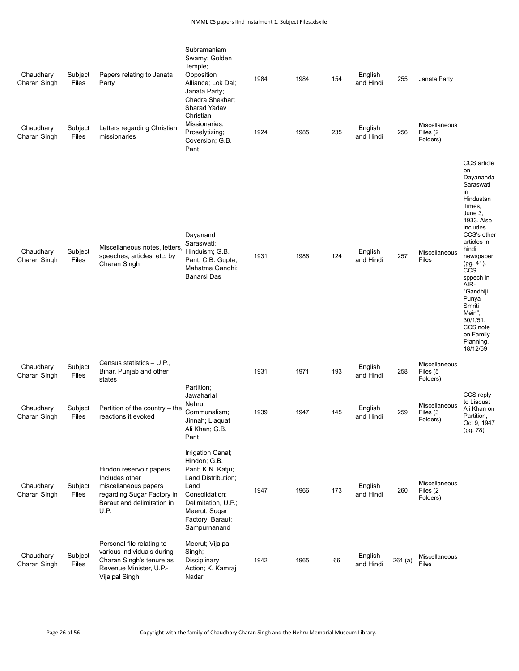| Chaudhary<br>Charan Singh<br>Chaudhary<br>Charan Singh | Subject<br>Files<br>Subject<br>Files | Papers relating to Janata<br>Party<br>Letters regarding Christian<br>missionaries                                                      | Subramaniam<br>Swamy; Golden<br>Temple;<br>Opposition<br>Alliance; Lok Dal;<br>Janata Party;<br>Chadra Shekhar;<br>Sharad Yadav<br>Christian<br>Missionaries;<br>Proselytizing;<br>Coversion; G.B.<br>Pant | 1984<br>1924 | 1984<br>1985 | 154<br>235 | English<br>and Hindi<br>English<br>and Hindi | 255<br>256 | Janata Party<br>Miscellaneous<br>Files (2<br>Folders) |                                                                                                                                                                                                                                                                                                                                  |
|--------------------------------------------------------|--------------------------------------|----------------------------------------------------------------------------------------------------------------------------------------|------------------------------------------------------------------------------------------------------------------------------------------------------------------------------------------------------------|--------------|--------------|------------|----------------------------------------------|------------|-------------------------------------------------------|----------------------------------------------------------------------------------------------------------------------------------------------------------------------------------------------------------------------------------------------------------------------------------------------------------------------------------|
| Chaudhary<br>Charan Singh                              | Subject<br>Files                     | Miscellaneous notes, letters<br>speeches, articles, etc. by<br>Charan Singh                                                            | Dayanand<br>Saraswati;<br>Hinduism; G.B.<br>Pant; C.B. Gupta;<br>Mahatma Gandhi;<br><b>Banarsi Das</b>                                                                                                     | 1931         | 1986         | 124        | English<br>and Hindi                         | 257        | Miscellaneous<br>Files                                | CCS article<br>on<br>Dayananda<br>Saraswati<br>in.<br>Hindustan<br>Times,<br>June 3,<br>1933. Also<br>includes<br>CCS's other<br>articles in<br>hindi<br>newspaper<br>$(pg. 41)$ .<br><b>CCS</b><br>sppech in<br>AIR-<br>"Gandhiji<br>Punya<br>Smriti<br>Mein",<br>$30/1/51$ .<br>CCS note<br>on Family<br>Planning,<br>18/12/59 |
| Chaudhary<br>Charan Singh                              | Subject<br>Files                     | Census statistics - U.P.,<br>Bihar, Punjab and other<br>states                                                                         |                                                                                                                                                                                                            | 1931         | 1971         | 193        | English<br>and Hindi                         | 258        | Miscellaneous<br>Files (5<br>Folders)                 |                                                                                                                                                                                                                                                                                                                                  |
| Chaudhary<br>Charan Singh                              | Subject<br>Files                     | Partition of the country – the<br>reactions it evoked                                                                                  | Partition;<br>Jawaharlal<br>Nehru;<br>Communalism;<br>Jinnah; Liaquat<br>Ali Khan; G.B.<br>Pant                                                                                                            | 1939         | 1947         | 145        | English<br>and Hindi                         | 259        | Miscellaneous<br>Files (3<br>Folders)                 | CCS reply<br>to Liaguat<br>Ali Khan on<br>Partition,<br>Oct 9, 1947<br>(pg. 78)                                                                                                                                                                                                                                                  |
| Chaudhary<br>Charan Singh                              | Subject<br>Files                     | Hindon reservoir papers.<br>Includes other<br>miscellaneous papers<br>regarding Sugar Factory in<br>Baraut and delimitation in<br>U.P. | Irrigation Canal;<br>Hindon; G.B.<br>Pant; K.N. Katju;<br>Land Distribution;<br>Land<br>Consolidation;<br>Delimitation, U.P.;<br>Meerut; Sugar<br>Factory; Baraut;<br>Sampurnanand                         | 1947         | 1966         | 173        | English<br>and Hindi                         | 260        | Miscellaneous<br>Files (2<br>Folders)                 |                                                                                                                                                                                                                                                                                                                                  |
| Chaudhary<br>Charan Singh                              | Subject<br>Files                     | Personal file relating to<br>various individuals during<br>Charan Singh's tenure as<br>Revenue Minister, U.P.-<br>Vijaipal Singh       | Meerut; Vijaipal<br>Singh;<br>Disciplinary<br>Action; K. Kamraj<br>Nadar                                                                                                                                   | 1942         | 1965         | 66         | English<br>and Hindi                         | 261(a)     | Miscellaneous<br><b>Files</b>                         |                                                                                                                                                                                                                                                                                                                                  |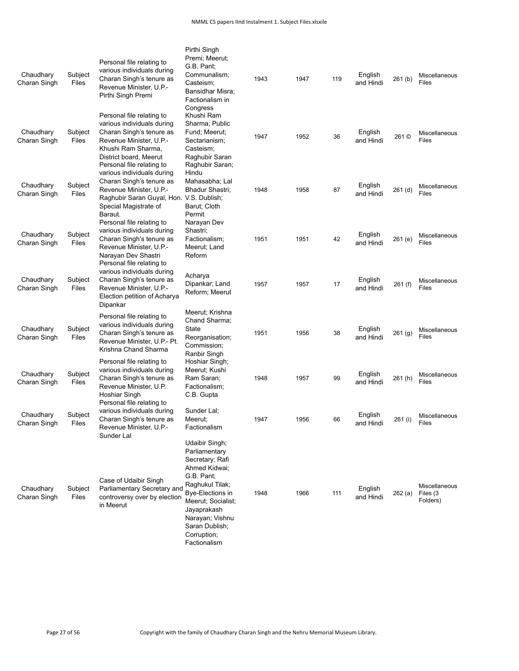| Chaudhary<br>Charan Singh | Subject<br>Files | Personal file relating to<br>various individuals during<br>Charan Singh's tenure as<br>Revenue Minister, U.P.-<br>Pirthi Singh Premi                                                        | Pirthi Singh<br>Premi; Meerut;<br>G.B. Pant;<br>Communalism;<br>Casteism;<br>Bansidhar Misra;<br>Factionalism in                                                                                                                  | 1943 | 1947 | 119 | English<br>and Hindi | 261(b)  | Miscellaneous<br>Files                |
|---------------------------|------------------|---------------------------------------------------------------------------------------------------------------------------------------------------------------------------------------------|-----------------------------------------------------------------------------------------------------------------------------------------------------------------------------------------------------------------------------------|------|------|-----|----------------------|---------|---------------------------------------|
| Chaudhary<br>Charan Singh | Subject<br>Files | Personal file relating to<br>various individuals during<br>Charan Singh's tenure as<br>Revenue Minister, U.P.-<br>Khushi Ram Sharma,<br>District board, Meerut<br>Personal file relating to | Congress<br>Khushi Ram<br>Sharma; Public<br>Fund; Meerut;<br>Sectarianism;<br>Casteism;<br>Raghubir Saran<br>Raghubir Saran;                                                                                                      | 1947 | 1952 | 36  | English<br>and Hindi | 261 ©   | Miscellaneous<br>Files                |
| Chaudhary<br>Charan Singh | Subject<br>Files | various individuals during<br>Charan Singh's tenure as<br>Revenue Minister, U.P.-<br>Raghubir Saran Guyal, Hon. V.S. Dublish;<br>Special Magistrate of<br>Baraut.                           | Hindu<br>Mahasabha; Lal<br>Bhadur Shastri;<br>Barut; Cloth<br>Permit                                                                                                                                                              | 1948 | 1958 | 87  | English<br>and Hindi | 261 (d) | Miscellaneous<br>Files                |
| Chaudhary<br>Charan Singh | Subject<br>Files | Personal file relating to<br>various individuals during<br>Charan Singh's tenure as<br>Revenue Minister, U.P.-<br>Narayan Dev Shastri<br>Personal file relating to                          | Narayan Dev<br>Shastri;<br>Factionalism;<br>Meerut: Land<br>Reform                                                                                                                                                                | 1951 | 1951 | 42  | English<br>and Hindi | 261 (e) | Miscellaneous<br>Files                |
| Chaudhary<br>Charan Singh | Subject<br>Files | various individuals during<br>Charan Singh's tenure as<br>Revenue Minister, U.P.-<br>Election petition of Acharya<br>Dipankar                                                               | Acharya<br>Dipankar; Land<br>Reform; Meerut                                                                                                                                                                                       | 1957 | 1957 | 17  | English<br>and Hindi | 261 (f) | Miscellaneous<br>Files                |
| Chaudhary<br>Charan Singh | Subject<br>Files | Personal file relating to<br>various individuals during<br>Charan Singh's tenure as<br>Revenue Minister, U.P.- Pt.<br>Krishna Chand Sharma                                                  | Meerut; Krishna<br>Chand Sharma;<br>State<br>Reorganisation;<br>Commission;<br>Ranbir Singh                                                                                                                                       | 1951 | 1956 | 38  | English<br>and Hindi | 261 (g) | Miscellaneous<br>Files                |
| Chaudhary<br>Charan Singh | Subject<br>Files | Personal file relating to<br>various individuals during<br>Charan Singh's tenure as<br>Revenue Minister, U.P.<br>Hoshiar Singh<br>Personal file relating to                                 | Hoshiar Singh;<br>Meerut; Kushi<br>Ram Saran;<br>Factionalism;<br>C.B. Gupta                                                                                                                                                      | 1948 | 1957 | 99  | English<br>and Hindi | 261 (h) | Miscellaneous<br>Files                |
| Chaudhary<br>Charan Singh | Subject<br>Files | various individuals during<br>Charan Singh's tenure as<br>Revenue Minister, U.P.-<br>Sunder Lal                                                                                             | Sunder Lal;<br>Meerut;<br>Factionalism                                                                                                                                                                                            | 1947 | 1956 | 66  | English<br>and Hindi | 261 (i) | Miscellaneous<br>Files                |
| Chaudhary<br>Charan Singh | Subject<br>Files | Case of Udaibir Singh<br>Parliamentary Secretary and<br>controversy over by election<br>in Meerut                                                                                           | Udaibir Singh;<br>Parliamentary<br>Secretary; Rafi<br>Ahmed Kidwai:<br>G.B. Pant;<br>Raghukul Tilak;<br>Bye-Elections in<br>Meerut; Socialist;<br>Jayaprakash<br>Narayan; Vishnu<br>Saran Dublish;<br>Corruption;<br>Factionalism | 1948 | 1966 | 111 | English<br>and Hindi | 262(a)  | Miscellaneous<br>Files (3<br>Folders) |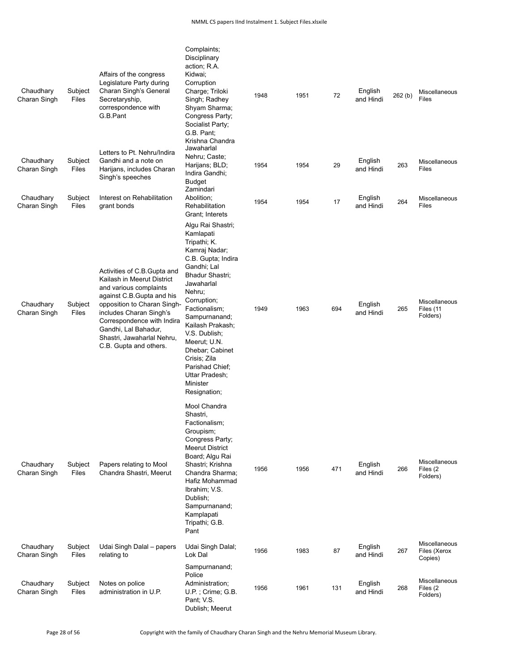| Chaudhary<br>Charan Singh | Subject<br>Files | Affairs of the congress<br>Legislature Party during<br>Charan Singh's General<br>Secretaryship,<br>correspondence with<br>G.B.Pant                                                                                                                                                        | Complaints;<br>Disciplinary<br>action; R.A.<br>Kidwai;<br>Corruption<br>Charge; Triloki<br>Singh; Radhey<br>Shyam Sharma;<br>Congress Party;<br>Socialist Party;<br>G.B. Pant;<br>Krishna Chandra                                                                                                                                                         | 1948 | 1951 | 72  | English<br>and Hindi | 262(b) | Miscellaneous<br>Files                       |
|---------------------------|------------------|-------------------------------------------------------------------------------------------------------------------------------------------------------------------------------------------------------------------------------------------------------------------------------------------|-----------------------------------------------------------------------------------------------------------------------------------------------------------------------------------------------------------------------------------------------------------------------------------------------------------------------------------------------------------|------|------|-----|----------------------|--------|----------------------------------------------|
| Chaudhary<br>Charan Singh | Subject<br>Files | Letters to Pt. Nehru/Indira<br>Gandhi and a note on<br>Harijans, includes Charan<br>Singh's speeches                                                                                                                                                                                      | Jawaharlal<br>Nehru; Caste;<br>Harijans; BLD;<br>Indira Gandhi;<br><b>Budget</b><br>Zamindari                                                                                                                                                                                                                                                             | 1954 | 1954 | 29  | English<br>and Hindi | 263    | Miscellaneous<br>Files                       |
| Chaudhary<br>Charan Singh | Subject<br>Files | Interest on Rehabilitation<br>grant bonds                                                                                                                                                                                                                                                 | Abolition;<br>Rehabilitation<br>Grant; Interets                                                                                                                                                                                                                                                                                                           | 1954 | 1954 | 17  | English<br>and Hindi | 264    | Miscellaneous<br>Files                       |
| Chaudhary<br>Charan Singh | Subject<br>Files | Activities of C.B.Gupta and<br>Kailash in Meerut District<br>and various complaints<br>against C.B. Gupta and his<br>opposition to Charan Singh-<br>includes Charan Singh's<br>Correspondence with Indira<br>Gandhi, Lal Bahadur,<br>Shastri, Jawaharlal Nehru,<br>C.B. Gupta and others. | Algu Rai Shastri;<br>Kamlapati<br>Tripathi; K.<br>Kamraj Nadar;<br>C.B. Gupta; Indira<br>Gandhi; Lal<br>Bhadur Shastri;<br>Jawaharlal<br>Nehru;<br>Corruption;<br>Factionalism;<br>Sampurnanand;<br>Kailash Prakash;<br>V.S. Dublish;<br>Meerut; U.N.<br>Dhebar; Cabinet<br>Crisis; Zila<br>Parishad Chief;<br>Uttar Pradesh:<br>Minister<br>Resignation; | 1949 | 1963 | 694 | English<br>and Hindi | 265    | Miscellaneous<br>Files (11<br>Folders)       |
| Chaudhary<br>Charan Singh | Subject<br>Files | Papers relating to Mool<br>Chandra Shastri, Meerut                                                                                                                                                                                                                                        | Mool Chandra<br>Shastri,<br>Factionalism;<br>Groupism;<br>Congress Party;<br><b>Meerut District</b><br>Board; Algu Rai<br>Shastri; Krishna<br>Chandra Sharma:<br>Hafiz Mohammad<br>Ibrahim; V.S.<br>Dublish;<br>Sampurnanand;<br>Kamplapati<br>Tripathi; G.B.<br>Pant                                                                                     | 1956 | 1956 | 471 | English<br>and Hindi | 266    | <b>Miscellaneous</b><br>Files (2<br>Folders) |
| Chaudhary<br>Charan Singh | Subject<br>Files | Udai Singh Dalal - papers<br>relating to                                                                                                                                                                                                                                                  | Udai Singh Dalal;<br>Lok Dal                                                                                                                                                                                                                                                                                                                              | 1956 | 1983 | 87  | English<br>and Hindi | 267    | Miscellaneous<br>Files (Xerox<br>Copies)     |
| Chaudhary<br>Charan Singh | Subject<br>Files | Notes on police<br>administration in U.P.                                                                                                                                                                                                                                                 | Sampurnanand;<br>Police<br>Administration;<br>U.P.; Crime; G.B.<br>Pant; V.S.<br>Dublish; Meerut                                                                                                                                                                                                                                                          | 1956 | 1961 | 131 | English<br>and Hindi | 268    | Miscellaneous<br>Files (2)<br>Folders)       |

Page 28 of 56 Copyright with the family of Chaudhary Charan Singh and the Nehru Memorial Museum Library.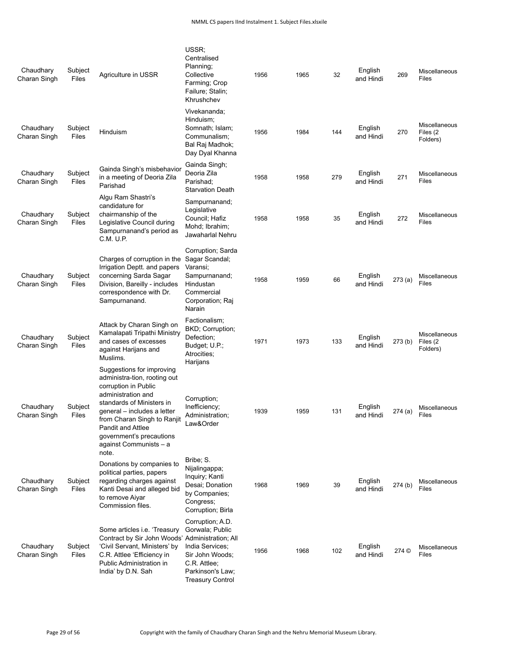| Chaudhary<br>Charan Singh | Subject<br>Files | Agriculture in USSR                                                                                                                                                                                                                                                                    | USSR;<br>Centralised<br>Planning;<br>Collective<br>Farming; Crop<br>Failure; Stalin;<br>Khrushchev                                       | 1956 | 1965 | 32  | English<br>and Hindi | 269     | Miscellaneous<br>Files                |
|---------------------------|------------------|----------------------------------------------------------------------------------------------------------------------------------------------------------------------------------------------------------------------------------------------------------------------------------------|------------------------------------------------------------------------------------------------------------------------------------------|------|------|-----|----------------------|---------|---------------------------------------|
| Chaudhary<br>Charan Singh | Subject<br>Files | Hinduism                                                                                                                                                                                                                                                                               | Vivekananda;<br>Hinduism;<br>Somnath; Islam;<br>Communalism:<br>Bal Raj Madhok;<br>Day Dyal Khanna                                       | 1956 | 1984 | 144 | English<br>and Hindi | 270     | Miscellaneous<br>Files (2<br>Folders) |
| Chaudhary<br>Charan Singh | Subject<br>Files | Gainda Singh's misbehavior<br>in a meeting of Deoria Zila<br>Parishad                                                                                                                                                                                                                  | Gainda Singh;<br>Deoria Zila<br>Parishad:<br><b>Starvation Death</b>                                                                     | 1958 | 1958 | 279 | English<br>and Hindi | 271     | Miscellaneous<br>Files                |
| Chaudhary<br>Charan Singh | Subject<br>Files | Algu Ram Shastri's<br>candidature for<br>chairmanship of the<br>Legislative Council during<br>Sampurnanand's period as<br>C.M. U.P.                                                                                                                                                    | Sampurnanand;<br>Legislative<br>Council; Hafiz<br>Mohd; Ibrahim;<br>Jawaharlal Nehru                                                     | 1958 | 1958 | 35  | English<br>and Hindi | 272     | Miscellaneous<br>Files                |
| Chaudhary<br>Charan Singh | Subject<br>Files | Charges of corruption in the<br>Irrigation Deptt. and papers<br>concerning Sarda Sagar<br>Division, Bareilly - includes<br>correspondence with Dr.<br>Sampurnanand.                                                                                                                    | Corruption; Sarda<br>Sagar Scandal;<br>Varansi;<br>Sampurnanand;<br>Hindustan<br>Commercial<br>Corporation; Raj<br>Narain                | 1958 | 1959 | 66  | English<br>and Hindi | 273(a)  | Miscellaneous<br>Files                |
| Chaudhary<br>Charan Singh | Subject<br>Files | Attack by Charan Singh on<br>Kamalapati Tripathi Ministry<br>and cases of excesses<br>against Harijans and<br>Muslims.                                                                                                                                                                 | Factionalism;<br>BKD; Corruption;<br>Defection;<br>Budget; U.P.;<br>Atrocities;<br>Harijans                                              | 1971 | 1973 | 133 | English<br>and Hindi | 273 (b) | Miscellaneous<br>Files (2<br>Folders) |
| Chaudhary<br>Charan Singh | Subject<br>Files | Suggestions for improving<br>administra-tion, rooting out<br>corruption in Public<br>administration and<br>standards of Ministers in<br>general – includes a letter<br>from Charan Singh to Ranjit<br>Pandit and Attlee<br>government's precautions<br>against Communists - a<br>note. | Corruption;<br>Inefficiency;<br>Administration;<br>Law&Order                                                                             | 1939 | 1959 | 131 | English<br>and Hindi | 274(a)  | Miscellaneous<br>Files                |
| Chaudhary<br>Charan Singh | Subject<br>Files | Donations by companies to<br>political parties, papers<br>regarding charges against<br>Kanti Desai and alleged bid<br>to remove Aiyar<br>Commission files.                                                                                                                             | Bribe; S.<br>Nijalingappa;<br>Inquiry; Kanti<br>Desai; Donation<br>by Companies;<br>Congress;<br>Corruption; Birla                       | 1968 | 1969 | 39  | English<br>and Hindi | 274 (b) | Miscellaneous<br>Files                |
| Chaudhary<br>Charan Singh | Subject<br>Files | Some articles <i>i.e.</i> 'Treasury<br>Contract by Sir John Woods' Administration; All<br>'Civil Servant, Ministers' by<br>C.R. Attlee 'Efficiency in<br>Public Administration in<br>India' by D.N. Sah                                                                                | Corruption; A.D.<br>Gorwala; Public<br>India Services;<br>Sir John Woods;<br>C.R. Attlee;<br>Parkinson's Law;<br><b>Treasury Control</b> | 1956 | 1968 | 102 | English<br>and Hindi | 274 ©   | Miscellaneous<br>Files                |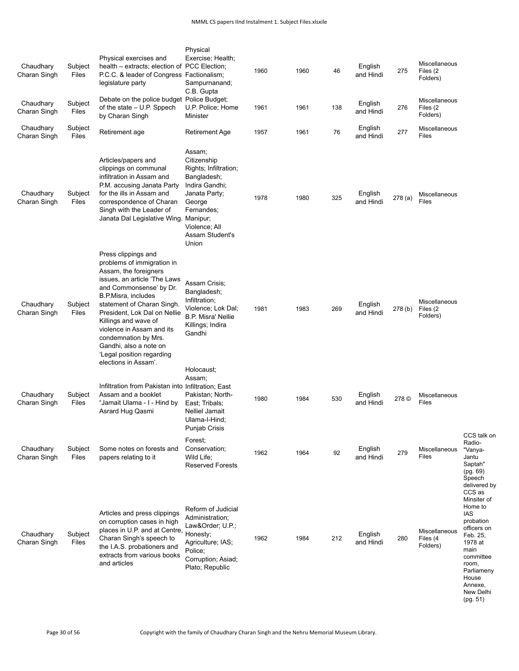| Chaudhary<br>Charan Singh<br>Chaudhary<br>Charan Singh | Subject<br>Files<br>Subject<br>Files | Debate on the police budget Police Budget;<br>of the state - U.P. Sppech<br>by Charan Singh<br>Retirement age<br>Articles/papers and<br>clippings on communal<br>infiltration in Assam and<br>P.M. accusing Janata Party                                                                                                                                                                      | C.B. Gupta<br>U.P. Police; Home<br>Minister<br>Retirement Age<br>Assam;<br>Citizenship<br>Rights; Infiltration;<br>Bangladesh;<br>Indira Gandhi; | 1961<br>1957 | 1961<br>1961 | 138<br>76 | English<br>and Hindi<br>English<br>and Hindi | 276<br>277 | <b>Miscellaneous</b><br>Files (2<br>Folders)<br>Miscellaneous<br>Files |                                                                                                                                                                           |
|--------------------------------------------------------|--------------------------------------|-----------------------------------------------------------------------------------------------------------------------------------------------------------------------------------------------------------------------------------------------------------------------------------------------------------------------------------------------------------------------------------------------|--------------------------------------------------------------------------------------------------------------------------------------------------|--------------|--------------|-----------|----------------------------------------------|------------|------------------------------------------------------------------------|---------------------------------------------------------------------------------------------------------------------------------------------------------------------------|
| Chaudhary<br>Charan Singh                              | Subject<br>Files                     | for the ills in Assam and<br>correspondence of Charan<br>Singh with the Leader of<br>Janata Dal Legislative Wing. Manipur;                                                                                                                                                                                                                                                                    | Janata Party;<br>George<br>Fernandes;<br>Violence; All<br>Assam Student's<br>Union                                                               | 1978         | 1980         | 325       | English<br>and Hindi                         | 278(a)     | Miscellaneous<br>Files                                                 |                                                                                                                                                                           |
| Chaudhary<br>Charan Singh                              | Subject<br>Files                     | Press clippings and<br>problems of immigration in<br>Assam, the foreigners<br>issues, an article 'The Laws<br>and Commonsense' by Dr.<br><b>B.P.Misra, includes</b><br>statement of Charan Singh.<br>President, Lok Dal on Nellie<br>Killings and wave of<br>violence in Assam and its<br>condemnation by Mrs.<br>Gandhi, also a note on<br>'Legal position regarding<br>elections in Assam'. | Assam Crisis;<br>Bangladesh;<br>Infiltration;<br>Violence; Lok Dal;<br><b>B.P. Misra' Nellie</b><br>Killings; Indira<br>Gandhi                   | 1981         | 1983         | 269       | English<br>and Hindi                         | 278(b)     | Miscellaneous<br>Files (2<br>Folders)                                  |                                                                                                                                                                           |
| Chaudhary<br>Charan Singh                              | Subject<br>Files                     | Infiltration from Pakistan into Infiltration; East<br>Assam and a booklet<br>"Jamait Ulama - I - Hind by<br>Asrard Hug Qasmi                                                                                                                                                                                                                                                                  | Holocaust;<br>Assam;<br>Pakistan; North-<br>East; Tribals;<br>Nelliel Jamait<br>Ulama-I-Hind;<br>Punjab Crisis                                   | 1980         | 1984         | 530       | English<br>and Hindi                         | 278 ©      | Miscellaneous<br>Files                                                 |                                                                                                                                                                           |
| Chaudhary<br>Charan Singh                              | Subject<br>Files                     | Some notes on forests and<br>papers relating to it                                                                                                                                                                                                                                                                                                                                            | Forest;<br>Conservation;<br>Wild Life;<br><b>Reserved Forests</b>                                                                                | 1962         | 1964         | 92        | English<br>and Hindi                         | 279        | Miscellaneous<br>Files                                                 | CCS talk on<br>Radio-<br>"Vanya-<br>Jantu<br>Saptah"<br>(pg. 69)<br>Speech<br>delivered by<br>CCS as                                                                      |
| Chaudhary<br>Charan Singh                              | Subject<br>Files                     | Articles and press clippings<br>on corruption cases in high<br>places in U.P. and at Centre,<br>Charan Singh's speech to<br>the I.A.S. probationers and<br>extracts from various books<br>and articles                                                                                                                                                                                        | Reform of Judicial<br>Administration:<br>Law&Order U.P.;<br>Honesty;<br>Agriculture; IAS;<br>Police;<br>Corruption; Asiad;<br>Plato; Republic    | 1962         | 1984         | 212       | English<br>and Hindi                         | 280        | Miscellaneous<br>Files (4<br>Folders)                                  | Minsiter of<br>Home to<br>IAS<br>probation<br>officers on<br>Feb. 25,<br>1978 at<br>main<br>committee<br>room,<br>Parliameny<br>House<br>Annexe,<br>New Delhi<br>(pg. 51) |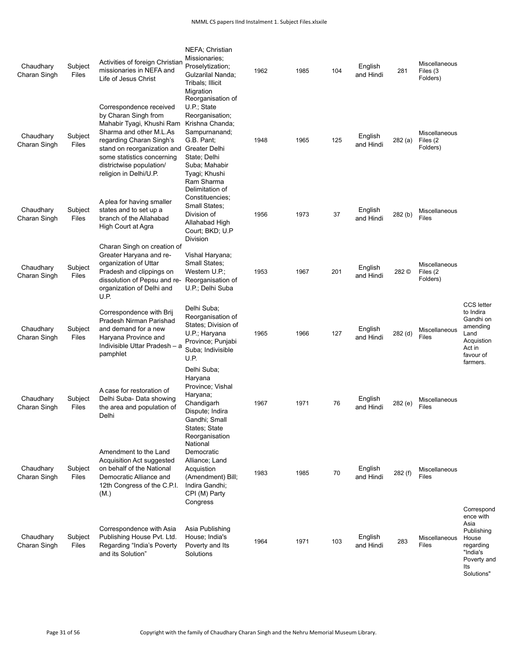| Chaudhary<br>Charan Singh | Subject<br>Files | Activities of foreign Christian<br>missionaries in NEFA and<br>Life of Jesus Christ                                                                                                                                                                                  | NEFA; Christian<br>Missionaries;<br>Proselytization;<br>Gulzarilal Nanda;<br>Tribals; Illicit<br>Migration                                                            | 1962 | 1985 | 104 | English<br>and Hindi | 281       | Miscellaneous<br>Files (3<br>Folders)  |                                                                                                                  |
|---------------------------|------------------|----------------------------------------------------------------------------------------------------------------------------------------------------------------------------------------------------------------------------------------------------------------------|-----------------------------------------------------------------------------------------------------------------------------------------------------------------------|------|------|-----|----------------------|-----------|----------------------------------------|------------------------------------------------------------------------------------------------------------------|
| Chaudhary<br>Charan Singh | Subject<br>Files | Correspondence received<br>by Charan Singh from<br>Mahabir Tyagi, Khushi Ram<br>Sharma and other M.L.As<br>regarding Charan Singh's<br>stand on reorganization and Greater Delhi<br>some statistics concerning<br>districtwise population/<br>religion in Delhi/U.P. | Reorganisation of<br>U.P.; State<br>Reorganisation;<br>Krishna Chanda;<br>Sampurnanand;<br>G.B. Pant;<br>State; Delhi<br>Suba; Mahabir<br>Tyagi; Khushi<br>Ram Sharma | 1948 | 1965 | 125 | English<br>and Hindi | 282 (a)   | Miscellaneous<br>Files (2)<br>Folders) |                                                                                                                  |
| Chaudhary<br>Charan Singh | Subject<br>Files | A plea for having smaller<br>states and to set up a<br>branch of the Allahabad<br>High Court at Agra                                                                                                                                                                 | Delimitation of<br>Constituencies;<br>Small States;<br>Division of<br>Allahabad High<br>Court; BKD; U.P<br>Division                                                   | 1956 | 1973 | 37  | English<br>and Hindi | 282 (b)   | <b>Miscellaneous</b><br><b>Files</b>   |                                                                                                                  |
| Chaudhary<br>Charan Singh | Subject<br>Files | Charan Singh on creation of<br>Greater Haryana and re-<br>organization of Uttar<br>Pradesh and clippings on<br>dissolution of Pepsu and re-<br>organization of Delhi and<br>U.P.                                                                                     | Vishal Haryana;<br>Small States;<br>Western U.P.;<br>Reorganisation of<br>U.P.; Delhi Suba                                                                            | 1953 | 1967 | 201 | English<br>and Hindi | 282 ©     | Miscellaneous<br>Files (2<br>Folders)  |                                                                                                                  |
| Chaudhary<br>Charan Singh | Subject<br>Files | Correspondence with Brij<br>Pradesh Nirman Parishad<br>and demand for a new<br>Haryana Province and<br>Indivisible Uttar Pradesh - a<br>pamphlet                                                                                                                     | Delhi Suba;<br>Reorganisation of<br>States; Division of<br>U.P.; Haryana<br>Province; Punjabi<br>Suba; Indivisible<br>U.P.                                            | 1965 | 1966 | 127 | English<br>and Hindi | $282$ (d) | Miscellaneous<br>Files                 | <b>CCS</b> letter<br>to Indira<br>Gandhi on<br>amending<br>Land<br>Acquistion<br>Act in<br>favour of<br>farmers. |
| Chaudhary<br>Charan Singh | Subject<br>Files | A case for restoration of<br>Delhi Suba- Data showing<br>the area and population of<br>Delhi                                                                                                                                                                         | Delhi Suba;<br>Haryana<br>Province; Vishal<br>Haryana;<br>Chandigarh<br>Dispute; Indira<br>Gandhi; Small<br>States; State<br>Reorganisation                           | 1967 | 1971 | 76  | English<br>and Hindi | 282 (e)   | Miscellaneous<br>Files                 |                                                                                                                  |
| Chaudhary<br>Charan Singh | Subject<br>Files | Amendment to the Land<br><b>Acquisition Act suggested</b><br>on behalf of the National<br>Democratic Alliance and<br>12th Congress of the C.P.I.<br>(M.)                                                                                                             | National<br>Democratic<br>Alliance: Land<br>Acquistion<br>(Amendment) Bill;<br>Indira Gandhi;<br>CPI (M) Party<br>Congress                                            | 1983 | 1985 | 70  | English<br>and Hindi | 282 (f)   | Miscellaneous<br><b>Files</b>          |                                                                                                                  |
| Chaudhary<br>Charan Singh | Subject<br>Files | Correspondence with Asia<br>Publishing House Pvt. Ltd.<br>Regarding "India's Poverty<br>and its Solution"                                                                                                                                                            | Asia Publishing<br>House; India's<br>Poverty and Its<br>Solutions                                                                                                     | 1964 | 1971 | 103 | English<br>and Hindi | 283       | Miscellaneous<br><b>Files</b>          | Correspond<br>ence with<br>Asia<br>Publishing<br>House<br>regarding<br>"India's<br>Poverty and<br>lts            |

Solutions"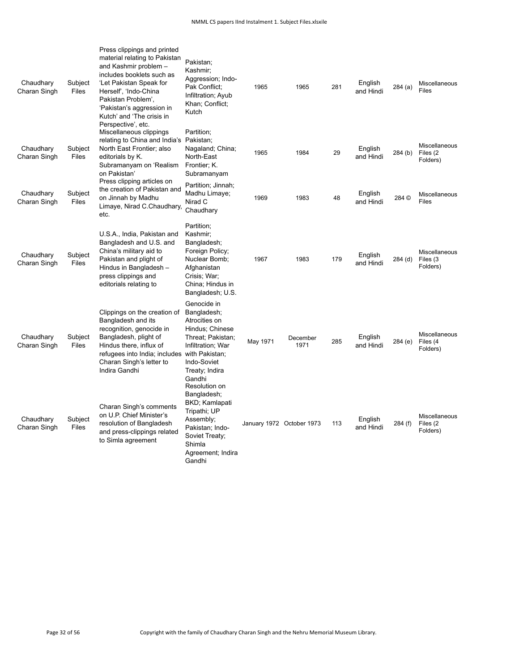| Chaudhary<br>Charan Singh | Subject<br>Files | Press clippings and printed<br>material relating to Pakistan<br>and Kashmir problem -<br>includes booklets such as<br>'Let Pakistan Speak for<br>Herself', 'Indo-China<br>Pakistan Problem',<br>'Pakistan's aggression in<br>Kutch' and 'The crisis in<br>Perspective', etc. | Pakistan;<br>Kashmir;<br>Aggression; Indo-<br>Pak Conflict:<br>Infiltration; Ayub<br>Khan; Conflict;<br>Kutch                                                        | 1965                      | 1965             | 281 | English<br>and Hindi | 284(a)  | Miscellaneous<br>Files                |
|---------------------------|------------------|------------------------------------------------------------------------------------------------------------------------------------------------------------------------------------------------------------------------------------------------------------------------------|----------------------------------------------------------------------------------------------------------------------------------------------------------------------|---------------------------|------------------|-----|----------------------|---------|---------------------------------------|
| Chaudhary<br>Charan Singh | Subject<br>Files | Miscellaneous clippings<br>relating to China and India's Pakistan;<br>North East Frontier; also<br>editorials by K.<br>Subramanyam on 'Realism<br>on Pakistan'                                                                                                               | Partition;<br>Nagaland; China;<br>North-East<br>Frontier; K.<br>Subramanyam                                                                                          | 1965                      | 1984             | 29  | English<br>and Hindi | 284(b)  | Miscellaneous<br>Files (2<br>Folders) |
| Chaudhary<br>Charan Singh | Subject<br>Files | Press clipping articles on<br>the creation of Pakistan and<br>on Jinnah by Madhu<br>Limaye, Nirad C.Chaudhary,<br>etc.                                                                                                                                                       | Partition; Jinnah;<br>Madhu Limaye;<br>Nirad C<br>Chaudhary                                                                                                          | 1969                      | 1983             | 48  | English<br>and Hindi | 284 ©   | Miscellaneous<br>Files                |
| Chaudhary<br>Charan Singh | Subject<br>Files | U.S.A., India, Pakistan and<br>Bangladesh and U.S. and<br>China's military aid to<br>Pakistan and plight of<br>Hindus in Bangladesh -<br>press clippings and<br>editorials relating to                                                                                       | Partition;<br>Kashmir;<br>Bangladesh;<br>Foreign Policy;<br>Nuclear Bomb;<br>Afghanistan<br>Crisis; War;<br>China; Hindus in<br>Bangladesh; U.S.                     | 1967                      | 1983             | 179 | English<br>and Hindi | 284 (d) | Miscellaneous<br>Files (3<br>Folders) |
| Chaudhary<br>Charan Singh | Subject<br>Files | Clippings on the creation of<br>Bangladesh and its<br>recognition, genocide in<br>Bangladesh, plight of<br>Hindus there, influx of<br>refugees into India; includes with Pakistan;<br>Charan Singh's letter to<br>Indira Gandhi                                              | Genocide in<br>Bangladesh;<br>Atrocities on<br>Hindus; Chinese<br>Threat; Pakistan;<br>Infiltration; War<br>Indo-Soviet<br>Treaty; Indira<br>Gandhi<br>Resolution on | May 1971                  | December<br>1971 | 285 | English<br>and Hindi | 284 (e) | Miscellaneous<br>Files (4<br>Folders) |
| Chaudhary<br>Charan Singh | Subject<br>Files | Charan Singh's comments<br>on U.P. Chief Minister's<br>resolution of Bangladesh<br>and press-clippings related<br>to Simla agreement                                                                                                                                         | Bangladesh;<br>BKD; Kamlapati<br>Tripathi; UP<br>Assembly;<br>Pakistan; Indo-<br>Soviet Treaty;<br>Shimla<br>Agreement; Indira<br>Gandhi                             | January 1972 October 1973 |                  | 113 | English<br>and Hindi | 284 (f) | Miscellaneous<br>Files (2<br>Folders) |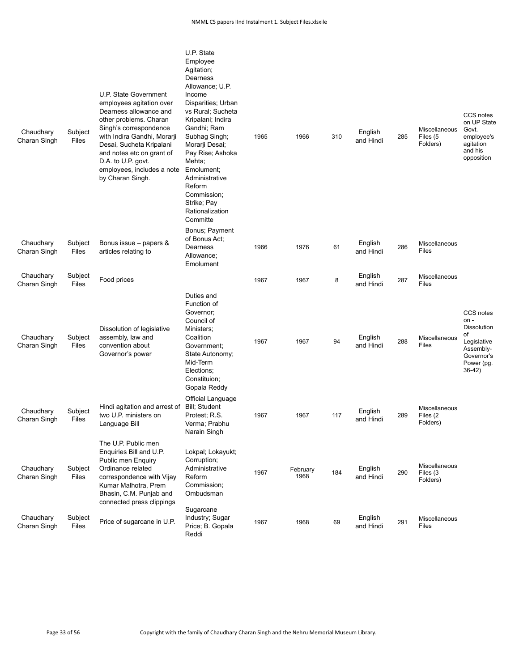| Chaudhary<br>Charan Singh | Subject<br>Files | U.P. State Government<br>employees agitation over<br>Dearness allowance and<br>other problems. Charan<br>Singh's correspondence<br>with Indira Gandhi, Morarji<br>Desai, Sucheta Kripalani<br>and notes etc on grant of<br>D.A. to U.P. govt.<br>employees, includes a note<br>by Charan Singh. | U.P. State<br>Employee<br>Agitation;<br>Dearness<br>Allowance; U.P.<br>Income<br>Disparities; Urban<br>vs Rural; Sucheta<br>Kripalani; Indira<br>Gandhi; Ram<br>Subhag Singh;<br>Morarji Desai;<br>Pay Rise; Ashoka<br>Mehta;<br>Emolument:<br>Administrative<br>Reform<br>Commission;<br>Strike; Pay<br>Rationalization<br>Committe | 1965 | 1966             | 310 | English<br>and Hindi | 285 | Miscellaneous<br>Files (5<br>Folders)  | CCS notes<br>on UP State<br>Govt.<br>employee's<br>agitation<br>and his<br>opposition                               |
|---------------------------|------------------|-------------------------------------------------------------------------------------------------------------------------------------------------------------------------------------------------------------------------------------------------------------------------------------------------|--------------------------------------------------------------------------------------------------------------------------------------------------------------------------------------------------------------------------------------------------------------------------------------------------------------------------------------|------|------------------|-----|----------------------|-----|----------------------------------------|---------------------------------------------------------------------------------------------------------------------|
| Chaudhary<br>Charan Singh | Subject<br>Files | Bonus issue - papers &<br>articles relating to                                                                                                                                                                                                                                                  | Bonus; Payment<br>of Bonus Act;<br>Dearness<br>Allowance;<br>Emolument                                                                                                                                                                                                                                                               | 1966 | 1976             | 61  | English<br>and Hindi | 286 | Miscellaneous<br>Files                 |                                                                                                                     |
| Chaudhary<br>Charan Singh | Subject<br>Files | Food prices                                                                                                                                                                                                                                                                                     |                                                                                                                                                                                                                                                                                                                                      | 1967 | 1967             | 8   | English<br>and Hindi | 287 | Miscellaneous<br>Files                 |                                                                                                                     |
| Chaudhary<br>Charan Singh | Subject<br>Files | Dissolution of legislative<br>assembly, law and<br>convention about<br>Governor's power                                                                                                                                                                                                         | Duties and<br>Function of<br>Governor;<br>Council of<br>Ministers;<br>Coalition<br>Government;<br>State Autonomy;<br>Mid-Term<br>Elections;<br>Constituion;<br>Gopala Reddy                                                                                                                                                          | 1967 | 1967             | 94  | English<br>and Hindi | 288 | Miscellaneous<br>Files                 | CCS notes<br>$on -$<br><b>Dissolution</b><br>of<br>Legislative<br>Assembly-<br>Governor's<br>Power (pg.<br>$36-42)$ |
| Chaudhary<br>Charan Singh | Subject<br>Files | Hindi agitation and arrest of<br>two U.P. ministers on<br>Language Bill                                                                                                                                                                                                                         | Official Language<br>Bill; Student<br>Protest; R.S.<br>Verma; Prabhu<br>Narain Singh                                                                                                                                                                                                                                                 | 1967 | 1967             | 117 | English<br>and Hindi | 289 | Miscellaneous<br>Files (2)<br>Folders) |                                                                                                                     |
| Chaudhary<br>Charan Singh | Subject<br>Files | The U.P. Public men<br>Enquiries Bill and U.P.<br>Public men Enquiry<br>Ordinance related<br>correspondence with Vijay<br>Kumar Malhotra, Prem<br>Bhasin, C.M. Punjab and<br>connected press clippings                                                                                          | Lokpal; Lokayukt;<br>Corruption;<br>Administrative<br>Reform<br>Commission;<br>Ombudsman                                                                                                                                                                                                                                             | 1967 | February<br>1968 | 184 | English<br>and Hindi | 290 | Miscellaneous<br>Files (3<br>Folders)  |                                                                                                                     |
| Chaudhary<br>Charan Singh | Subject<br>Files | Price of sugarcane in U.P.                                                                                                                                                                                                                                                                      | Sugarcane<br>Industry; Sugar<br>Price; B. Gopala<br>Reddi                                                                                                                                                                                                                                                                            | 1967 | 1968             | 69  | English<br>and Hindi | 291 | Miscellaneous<br>Files                 |                                                                                                                     |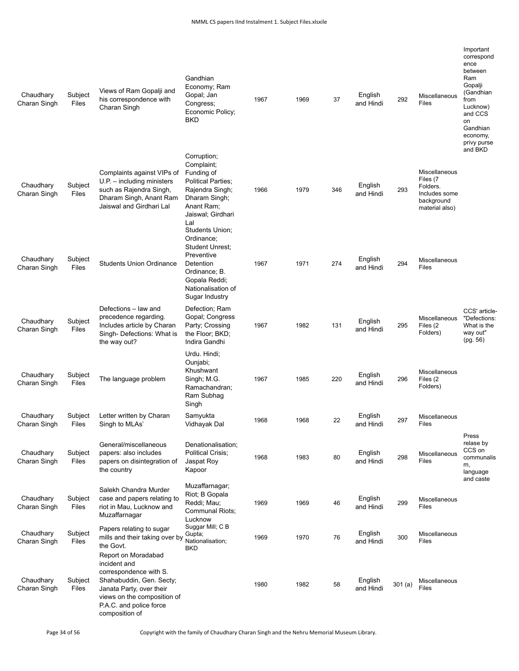| Chaudhary<br>Charan Singh | Subject<br>Files | Views of Ram Gopalji and<br>his correspondence with<br>Charan Singh                                                                                                                               | Gandhian<br>Economy; Ram<br>Gopal; Jan<br>Congress;<br>Economic Policy;<br>BKD                                                                                               | 1967 | 1969 | 37  | English<br>and Hindi | 292    | Miscellaneous<br>Files                                                                 | Important<br>correspond<br>ence<br>between<br>Ram<br>Gopalji<br>(Gandhian<br>from<br>Lucknow)<br>and CCS<br>on<br>Gandhian<br>economy,<br>privy purse |
|---------------------------|------------------|---------------------------------------------------------------------------------------------------------------------------------------------------------------------------------------------------|------------------------------------------------------------------------------------------------------------------------------------------------------------------------------|------|------|-----|----------------------|--------|----------------------------------------------------------------------------------------|-------------------------------------------------------------------------------------------------------------------------------------------------------|
| Chaudhary<br>Charan Singh | Subject<br>Files | Complaints against VIPs of<br>$U.P. - including ministers$<br>such as Rajendra Singh,<br>Dharam Singh, Anant Ram<br>Jaiswal and Girdhari Lal                                                      | Corruption;<br>Complaint:<br>Funding of<br><b>Political Parties;</b><br>Rajendra Singh;<br>Dharam Singh;<br>Anant Ram;<br>Jaiswal; Girdhari<br>Lal<br><b>Students Union:</b> | 1966 | 1979 | 346 | English<br>and Hindi | 293    | Miscellaneous<br>Files (7<br>Folders.<br>Includes some<br>background<br>material also) | and BKD                                                                                                                                               |
| Chaudhary<br>Charan Singh | Subject<br>Files | <b>Students Union Ordinance</b>                                                                                                                                                                   | Ordinance:<br><b>Student Unrest;</b><br>Preventive<br>Detention<br>Ordinance; B.<br>Gopala Reddi;<br>Nationalisation of<br>Sugar Industry                                    | 1967 | 1971 | 274 | English<br>and Hindi | 294    | Miscellaneous<br>Files                                                                 |                                                                                                                                                       |
| Chaudhary<br>Charan Singh | Subject<br>Files | Defections - law and<br>precedence regarding.<br>Includes article by Charan<br>Singh- Defections: What is<br>the way out?                                                                         | Defection; Ram<br>Gopal; Congress<br>Party; Crossing<br>the Floor; BKD;<br>Indira Gandhi                                                                                     | 1967 | 1982 | 131 | English<br>and Hindi | 295    | Miscellaneous<br>Files (2<br>Folders)                                                  | CCS' article-<br>"Defections:<br>What is the<br>way out"<br>(pg. 56)                                                                                  |
| Chaudhary<br>Charan Singh | Subject<br>Files | The language problem                                                                                                                                                                              | Urdu. Hindi;<br>Ounjabi;<br>Khushwant<br>Singh; M.G.<br>Ramachandran;<br>Ram Subhaq<br>Singh                                                                                 | 1967 | 1985 | 220 | English<br>and Hindi | 296    | Miscellaneous<br>Files (2)<br>Folders)                                                 |                                                                                                                                                       |
| Chaudhary<br>Charan Singh | Subject<br>Files | Letter written by Charan<br>Singh to MLAs'                                                                                                                                                        | Samyukta<br>Vidhayak Dal                                                                                                                                                     | 1968 | 1968 | 22  | English<br>and Hindi | 297    | Miscellaneous<br>Files                                                                 |                                                                                                                                                       |
| Chaudhary<br>Charan Singh | Subject<br>Files | General/miscellaneous<br>papers: also includes<br>papers on disintegration of<br>the country                                                                                                      | Denationalisation;<br><b>Political Crisis:</b><br>Jaspat Roy<br>Kapoor                                                                                                       | 1968 | 1983 | 80  | English<br>and Hindi | 298    | Miscellaneous<br><b>Files</b>                                                          | Press<br>relase by<br>CCS on<br>communalis<br>m,<br>language<br>and caste                                                                             |
| Chaudhary<br>Charan Singh | Subject<br>Files | Salekh Chandra Murder<br>case and papers relating to<br>riot in Mau, Lucknow and<br>Muzaffarnagar                                                                                                 | Muzaffarnagar;<br>Riot; B Gopala<br>Reddi; Mau;<br>Communal Riots;<br>Lucknow                                                                                                | 1969 | 1969 | 46  | English<br>and Hindi | 299    | Miscellaneous<br>Files                                                                 |                                                                                                                                                       |
| Chaudhary<br>Charan Singh | Subject<br>Files | Papers relating to sugar<br>mills and their taking over by<br>the Govt.                                                                                                                           | Suggar Mill; C B<br>Gupta;<br>Nationalisation;                                                                                                                               | 1969 | 1970 | 76  | English<br>and Hindi | 300    | Miscellaneous<br>Files                                                                 |                                                                                                                                                       |
| Chaudhary<br>Charan Singh | Subject<br>Files | Report on Moradabad<br>incident and<br>correspondence with S.<br>Shahabuddin, Gen. Secty;<br>Janata Party, over their<br>views on the composition of<br>P.A.C. and police force<br>composition of | <b>BKD</b>                                                                                                                                                                   | 1980 | 1982 | 58  | English<br>and Hindi | 301(a) | Miscellaneous<br>Files                                                                 |                                                                                                                                                       |

Page 34 of 56 Copyright with the family of Chaudhary Charan Singh and the Nehru Memorial Museum Library.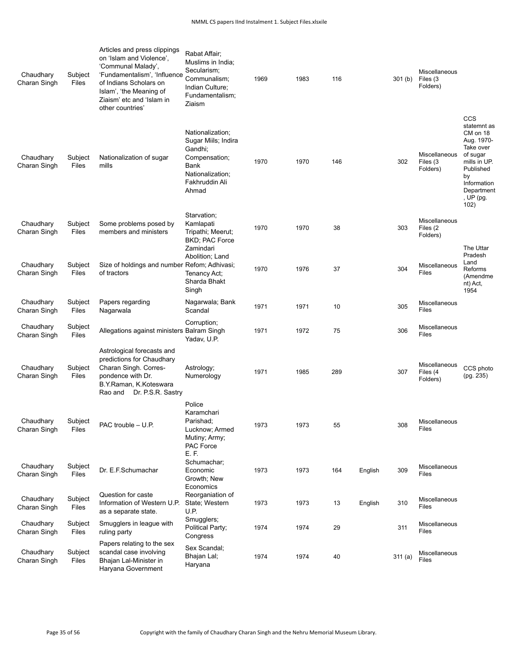| Chaudhary<br>Charan Singh | Subject<br>Files | Articles and press clippings<br>on 'Islam and Violence',<br>'Communal Malady',<br>'Fundamentalism', 'Influence<br>of Indians Scholars on<br>Islam', 'the Meaning of<br>Ziaism' etc and 'Islam in<br>other countries' | Rabat Affair;<br>Muslims in India;<br>Secularism;<br>Communalism;<br>Indian Culture;<br>Fundamentalism;<br>Ziaism          | 1969 | 1983 | 116 |         | 301 <sub>(b)</sub> | Miscellaneous<br>Files (3<br>Folders)        |                                                                                                                                                            |
|---------------------------|------------------|----------------------------------------------------------------------------------------------------------------------------------------------------------------------------------------------------------------------|----------------------------------------------------------------------------------------------------------------------------|------|------|-----|---------|--------------------|----------------------------------------------|------------------------------------------------------------------------------------------------------------------------------------------------------------|
| Chaudhary<br>Charan Singh | Subject<br>Files | Nationalization of sugar<br>mills                                                                                                                                                                                    | Nationalization;<br>Sugar Miils; Indira<br>Gandhi;<br>Compensation;<br>Bank<br>Nationalization;<br>Fakhruddin Ali<br>Ahmad | 1970 | 1970 | 146 |         | 302                | <b>Miscellaneous</b><br>Files (3<br>Folders) | CCS<br>statemnt as<br>CM on 18<br>Aug. 1970-<br>Take over<br>of sugar<br>mills in UP.<br>Published<br>by<br>Information<br>Department<br>, UP (pg.<br>102) |
| Chaudhary<br>Charan Singh | Subject<br>Files | Some problems posed by<br>members and ministers                                                                                                                                                                      | Starvation;<br>Kamlapati<br>Tripathi; Meerut;<br>BKD; PAC Force                                                            | 1970 | 1970 | 38  |         | 303                | Miscellaneous<br>Files (2<br>Folders)        |                                                                                                                                                            |
| Chaudhary<br>Charan Singh | Subject<br>Files | Size of holdings and number Refom; Adhivasi;<br>of tractors                                                                                                                                                          | Zamindari<br>Abolition; Land<br>Tenancy Act:<br>Sharda Bhakt<br>Singh                                                      | 1970 | 1976 | 37  |         | 304                | Miscellaneous<br><b>Files</b>                | The Uttar<br>Pradesh<br>Land<br>Reforms<br>(Amendme<br>nt) Act,<br>1954                                                                                    |
| Chaudhary<br>Charan Singh | Subject<br>Files | Papers regarding<br>Nagarwala                                                                                                                                                                                        | Nagarwala; Bank<br>Scandal                                                                                                 | 1971 | 1971 | 10  |         | 305                | Miscellaneous<br>Files                       |                                                                                                                                                            |
| Chaudhary<br>Charan Singh | Subject<br>Files | Allegations against ministers Balram Singh                                                                                                                                                                           | Corruption;<br>Yadav, U.P.                                                                                                 | 1971 | 1972 | 75  |         | 306                | Miscellaneous<br><b>Files</b>                |                                                                                                                                                            |
| Chaudhary<br>Charan Singh | Subject<br>Files | Astrological forecasts and<br>predictions for Chaudhary<br>Charan Singh. Corres-<br>pondence with Dr.<br>B.Y.Raman, K.Koteswara<br>Dr. P.S.R. Sastry<br>Rao and                                                      | Astrology;<br>Numerology                                                                                                   | 1971 | 1985 | 289 |         | 307                | Miscellaneous<br>Files (4<br>Folders)        | CCS photo<br>(pg. 235)                                                                                                                                     |
| Chaudhary<br>Charan Singh | Subject<br>Files | PAC trouble - U.P.                                                                                                                                                                                                   | Police<br>Karamchari<br>Parishad;<br>Lucknow; Armed<br>Mutiny; Army;<br>PAC Force<br>E. F.                                 | 1973 | 1973 | 55  |         | 308                | Miscellaneous<br>Files                       |                                                                                                                                                            |
| Chaudhary<br>Charan Singh | Subject<br>Files | Dr. E.F.Schumachar                                                                                                                                                                                                   | Schumachar;<br>Economic<br>Growth; New                                                                                     | 1973 | 1973 | 164 | English | 309                | Miscellaneous<br>Files                       |                                                                                                                                                            |
| Chaudhary<br>Charan Singh | Subject<br>Files | Question for caste<br>Information of Western U.P.<br>as a separate state.                                                                                                                                            | Economics<br>Reorganiation of<br>State; Western<br>U.P.                                                                    | 1973 | 1973 | 13  | English | 310                | Miscellaneous<br>Files                       |                                                                                                                                                            |
| Chaudhary<br>Charan Singh | Subject<br>Files | Smugglers in league with<br>ruling party                                                                                                                                                                             | Smugglers;<br>Political Party;<br>Congress                                                                                 | 1974 | 1974 | 29  |         | 311                | Miscellaneous<br>Files                       |                                                                                                                                                            |
| Chaudhary<br>Charan Singh | Subject<br>Files | Papers relating to the sex<br>scandal case involving<br>Bhajan Lal-Minister in<br>Haryana Government                                                                                                                 | Sex Scandal;<br>Bhajan Lal;<br>Haryana                                                                                     | 1974 | 1974 | 40  |         | 311(a)             | Miscellaneous<br>Files                       |                                                                                                                                                            |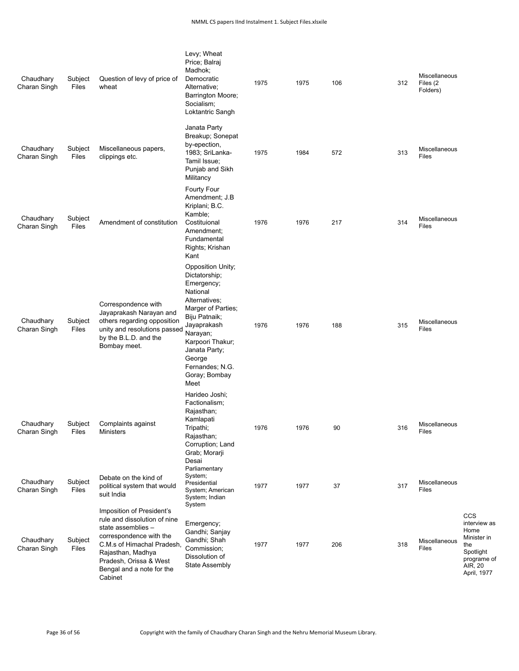| Chaudhary<br>Charan Singh | Subject<br>Files | Question of levy of price of<br>wheat                                                                                                                                                                                           | Levy; Wheat<br>Price; Balraj<br>Madhok;<br>Democratic<br>Alternative;<br>Barrington Moore;<br>Socialism;<br>Loktantric Sangh                                                                                                               | 1975 | 1975 | 106 | 312 | Miscellaneous<br>Files (2)<br>Folders) |                                                                                                         |
|---------------------------|------------------|---------------------------------------------------------------------------------------------------------------------------------------------------------------------------------------------------------------------------------|--------------------------------------------------------------------------------------------------------------------------------------------------------------------------------------------------------------------------------------------|------|------|-----|-----|----------------------------------------|---------------------------------------------------------------------------------------------------------|
| Chaudhary<br>Charan Singh | Subject<br>Files | Miscellaneous papers,<br>clippings etc.                                                                                                                                                                                         | Janata Party<br>Breakup; Sonepat<br>by-epection,<br>1983; SriLanka-<br>Tamil Issue;<br>Punjab and Sikh<br>Militancy                                                                                                                        | 1975 | 1984 | 572 | 313 | Miscellaneous<br>Files                 |                                                                                                         |
| Chaudhary<br>Charan Singh | Subject<br>Files | Amendment of constitution                                                                                                                                                                                                       | Fourty Four<br>Amendment; J.B<br>Kriplani; B.C.<br>Kamble;<br>Costituional<br>Amendment;<br>Fundamental<br>Rights; Krishan<br>Kant                                                                                                         | 1976 | 1976 | 217 | 314 | <b>Miscellaneous</b><br>Files          |                                                                                                         |
| Chaudhary<br>Charan Singh | Subject<br>Files | Correspondence with<br>Jayaprakash Narayan and<br>others regarding opposition<br>unity and resolutions passed<br>by the B.L.D. and the<br>Bombay meet.                                                                          | Opposition Unity;<br>Dictatorship;<br>Emergency;<br>National<br>Alternatives;<br>Marger of Parties;<br>Biju Patnaik;<br>Jayaprakash<br>Narayan;<br>Karpoori Thakur;<br>Janata Party;<br>George<br>Fernandes; N.G.<br>Goray; Bombay<br>Meet | 1976 | 1976 | 188 | 315 | Miscellaneous<br>Files                 |                                                                                                         |
| Chaudhary<br>Charan Singh | Subject<br>Files | Complaints against<br>Ministers                                                                                                                                                                                                 | Harideo Joshi;<br>Factionalism;<br>Rajasthan;<br>Kamlapati<br>Tripathi;<br>Rajasthan;<br>Corruption; Land<br>Grab; Morarji                                                                                                                 | 1976 | 1976 | 90  | 316 | Miscellaneous<br>Files                 |                                                                                                         |
| Chaudhary<br>Charan Singh | Subject<br>Files | Debate on the kind of<br>political system that would<br>suit India                                                                                                                                                              | Desai<br>Parliamentary<br>System;<br>Presidential<br>System; American<br>System; Indian<br>System                                                                                                                                          | 1977 | 1977 | 37  | 317 | <b>Miscellaneous</b><br>Files          |                                                                                                         |
| Chaudhary<br>Charan Singh | Subject<br>Files | Imposition of President's<br>rule and dissolution of nine<br>state assemblies -<br>correspondence with the<br>C.M.s of Himachal Pradesh,<br>Rajasthan, Madhya<br>Pradesh, Orissa & West<br>Bengal and a note for the<br>Cabinet | Emergency;<br>Gandhi; Sanjay<br>Gandhi; Shah<br>Commission;<br>Dissolution of<br><b>State Assembly</b>                                                                                                                                     | 1977 | 1977 | 206 | 318 | <b>Miscellaneous</b><br>Files          | CCS<br>interview as<br>Home<br>Minister in<br>the<br>Spotlight<br>programe of<br>AIR, 20<br>April, 1977 |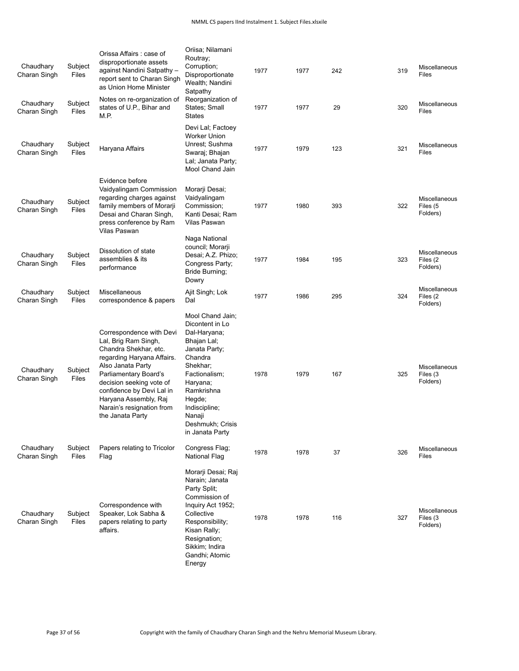| Chaudhary<br>Charan Singh<br>Chaudhary<br>Charan Singh | Subject<br>Files<br>Subject<br>Files | Orissa Affairs: case of<br>disproportionate assets<br>against Nandini Satpathy -<br>report sent to Charan Singh<br>as Union Home Minister<br>Notes on re-organization of<br>states of U.P., Bihar and<br>M.P.                                                                            | Oriisa; Nilamani<br>Routray;<br>Corruption;<br>Disproportionate<br>Wealth; Nandini<br>Satpathy<br>Reorganization of<br>States; Small<br>States                                                                                    | 1977<br>1977 | 1977<br>1977 | 242<br>29 | 319<br>320 | Miscellaneous<br>Files<br>Miscellaneous<br>Files |
|--------------------------------------------------------|--------------------------------------|------------------------------------------------------------------------------------------------------------------------------------------------------------------------------------------------------------------------------------------------------------------------------------------|-----------------------------------------------------------------------------------------------------------------------------------------------------------------------------------------------------------------------------------|--------------|--------------|-----------|------------|--------------------------------------------------|
| Chaudhary<br>Charan Singh                              | Subject<br>Files                     | Haryana Affairs                                                                                                                                                                                                                                                                          | Devi Lal; Factoey<br><b>Worker Union</b><br>Unrest; Sushma<br>Swaraj; Bhajan<br>Lal; Janata Party;<br>Mool Chand Jain                                                                                                             | 1977         | 1979         | 123       | 321        | Miscellaneous<br>Files                           |
| Chaudhary<br>Charan Singh                              | Subject<br>Files                     | Evidence before<br>Vaidyalingam Commission<br>regarding charges against<br>family members of Morarji<br>Desai and Charan Singh,<br>press conference by Ram<br>Vilas Paswan                                                                                                               | Morarji Desai;<br>Vaidyalingam<br>Commission;<br>Kanti Desai; Ram<br>Vilas Paswan                                                                                                                                                 | 1977         | 1980         | 393       | 322        | Miscellaneous<br>Files (5<br>Folders)            |
| Chaudhary<br>Charan Singh                              | Subject<br>Files                     | Dissolution of state<br>assemblies & its<br>performance                                                                                                                                                                                                                                  | Naga National<br>council; Morarji<br>Desai; A.Z. Phizo;<br>Congress Party;<br>Bride Burning:<br>Dowry                                                                                                                             | 1977         | 1984         | 195       | 323        | Miscellaneous<br>Files (2)<br>Folders)           |
| Chaudhary<br>Charan Singh                              | Subject<br>Files                     | Miscellaneous<br>correspondence & papers                                                                                                                                                                                                                                                 | Ajit Singh; Lok<br>Dal                                                                                                                                                                                                            | 1977         | 1986         | 295       | 324        | Miscellaneous<br>Files (2)<br>Folders)           |
| Chaudhary<br>Charan Singh                              | Subject<br>Files                     | Correspondence with Devi<br>Lal, Brig Ram Singh,<br>Chandra Shekhar, etc.<br>regarding Haryana Affairs.<br>Also Janata Party<br>Parliamentary Board's<br>decision seeking vote of<br>confidence by Devi Lal in<br>Haryana Assembly, Raj<br>Narain's resignation from<br>the Janata Party | Mool Chand Jain;<br>Dicontent in Lo<br>Dal-Haryana;<br>Bhajan Lal;<br>Janata Party;<br>Chandra<br>Shekhar;<br>Factionalism;<br>Haryana;<br>Ramkrishna<br>Hegde;<br>Indiscipline;<br>Nanaji<br>Deshmukh; Crisis<br>in Janata Party | 1978         | 1979         | 167       | 325        | Miscellaneous<br>Files (3<br>Folders)            |
| Chaudhary<br>Charan Singh                              | Subject<br>Files                     | Papers relating to Tricolor<br>Flag                                                                                                                                                                                                                                                      | Congress Flag;<br><b>National Flag</b>                                                                                                                                                                                            | 1978         | 1978         | 37        | 326        | Miscellaneous<br><b>Files</b>                    |
| Chaudhary<br>Charan Singh                              | Subject<br>Files                     | Correspondence with<br>Speaker, Lok Sabha &<br>papers relating to party<br>affairs.                                                                                                                                                                                                      | Morarji Desai; Raj<br>Narain; Janata<br>Party Split;<br>Commission of<br>Inquiry Act 1952;<br>Collective<br>Responsibility;<br>Kisan Rally;<br>Resignation;<br>Sikkim; Indira<br>Gandhi; Atomic<br>Energy                         | 1978         | 1978         | 116       | 327        | Miscellaneous<br>Files (3<br>Folders)            |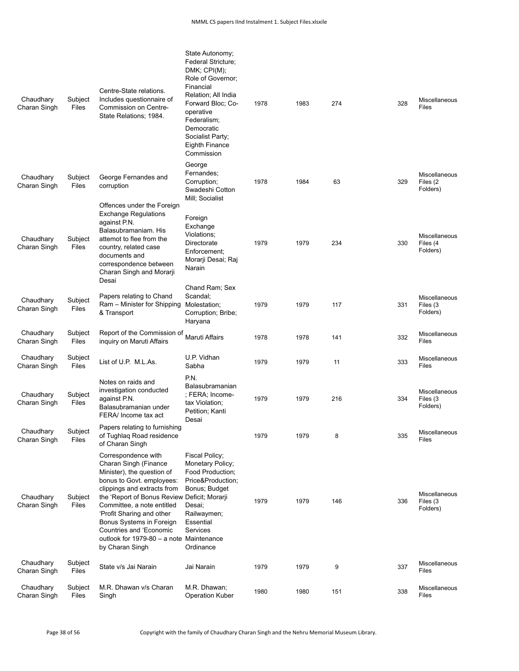| Chaudhary<br>Charan Singh | Subject<br>Files | Centre-State relations.<br>Includes questionnaire of<br>Commission on Centre-<br>State Relations; 1984.                                                                                                                                                                                                                                                                 | State Autonomy;<br>Federal Stricture;<br>DMK; CPI(M);<br>Role of Governor;<br>Financial<br>Relation; All India<br>Forward Bloc; Co-<br>operative<br>Federalism;<br>Democratic<br>Socialist Party;<br><b>Eighth Finance</b><br>Commission | 1978 | 1983 | 274 | 328 | Miscellaneous<br>Files                       |
|---------------------------|------------------|-------------------------------------------------------------------------------------------------------------------------------------------------------------------------------------------------------------------------------------------------------------------------------------------------------------------------------------------------------------------------|------------------------------------------------------------------------------------------------------------------------------------------------------------------------------------------------------------------------------------------|------|------|-----|-----|----------------------------------------------|
| Chaudhary<br>Charan Singh | Subject<br>Files | George Fernandes and<br>corruption                                                                                                                                                                                                                                                                                                                                      | George<br>Fernandes;<br>Corruption;<br>Swadeshi Cotton<br>Mill; Socialist                                                                                                                                                                | 1978 | 1984 | 63  | 329 | <b>Miscellaneous</b><br>Files (2<br>Folders) |
| Chaudhary<br>Charan Singh | Subject<br>Files | Offences under the Foreign<br><b>Exchange Regulations</b><br>against P.N.<br>Balasubramaniam. His<br>attemot to flee from the<br>country, related case<br>documents and<br>correspondence between<br>Charan Singh and Morarji<br>Desai                                                                                                                                  | Foreign<br>Exchange<br>Violations:<br>Directorate<br>Enforcement;<br>Morarii Desai; Raj<br>Narain                                                                                                                                        | 1979 | 1979 | 234 | 330 | Miscellaneous<br>Files (4<br>Folders)        |
| Chaudhary<br>Charan Singh | Subject<br>Files | Papers relating to Chand<br>Ram - Minister for Shipping<br>& Transport                                                                                                                                                                                                                                                                                                  | Chand Ram; Sex<br>Scandal:<br>Molestation;<br>Corruption; Bribe;<br>Haryana                                                                                                                                                              | 1979 | 1979 | 117 | 331 | Miscellaneous<br>Files (3<br>Folders)        |
| Chaudhary<br>Charan Singh | Subject<br>Files | Report of the Commission of<br>inguiry on Maruti Affairs                                                                                                                                                                                                                                                                                                                | Maruti Affairs                                                                                                                                                                                                                           | 1978 | 1978 | 141 | 332 | Miscellaneous<br>Files                       |
| Chaudhary<br>Charan Singh | Subject<br>Files | List of U.P. M.L.As.                                                                                                                                                                                                                                                                                                                                                    | U.P. Vidhan<br>Sabha                                                                                                                                                                                                                     | 1979 | 1979 | 11  | 333 | Miscellaneous<br>Files                       |
| Chaudhary<br>Charan Singh | Subject<br>Files | Notes on raids and<br>investigation conducted<br>against P.N.<br>Balasubramanian under<br>FERA/ Income tax act                                                                                                                                                                                                                                                          | P.N.<br>Balasubramanian<br>; FERA; Income-<br>tax Violation;<br>Petition; Kanti<br>Desai                                                                                                                                                 | 1979 | 1979 | 216 | 334 | Miscellaneous<br>Files (3<br>Folders)        |
| Chaudhary<br>Charan Singh | Subject<br>Files | Papers relating to furnishing<br>of Tughlag Road residence<br>of Charan Singh                                                                                                                                                                                                                                                                                           |                                                                                                                                                                                                                                          | 1979 | 1979 | 8   | 335 | Miscellaneous<br>Files                       |
| Chaudhary<br>Charan Singh | Subject<br>Files | Correspondence with<br>Charan Singh (Finance<br>Minister), the question of<br>bonus to Govt. employees:<br>clippings and extracts from<br>the 'Report of Bonus Review Deficit; Morarji<br>Committee, a note entitled<br>'Profit Sharing and other<br>Bonus Systems in Foreign<br>Countries and 'Economic<br>outlook for 1979-80 - a note Maintenance<br>by Charan Singh | Fiscal Policy;<br>Monetary Policy;<br>Food Production;<br>Price&Production<br>Bonus; Budget<br>Desai;<br>Railwaymen;<br>Essential<br>Services<br>Ordinance                                                                               | 1979 | 1979 | 146 | 336 | Miscellaneous<br>Files (3<br>Folders)        |
| Chaudhary<br>Charan Singh | Subject<br>Files | State v/s Jai Narain                                                                                                                                                                                                                                                                                                                                                    | Jai Narain                                                                                                                                                                                                                               | 1979 | 1979 | 9   | 337 | Miscellaneous<br>Files                       |
| Chaudhary<br>Charan Singh | Subject<br>Files | M.R. Dhawan v/s Charan<br>Singh                                                                                                                                                                                                                                                                                                                                         | M.R. Dhawan;<br><b>Operation Kuber</b>                                                                                                                                                                                                   | 1980 | 1980 | 151 | 338 | Miscellaneous<br>Files                       |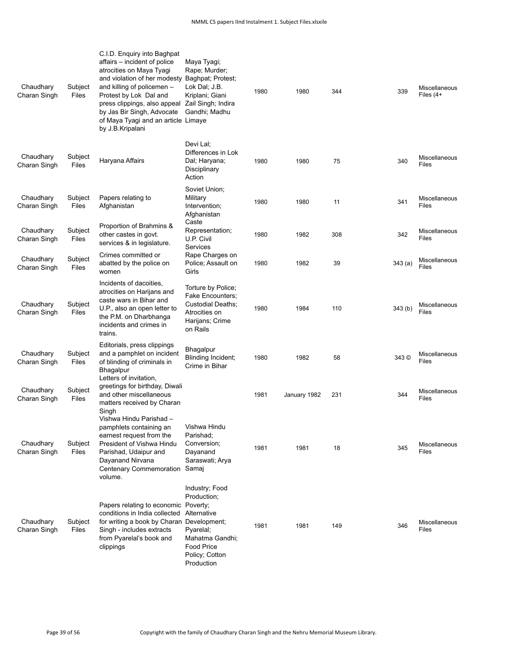| Chaudhary<br>Charan Singh | Subject<br>Files | C.I.D. Enquiry into Baghpat<br>affairs - incident of police<br>atrocities on Maya Tyagi<br>and violation of her modesty<br>and killing of policemen -<br>Protest by Lok Dal and<br>press clippings, also appeal<br>by Jas Bir Singh, Advocate<br>of Maya Tyagi and an article Limaye<br>by J.B.Kripalani | Maya Tyagi;<br>Rape; Murder;<br>Baghpat; Protest;<br>Lok Dal; J.B.<br>Kriplani; Giani<br>Zail Singh; Indira<br>Gandhi; Madhu                  | 1980 | 1980         | 344 | 339     | Miscellaneous<br>Files $(4+)$ |
|---------------------------|------------------|----------------------------------------------------------------------------------------------------------------------------------------------------------------------------------------------------------------------------------------------------------------------------------------------------------|-----------------------------------------------------------------------------------------------------------------------------------------------|------|--------------|-----|---------|-------------------------------|
| Chaudhary<br>Charan Singh | Subject<br>Files | Haryana Affairs                                                                                                                                                                                                                                                                                          | Devi Lal:<br>Differences in Lok<br>Dal; Haryana;<br>Disciplinary<br>Action                                                                    | 1980 | 1980         | 75  | 340     | Miscellaneous<br>Files        |
| Chaudhary<br>Charan Singh | Subject<br>Files | Papers relating to<br>Afghanistan                                                                                                                                                                                                                                                                        | Soviet Union;<br>Military<br>Intervention;<br>Afghanistan                                                                                     | 1980 | 1980         | 11  | 341     | Miscellaneous<br>Files        |
| Chaudhary<br>Charan Singh | Subject<br>Files | Proportion of Brahmins &<br>other castes in govt.<br>services & in legislature.                                                                                                                                                                                                                          | Caste<br>Representation;<br>U.P. Civil<br>Services                                                                                            | 1980 | 1982         | 308 | 342     | Miscellaneous<br>Files        |
| Chaudhary<br>Charan Singh | Subject<br>Files | Crimes committed or<br>abatted by the police on<br>women                                                                                                                                                                                                                                                 | Rape Charges on<br>Police; Assault on<br>Girls                                                                                                | 1980 | 1982         | 39  | 343(a)  | Miscellaneous<br>Files        |
| Chaudhary<br>Charan Singh | Subject<br>Files | Incidents of dacoities.<br>atrocities on Harijans and<br>caste wars in Bihar and<br>U.P., also an open letter to<br>the P.M. on Dharbhanga<br>incidents and crimes in<br>trains.                                                                                                                         | Torture by Police;<br><b>Fake Encounters:</b><br>Custodial Deaths;<br>Atrocities on<br>Harijans; Crime<br>on Rails                            | 1980 | 1984         | 110 | 343 (b) | Miscellaneous<br>Files        |
| Chaudhary<br>Charan Singh | Subject<br>Files | Editorials, press clippings<br>and a pamphlet on incident<br>of blinding of criminals in<br>Bhagalpur<br>Letters of invitation,                                                                                                                                                                          | <b>Bhagalpur</b><br>Blinding Incident;<br>Crime in Bihar                                                                                      | 1980 | 1982         | 58  | 343 ©   | Miscellaneous<br>Files        |
| Chaudhary<br>Charan Singh | Subject<br>Files | greetings for birthday, Diwali<br>and other miscellaneous<br>matters received by Charan<br>Singh                                                                                                                                                                                                         |                                                                                                                                               | 1981 | January 1982 | 231 | 344     | Miscellaneous<br>Files        |
| Chaudhary<br>Charan Singh | Subject<br>Files | Vishwa Hindu Parishad -<br>pamphlets containing an<br>earnest request from the<br>President of Vishwa Hindu<br>Parishad, Udaipur and<br>Dayanand Nirvana<br>Centenary Commemoration<br>volume.                                                                                                           | Vishwa Hindu<br>Parishad;<br>Conversion;<br>Dayanand<br>Saraswati; Arya<br>Samaj                                                              | 1981 | 1981         | 18  | 345     | Miscellaneous<br>Files        |
| Chaudhary<br>Charan Singh | Subject<br>Files | Papers relating to economic<br>conditions in India collected<br>for writing a book by Charan Development;<br>Singh - includes extracts<br>from Pyarelal's book and<br>clippings                                                                                                                          | Industry; Food<br>Production;<br>Poverty;<br>Alternative<br>Pyarelal;<br>Mahatma Gandhi;<br><b>Food Price</b><br>Policy; Cotton<br>Production | 1981 | 1981         | 149 | 346     | Miscellaneous<br>Files        |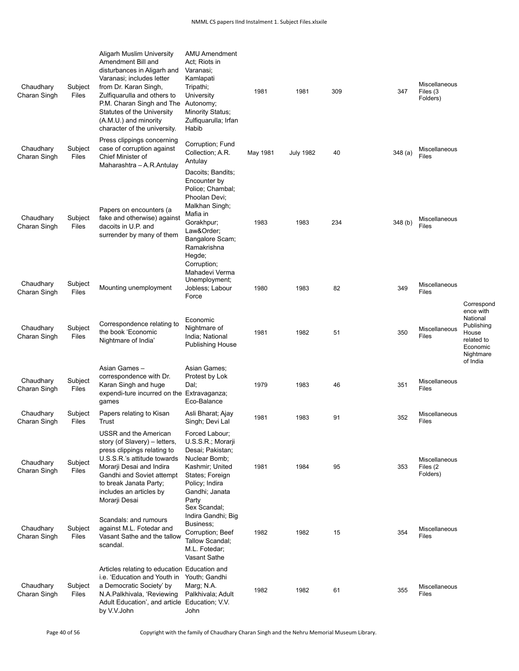| Chaudhary<br>Charan Singh | Subject<br>Files | Aligarh Muslim University<br>Amendment Bill and<br>disturbances in Aligarh and<br>Varanasi; includes letter<br>from Dr. Karan Singh,<br>Zulfiquarulla and others to<br>P.M. Charan Singh and The<br>Statutes of the University<br>(A.M.U.) and minority<br>character of the university. | AMU Amendment<br>Act; Riots in<br>Varanasi;<br>Kamlapati<br>Tripathi;<br>University<br>Autonomy;<br><b>Minority Status;</b><br>Zulfiquarulla; Irfan<br>Habib                               | 1981     | 1981             | 309 | 347    | Miscellaneous<br>Files (3<br>Folders) |                                                                                                 |
|---------------------------|------------------|-----------------------------------------------------------------------------------------------------------------------------------------------------------------------------------------------------------------------------------------------------------------------------------------|--------------------------------------------------------------------------------------------------------------------------------------------------------------------------------------------|----------|------------------|-----|--------|---------------------------------------|-------------------------------------------------------------------------------------------------|
| Chaudhary<br>Charan Singh | Subject<br>Files | Press clippings concerning<br>case of corruption against<br>Chief Minister of<br>Maharashtra - A.R.Antulay                                                                                                                                                                              | Corruption; Fund<br>Collection; A.R.<br>Antulay                                                                                                                                            | May 1981 | <b>July 1982</b> | 40  | 348(a) | Miscellaneous<br><b>Files</b>         |                                                                                                 |
| Chaudhary<br>Charan Singh | Subject<br>Files | Papers on encounters (a<br>fake and otherwise) against<br>dacoits in U.P. and<br>surrender by many of them                                                                                                                                                                              | Dacoits; Bandits;<br>Encounter by<br>Police; Chambal;<br>Phoolan Devi:<br>Malkhan Singh;<br>Mafia in<br>Gorakhpur;<br>Law&Order<br>Bangalore Scam;<br>Ramakrishna<br>Hegde;<br>Corruption; | 1983     | 1983             | 234 | 348(b) | Miscellaneous<br><b>Files</b>         |                                                                                                 |
| Chaudhary<br>Charan Singh | Subject<br>Files | Mounting unemployment                                                                                                                                                                                                                                                                   | Mahadevi Verma<br>Unemployment;<br>Jobless; Labour<br>Force                                                                                                                                | 1980     | 1983             | 82  | 349    | Miscellaneous<br><b>Files</b>         | Correspond                                                                                      |
| Chaudhary<br>Charan Singh | Subject<br>Files | Correspondence relating to<br>the book 'Economic<br>Nightmare of India                                                                                                                                                                                                                  | Economic<br>Nightmare of<br>India; National<br><b>Publishing House</b>                                                                                                                     | 1981     | 1982             | 51  | 350    | Miscellaneous<br>Files                | ence with<br>National<br>Publishing<br>House<br>related to<br>Economic<br>Nightmare<br>of India |
| Chaudhary<br>Charan Singh | Subject<br>Files | Asian Games-<br>correspondence with Dr.<br>Karan Singh and huge<br>expendi-ture incurred on the Extravaganza;<br>games                                                                                                                                                                  | Asian Games;<br>Protest by Lok<br>Dal:<br>Eco-Balance                                                                                                                                      | 1979     | 1983             | 46  | 351    | Miscellaneous<br>Files                |                                                                                                 |
| Chaudhary<br>Charan Singh | Subject<br>Files | Papers relating to Kisan<br>Trust                                                                                                                                                                                                                                                       | Asli Bharat; Ajay<br>Singh; Devi Lal                                                                                                                                                       | 1981     | 1983             | 91  | 352    | Miscellaneous<br><b>Files</b>         |                                                                                                 |
| Chaudhary<br>Charan Singh | Subject<br>Files | USSR and the American<br>story (of Slavery) - letters,<br>press clippings relating to<br>U.S.S.R.'s attitude towards<br>Morarji Desai and Indira<br>Gandhi and Soviet attempt<br>to break Janata Party;<br>includes an articles by<br>Morarji Desai                                     | Forced Labour;<br>U.S.S.R.; Morarji<br>Desai; Pakistan;<br>Nuclear Bomb;<br>Kashmir; United<br>States; Foreign<br>Policy; Indira<br>Gandhi; Janata<br>Party                                | 1981     | 1984             | 95  | 353    | Miscellaneous<br>Files (2<br>Folders) |                                                                                                 |
| Chaudhary<br>Charan Singh | Subject<br>Files | Scandals: and rumours<br>against M.L. Fotedar and<br>Vasant Sathe and the tallow<br>scandal.                                                                                                                                                                                            | Sex Scandal;<br>Indira Gandhi; Big<br>Business;<br>Corruption; Beef<br>Tallow Scandal;<br>M.L. Fotedar;<br>Vasant Sathe                                                                    | 1982     | 1982             | 15  | 354    | Miscellaneous<br>Files                |                                                                                                 |
| Chaudhary<br>Charan Singh | Subject<br>Files | Articles relating to education Education and<br>i.e. 'Education and Youth in<br>a Democratic Society' by<br>N.A.Palkhivala, 'Reviewing<br>Adult Education', and article Education; V.V.<br>by V.V.John                                                                                  | Youth; Gandhi<br>Marg; N.A.<br>Palkhivala; Adult<br>John                                                                                                                                   | 1982     | 1982             | 61  | 355    | Miscellaneous<br>Files                |                                                                                                 |

Page 40 of 56 Copyright with the family of Chaudhary Charan Singh and the Nehru Memorial Museum Library.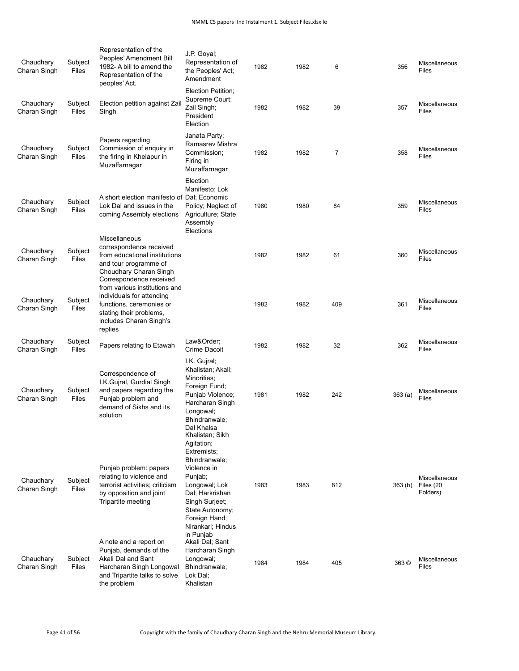| Chaudhary<br>Charan Singh | Subject<br>Files        | Representation of the<br>Peoples' Amendment Bill<br>1982- A bill to amend the<br>Representation of the<br>peoples' Act.                                          | J.P. Goyal;<br>Representation of<br>the Peoples' Act;<br>Amendment                                                                                                                                                  | 1982 | 1982 | 6   | 356                | Miscellaneous<br>Files                 |
|---------------------------|-------------------------|------------------------------------------------------------------------------------------------------------------------------------------------------------------|---------------------------------------------------------------------------------------------------------------------------------------------------------------------------------------------------------------------|------|------|-----|--------------------|----------------------------------------|
| Chaudhary<br>Charan Singh | Subject<br>Files        | Election petition against Zail<br>Singh                                                                                                                          | Election Petition;<br>Supreme Court;<br>Zail Singh;<br>President<br>Election                                                                                                                                        | 1982 | 1982 | 39  | 357                | Miscellaneous<br>Files                 |
| Chaudhary<br>Charan Singh | Subject<br>Files        | Papers regarding<br>Commission of enquiry in<br>the firing in Khelapur in<br>Muzaffarnagar                                                                       | Janata Party;<br>Ramasrev Mishra<br>Commission:<br>Firing in<br>Muzaffarnagar                                                                                                                                       | 1982 | 1982 | 7   | 358                | Miscellaneous<br>Files                 |
| Chaudhary<br>Charan Singh | Subject<br><b>Files</b> | A short election manifesto of Dal; Economic<br>Lok Dal and issues in the<br>coming Assembly elections                                                            | Election<br>Manifesto; Lok<br>Policy; Neglect of<br>Agriculture; State<br>Assembly<br>Elections                                                                                                                     | 1980 | 1980 | 84  | 359                | Miscellaneous<br>Files                 |
| Chaudhary<br>Charan Singh | Subject<br>Files        | Miscellaneous<br>correspondence received<br>from educational institutions<br>and tour programme of<br>Choudhary Charan Singh<br>Correspondence received          |                                                                                                                                                                                                                     | 1982 | 1982 | 61  | 360                | Miscellaneous<br>Files                 |
| Chaudhary<br>Charan Singh | Subject<br>Files        | from various institutions and<br>individuals for attending<br>functions, ceremonies or<br>stating their problems,<br>includes Charan Singh's<br>replies          |                                                                                                                                                                                                                     | 1982 | 1982 | 409 | 361                | Miscellaneous<br>Files                 |
| Chaudhary<br>Charan Singh | Subject<br><b>Files</b> | Papers relating to Etawah                                                                                                                                        | Law&Order<br>Crime Dacoit                                                                                                                                                                                           | 1982 | 1982 | 32  | 362                | Miscellaneous<br>Files                 |
| Chaudhary<br>Charan Singh | Subject<br>Files        | Correspondence of<br>I.K.Gujral, Gurdial Singh<br>and papers regarding the<br>Punjab problem and<br>demand of Sikhs and its<br>solution                          | I.K. Gujral;<br>Khalistan; Akali;<br>Minorities;<br>Foreign Fund;<br>Punjab Violence;<br>Harcharan Singh<br>Longowal;<br>Bhindranwale;<br>Dal Khalsa<br>Khalistan; Sikh                                             | 1981 | 1982 | 242 | 363(a)             | Miscellaneous<br>Files                 |
| Chaudhary<br>Charan Singh | Subject<br>Files        | Punjab problem: papers<br>relating to violence and<br>terrorist activities; criticism<br>by opposition and joint<br>Tripartite meeting<br>A note and a report on | Agitation;<br>Extremists:<br>Bhindranwale;<br>Violence in<br>Punjab;<br>Longowal; Lok<br>Dal; Harkrishan<br>Singh Surjeet;<br>State Autonomy;<br>Foreign Hand;<br>Nirankari; Hindus<br>in Punjab<br>Akali Dal; Sant | 1983 | 1983 | 812 | 363 <sub>(b)</sub> | Miscellaneous<br>Files (20<br>Folders) |
| Chaudhary<br>Charan Singh | Subject<br>Files        | Punjab, demands of the<br>Akali Dal and Sant<br>Harcharan Singh Longowal<br>and Tripartite talks to solve<br>the problem                                         | Harcharan Singh<br>Longowal;<br>Bhindranwale;<br>Lok Dal;<br>Khalistan                                                                                                                                              | 1984 | 1984 | 405 | 363 ©              | Miscellaneous<br>Files                 |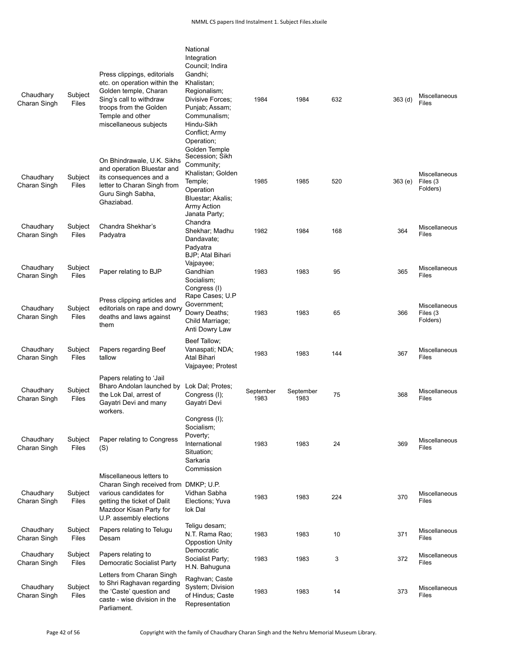| Chaudhary<br>Charan Singh | Subject<br>Files        | Press clippings, editorials<br>etc. on operation within the<br>Golden temple, Charan<br>Sing's call to withdraw<br>troops from the Golden<br>Temple and other<br>miscellaneous subjects | National<br>Integration<br>Council; Indira<br>Gandhi:<br>Khalistan;<br>Regionalism;<br>Divisive Forces:<br>Punjab; Assam;<br>Communalism;<br>Hindu-Sikh<br>Conflict; Army | 1984              | 1984              | 632 | 363 <sub>(d)</sub> | Miscellaneous<br>Files                |
|---------------------------|-------------------------|-----------------------------------------------------------------------------------------------------------------------------------------------------------------------------------------|---------------------------------------------------------------------------------------------------------------------------------------------------------------------------|-------------------|-------------------|-----|--------------------|---------------------------------------|
| Chaudhary<br>Charan Singh | Subject<br>Files        | On Bhindrawale, U.K. Sikhs<br>and operation Bluestar and<br>its consequences and a<br>letter to Charan Singh from<br>Guru Singh Sabha,<br>Ghaziabad.                                    | Operation;<br>Golden Temple<br>Secession; Sikh<br>Community:<br>Khalistan; Golden<br>Temple;<br>Operation<br>Bluestar; Akalis;<br>Army Action<br>Janata Party;<br>Chandra | 1985              | 1985              | 520 | 363(e)             | Miscellaneous<br>Files (3<br>Folders) |
| Chaudhary<br>Charan Singh | Subject<br>Files        | Chandra Shekhar's<br>Padyatra                                                                                                                                                           | Shekhar: Madhu<br>Dandavate;<br>Padyatra<br>BJP; Atal Bihari                                                                                                              | 1982              | 1984              | 168 | 364                | Miscellaneous<br>Files                |
| Chaudhary<br>Charan Singh | Subject<br><b>Files</b> | Paper relating to BJP                                                                                                                                                                   | Vajpayee;<br>Gandhian<br>Socialism;<br>Congress (I)                                                                                                                       | 1983              | 1983              | 95  | 365                | Miscellaneous<br>Files                |
| Chaudhary<br>Charan Singh | Subject<br>Files        | Press clipping articles and<br>editorials on rape and dowry<br>deaths and laws against<br>them                                                                                          | Rape Cases; U.P<br>Government;<br>Dowry Deaths;<br>Child Marriage;<br>Anti Dowry Law                                                                                      | 1983              | 1983              | 65  | 366                | Miscellaneous<br>Files (3<br>Folders) |
| Chaudhary<br>Charan Singh | Subject<br>Files        | Papers regarding Beef<br>tallow                                                                                                                                                         | Beef Tallow;<br>Vanaspati; NDA;<br>Atal Bihari<br>Vajpayee; Protest                                                                                                       | 1983              | 1983              | 144 | 367                | Miscellaneous<br>Files                |
| Chaudhary<br>Charan Singh | Subject<br>Files        | Papers relating to 'Jail<br>Bharo Andolan launched by<br>the Lok Dal, arrest of<br>Gayatri Devi and many<br>workers.                                                                    | Lok Dal; Protes;<br>Congress (I);<br>Gayatri Devi                                                                                                                         | September<br>1983 | September<br>1983 | 75  | 368                | Miscellaneous<br>Files                |
| Chaudhary<br>Charan Singh | Subject<br>Files        | Paper relating to Congress<br>(S)                                                                                                                                                       | Congress (I);<br>Socialism;<br>Poverty;<br>International<br>Situation;<br>Sarkaria<br>Commission                                                                          | 1983              | 1983              | 24  | 369                | Miscellaneous<br>Files                |
| Chaudhary<br>Charan Singh | Subject<br>Files        | Miscellaneous letters to<br>Charan Singh received from<br>various candidates for<br>getting the ticket of Dalit<br>Mazdoor Kisan Party for<br>U.P. assembly elections                   | DMKP; U.P.<br>Vidhan Sabha<br>Elections: Yuva<br>lok Dal                                                                                                                  | 1983              | 1983              | 224 | 370                | Miscellaneous<br>Files                |
| Chaudhary<br>Charan Singh | Subject<br>Files        | Papers relating to Telugu<br>Desam                                                                                                                                                      | Teliqu desam;<br>N.T. Rama Rao;<br><b>Oppostion Unity</b><br>Democratic                                                                                                   | 1983              | 1983              | 10  | 371                | Miscellaneous<br>Files                |
| Chaudhary<br>Charan Singh | Subject<br>Files        | Papers relating to<br>Democratic Socialist Party                                                                                                                                        | Socialist Party;<br>H.N. Bahuguna                                                                                                                                         | 1983              | 1983              | 3   | 372                | Miscellaneous<br>Files                |
| Chaudhary<br>Charan Singh | Subject<br>Files        | Letters from Charan Singh<br>to Shri Raghavan regarding<br>the 'Caste' question and<br>caste - wise division in the<br>Parliament.                                                      | Raghvan; Caste<br>System; Division<br>of Hindus; Caste<br>Representation                                                                                                  | 1983              | 1983              | 14  | 373                | Miscellaneous<br>Files                |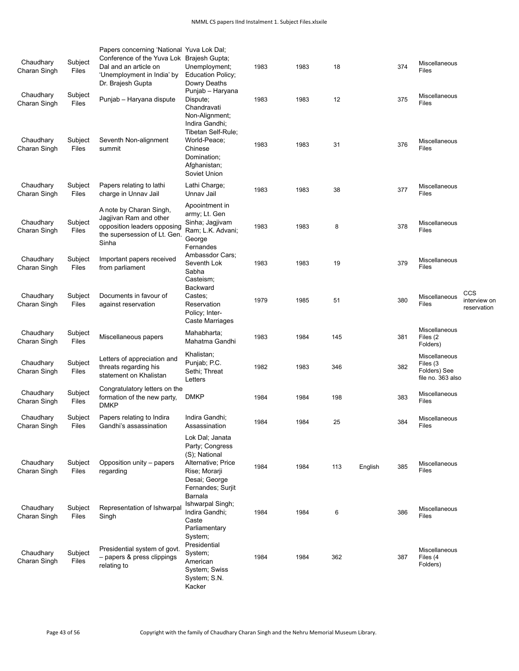| Chaudhary<br>Charan Singh | Subject<br>Files | Papers concerning 'National Yuva Lok Dal;<br>Conference of the Yuva Lok Brajesh Gupta;<br>Dal and an article on<br>'Unemployment in India' by<br>Dr. Brajesh Gupta | Unemployment;<br><b>Education Policy;</b><br>Dowry Deaths                                                                        | 1983 | 1983 | 18  |         | 374 | Miscellaneous<br>Files                                         |                                    |
|---------------------------|------------------|--------------------------------------------------------------------------------------------------------------------------------------------------------------------|----------------------------------------------------------------------------------------------------------------------------------|------|------|-----|---------|-----|----------------------------------------------------------------|------------------------------------|
| Chaudhary<br>Charan Singh | Subject<br>Files | Punjab - Haryana dispute                                                                                                                                           | Punjab - Haryana<br>Dispute;<br>Chandravati<br>Non-Alignment;<br>Indira Gandhi;<br>Tibetan Self-Rule;                            | 1983 | 1983 | 12  |         | 375 | Miscellaneous<br><b>Files</b>                                  |                                    |
| Chaudhary<br>Charan Singh | Subject<br>Files | Seventh Non-alignment<br>summit                                                                                                                                    | World-Peace;<br>Chinese<br>Domination;<br>Afghanistan;<br>Soviet Union                                                           | 1983 | 1983 | 31  |         | 376 | <b>Miscellaneous</b><br>Files                                  |                                    |
| Chaudhary<br>Charan Singh | Subject<br>Files | Papers relating to lathi<br>charge in Unnav Jail                                                                                                                   | Lathi Charge;<br>Unnav Jail                                                                                                      | 1983 | 1983 | 38  |         | 377 | Miscellaneous<br>Files                                         |                                    |
| Chaudhary<br>Charan Singh | Subject<br>Files | A note by Charan Singh,<br>Jagjivan Ram and other<br>opposition leaders opposing<br>the supersession of Lt. Gen.<br>Sinha                                          | Apoointment in<br>army; Lt. Gen<br>Sinha; Jagjivam<br>Ram; L.K. Advani;<br>George<br>Fernandes                                   | 1983 | 1983 | 8   |         | 378 | Miscellaneous<br>Files                                         |                                    |
| Chaudhary<br>Charan Singh | Subject<br>Files | Important papers received<br>from parliament                                                                                                                       | Ambassdor Cars;<br>Seventh Lok<br>Sabha<br>Casteism;                                                                             | 1983 | 1983 | 19  |         | 379 | Miscellaneous<br>Files                                         |                                    |
| Chaudhary<br>Charan Singh | Subject<br>Files | Documents in favour of<br>against reservation                                                                                                                      | Backward<br>Castes;<br>Reservation<br>Policy; Inter-<br>Caste Marriages                                                          | 1979 | 1985 | 51  |         | 380 | Miscellaneous<br>Files                                         | CCS<br>interview on<br>reservation |
| Chaudhary<br>Charan Singh | Subject<br>Files | Miscellaneous papers                                                                                                                                               | Mahabharta;<br>Mahatma Gandhi                                                                                                    | 1983 | 1984 | 145 |         | 381 | Miscellaneous<br>Files (2)<br>Folders)                         |                                    |
| Chaudhary<br>Charan Singh | Subject<br>Files | Letters of appreciation and<br>threats regarding his<br>statement on Khalistan                                                                                     | Khalistan;<br>Punjab; P.C.<br>Sethi; Threat<br>Letters                                                                           | 1982 | 1983 | 346 |         | 382 | Miscellaneous<br>Files (3<br>Folders) See<br>file no. 363 also |                                    |
| Chaudhary<br>Charan Singh | Subject<br>Files | Congratulatory letters on the<br>formation of the new party,<br><b>DMKP</b>                                                                                        | <b>DMKP</b>                                                                                                                      | 1984 | 1984 | 198 |         | 383 | Miscellaneous<br>Files                                         |                                    |
| Chaudhary<br>Charan Singh | Subject<br>Files | Papers relating to Indira<br>Gandhi's assassination                                                                                                                | Indira Gandhi;<br>Assassination                                                                                                  | 1984 | 1984 | 25  |         | 384 | Miscellaneous<br>Files                                         |                                    |
| Chaudhary<br>Charan Singh | Subject<br>Files | Opposition unity - papers<br>regarding                                                                                                                             | Lok Dal; Janata<br>Party; Congress<br>(S); National<br>Alternative; Price<br>Rise; Morarji<br>Desai; George<br>Fernandes; Surjit | 1984 | 1984 | 113 | English | 385 | Miscellaneous<br>Files                                         |                                    |
| Chaudhary<br>Charan Singh | Subject<br>Files | Representation of Ishwarpal<br>Singh                                                                                                                               | Barnala<br>Ishwarpal Singh;<br>Indira Gandhi;<br>Caste<br>Parliamentary                                                          | 1984 | 1984 | 6   |         | 386 | Miscellaneous<br>Files                                         |                                    |
| Chaudhary<br>Charan Singh | Subject<br>Files | Presidential system of govt.<br>- papers & press clippings<br>relating to                                                                                          | System;<br>Presidential<br>System;<br>American<br>System; Swiss<br>System; S.N.<br>Kacker                                        | 1984 | 1984 | 362 |         | 387 | <b>Miscellaneous</b><br>Files (4<br>Folders)                   |                                    |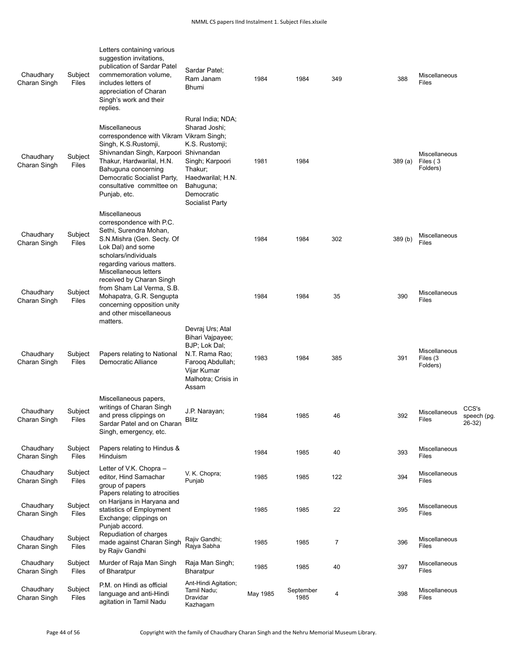| Chaudhary<br>Charan Singh | Subject<br>Files | Letters containing various<br>suggestion invitations,<br>publication of Sardar Patel<br>commemoration volume,<br>includes letters of<br>appreciation of Charan<br>Singh's work and their<br>replies.                                                        | Sardar Patel;<br>Ram Janam<br><b>Bhumi</b>                                                                                                            | 1984     | 1984              | 349            | 388     | Miscellaneous<br><b>Files</b>         |                                |
|---------------------------|------------------|-------------------------------------------------------------------------------------------------------------------------------------------------------------------------------------------------------------------------------------------------------------|-------------------------------------------------------------------------------------------------------------------------------------------------------|----------|-------------------|----------------|---------|---------------------------------------|--------------------------------|
| Chaudhary<br>Charan Singh | Subject<br>Files | Miscellaneous<br>correspondence with Vikram Vikram Singh;<br>Singh, K.S. Rustomji,<br>Shivnandan Singh, Karpoori Shivnandan<br>Thakur, Hardwarilal, H.N.<br>Bahuguna concerning<br>Democratic Socialist Party,<br>consultative committee on<br>Punjab, etc. | Rural India; NDA;<br>Sharad Joshi;<br>K.S. Rustomji;<br>Singh; Karpoori<br>Thakur;<br>Haedwarilal; H.N.<br>Bahuguna;<br>Democratic<br>Socialist Party | 1981     | 1984              |                | 389(a)  | Miscellaneous<br>Files (3<br>Folders) |                                |
| Chaudhary<br>Charan Singh | Subject<br>Files | Miscellaneous<br>correspondence with P.C.<br>Sethi, Surendra Mohan,<br>S.N.Mishra (Gen. Secty. Of<br>Lok Dal) and some<br>scholars/individuals<br>regarding various matters.                                                                                |                                                                                                                                                       | 1984     | 1984              | 302            | 389 (b) | Miscellaneous<br><b>Files</b>         |                                |
| Chaudhary<br>Charan Singh | Subject<br>Files | Miscellaneous letters<br>received by Charan Singh<br>from Sham Lal Verma, S.B.<br>Mohapatra, G.R. Sengupta<br>concerning opposition unity<br>and other miscellaneous<br>matters.                                                                            |                                                                                                                                                       | 1984     | 1984              | 35             | 390     | Miscellaneous<br>Files                |                                |
| Chaudhary<br>Charan Singh | Subject<br>Files | Papers relating to National<br>Democratic Alliance                                                                                                                                                                                                          | Devraj Urs; Atal<br>Bihari Vajpayee;<br>BJP; Lok Dal;<br>N.T. Rama Rao;<br>Farooq Abdullah;<br>Vijar Kumar<br>Malhotra; Crisis in<br>Assam            | 1983     | 1984              | 385            | 391     | Miscellaneous<br>Files (3<br>Folders) |                                |
| Chaudhary<br>Charan Singh | Subject<br>Files | Miscellaneous papers,<br>writings of Charan Singh<br>and press clippings on<br>Sardar Patel and on Charan<br>Singh, emergency, etc.                                                                                                                         | J.P. Narayan;<br>Blitz                                                                                                                                | 1984     | 1985              | 46             | 392     | Miscellaneous<br>Files                | CCS's<br>speech (pg.<br>26-32) |
| Chaudhary<br>Charan Singh | Subject<br>Files | Papers relating to Hindus &<br><b>Hinduism</b>                                                                                                                                                                                                              |                                                                                                                                                       | 1984     | 1985              | 40             | 393     | Miscellaneous<br>Files                |                                |
| Chaudhary<br>Charan Singh | Subject<br>Files | Letter of V.K. Chopra -<br>editor, Hind Samachar<br>group of papers<br>Papers relating to atrocities                                                                                                                                                        | V. K. Chopra;<br>Punjab                                                                                                                               | 1985     | 1985              | 122            | 394     | Miscellaneous<br>Files                |                                |
| Chaudhary<br>Charan Singh | Subject<br>Files | on Harijans in Haryana and<br>statistics of Employment<br>Exchange; clippings on<br>Punjab accord.                                                                                                                                                          |                                                                                                                                                       | 1985     | 1985              | 22             | 395     | Miscellaneous<br>Files                |                                |
| Chaudhary<br>Charan Singh | Subject<br>Files | Repudiation of charges<br>made against Charan Singh<br>by Rajiv Gandhi                                                                                                                                                                                      | Rajiv Gandhi;<br>Rajya Sabha                                                                                                                          | 1985     | 1985              | $\overline{7}$ | 396     | Miscellaneous<br><b>Files</b>         |                                |
| Chaudhary<br>Charan Singh | Subject<br>Files | Murder of Raja Man Singh<br>of Bharatpur                                                                                                                                                                                                                    | Raja Man Singh;<br>Bharatpur                                                                                                                          | 1985     | 1985              | 40             | 397     | Miscellaneous<br>Files                |                                |
| Chaudhary<br>Charan Singh | Subject<br>Files | P.M. on Hindi as official<br>language and anti-Hindi<br>agitation in Tamil Nadu                                                                                                                                                                             | Ant-Hindi Agitation;<br>Tamil Nadu;<br>Dravidar<br>Kazhagam                                                                                           | May 1985 | September<br>1985 | 4              | 398     | Miscellaneous<br>Files                |                                |

Page 44 of 56 Copyright with the family of Chaudhary Charan Singh and the Nehru Memorial Museum Library.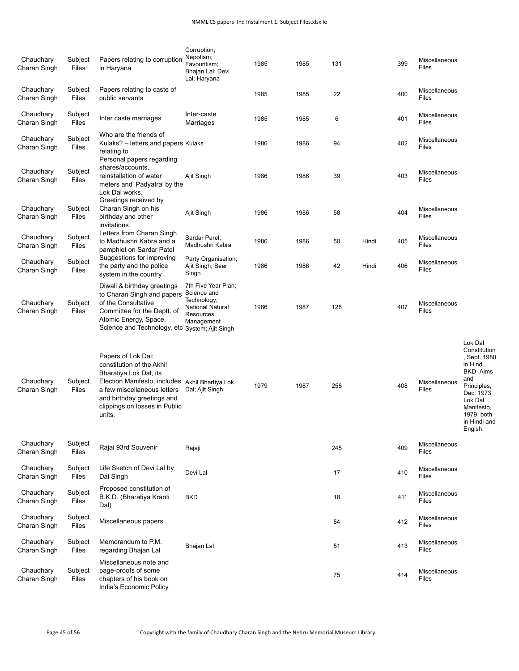| Chaudhary<br>Charan Singh | Subject<br>Files | Papers relating to corruption<br>in Haryana                                                                                                                                                                                          | Corruption;<br>Nepotism;<br>Favouritism;<br>Bhajan Lal; Devi<br>Lal; Haryana                            | 1985 | 1985 | 131 |       | 399 | Miscellaneous<br>Files        |                                                                                                                                                                               |
|---------------------------|------------------|--------------------------------------------------------------------------------------------------------------------------------------------------------------------------------------------------------------------------------------|---------------------------------------------------------------------------------------------------------|------|------|-----|-------|-----|-------------------------------|-------------------------------------------------------------------------------------------------------------------------------------------------------------------------------|
| Chaudhary<br>Charan Singh | Subject<br>Files | Papers relating to caste of<br>public servants                                                                                                                                                                                       |                                                                                                         | 1985 | 1985 | 22  |       | 400 | Miscellaneous<br>Files        |                                                                                                                                                                               |
| Chaudhary<br>Charan Singh | Subject<br>Files | Inter caste marriages                                                                                                                                                                                                                | Inter-caste<br>Marriages                                                                                | 1985 | 1985 | 6   |       | 401 | Miscellaneous<br>Files        |                                                                                                                                                                               |
| Chaudhary<br>Charan Singh | Subject<br>Files | Who are the friends of<br>Kulaks? – letters and papers Kulaks<br>relating to<br>Personal papers regarding                                                                                                                            |                                                                                                         | 1986 | 1986 | 94  |       | 402 | Miscellaneous<br>Files        |                                                                                                                                                                               |
| Chaudhary<br>Charan Singh | Subject<br>Files | shares/accounts,<br>reinstallation of water<br>meters and 'Padyatra' by the<br>Lok Dal works.                                                                                                                                        | Ajit Singh                                                                                              | 1986 | 1986 | 39  |       | 403 | Miscellaneous<br>Files        |                                                                                                                                                                               |
| Chaudhary<br>Charan Singh | Subject<br>Files | Greetings received by<br>Charan Singh on his<br>birthday and other<br>invitations.                                                                                                                                                   | Ajit Singh                                                                                              | 1986 | 1986 | 58  |       | 404 | Miscellaneous<br>Files        |                                                                                                                                                                               |
| Chaudhary<br>Charan Singh | Subject<br>Files | Letters from Charan Singh<br>to Madhushri Kabra and a<br>pamphlet on Sardar Patel                                                                                                                                                    | Sardar Parel:<br>Madhushri Kabra                                                                        | 1986 | 1986 | 50  | Hindi | 405 | Miscellaneous<br>Files        |                                                                                                                                                                               |
| Chaudhary<br>Charan Singh | Subject<br>Files | Suggestions for improving<br>the party and the police<br>system in the country                                                                                                                                                       | Party Organisation;<br>Ajit Singh; Beer<br>Singh                                                        | 1986 | 1986 | 42  | Hindi | 406 | Miscellaneous<br>Files        |                                                                                                                                                                               |
| Chaudhary<br>Charan Singh | Subject<br>Files | Diwali & birthday greetings<br>to Charan Singh and papers<br>of the Consultative<br>Committee for the Deptt. of<br>Atomic Energy, Space,<br>Science and Technology, etc System; Ajit Singh                                           | 7th Five Year Plan;<br>Science and<br>Technology;<br><b>National Natural</b><br>Resources<br>Management | 1986 | 1987 | 128 |       | 407 | Miscellaneous<br>Files        |                                                                                                                                                                               |
| Chaudhary<br>Charan Singh | Subject<br>Files | Papers of Lok Dal:<br>constitution of the Akhil<br>Bharatiya Lok Dal, its<br>Election Manifesto, includes Akhil Bhartiya Lok<br>a few miscellaneous letters<br>and birthday greetings and<br>clippings on losses in Public<br>units. | Dal; Ajit Singh                                                                                         | 1979 | 1987 | 258 |       | 408 | Miscellaneous<br>Files        | Lok Dal<br>Constitution<br>, Sept. 1980<br>in Hindi.<br><b>BKD-Aims</b><br>and<br>Principles,<br>Dec. 1973.<br>Lok Dal<br>Manifesto,<br>1979, both<br>in Hindi and<br>Englsh. |
| Chaudhary<br>Charan Singh | Subject<br>Files | Rajai 93rd Souvenir                                                                                                                                                                                                                  | Rajaji                                                                                                  |      |      | 245 |       | 409 | Miscellaneous<br><b>Files</b> |                                                                                                                                                                               |
| Chaudhary<br>Charan Singh | Subject<br>Files | Life Sketch of Devi Lal by<br>Dal Singh                                                                                                                                                                                              | Devi Lal                                                                                                |      |      | 17  |       | 410 | Miscellaneous<br>Files        |                                                                                                                                                                               |
| Chaudhary<br>Charan Singh | Subject<br>Files | Proposed constitution of<br>B.K.D. (Bharatiya Kranti<br>Dal)                                                                                                                                                                         | <b>BKD</b>                                                                                              |      |      | 18  |       | 411 | Miscellaneous<br>Files        |                                                                                                                                                                               |
| Chaudhary<br>Charan Singh | Subject<br>Files | Miscellaneous papers                                                                                                                                                                                                                 |                                                                                                         |      |      | 54  |       | 412 | Miscellaneous<br><b>Files</b> |                                                                                                                                                                               |
| Chaudhary<br>Charan Singh | Subject<br>Files | Memorandum to P.M.<br>regarding Bhajan Lal                                                                                                                                                                                           | Bhajan Lal                                                                                              |      |      | 51  |       | 413 | Miscellaneous<br>Files        |                                                                                                                                                                               |
| Chaudhary<br>Charan Singh | Subject<br>Files | Miscellaneous note and<br>page-proofs of some<br>chapters of his book on<br>India's Economic Policy                                                                                                                                  |                                                                                                         |      |      | 75  |       | 414 | Miscellaneous<br>Files        |                                                                                                                                                                               |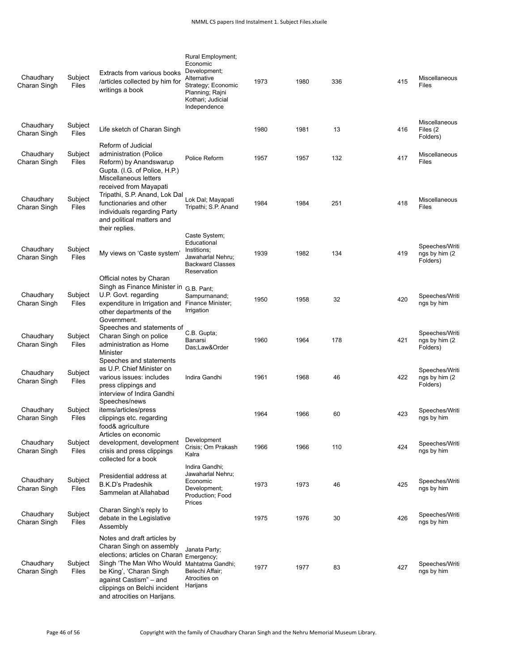| Chaudhary<br>Charan Singh | Subject<br>Files        | Extracts from various books<br>/articles collected by him for<br>writings a book                                                                                                                                                         | Rural Employment;<br>Economic<br>Development:<br>Alternative<br>Strategy; Economic<br>Planning; Rajni<br>Kothari; Judicial<br>Independence | 1973 | 1980 | 336 | 415 | Miscellaneous<br><b>Files</b>                |
|---------------------------|-------------------------|------------------------------------------------------------------------------------------------------------------------------------------------------------------------------------------------------------------------------------------|--------------------------------------------------------------------------------------------------------------------------------------------|------|------|-----|-----|----------------------------------------------|
| Chaudhary<br>Charan Singh | Subject<br><b>Files</b> | Life sketch of Charan Singh                                                                                                                                                                                                              |                                                                                                                                            | 1980 | 1981 | 13  | 416 | <b>Miscellaneous</b><br>Files (2<br>Folders) |
| Chaudhary<br>Charan Singh | Subject<br>Files        | Reform of Judicial<br>administration (Police<br>Reform) by Anandswarup<br>Gupta. (I.G. of Police, H.P.)<br>Miscellaneous letters<br>received from Mayapati                                                                               | Police Reform                                                                                                                              | 1957 | 1957 | 132 | 417 | Miscellaneous<br><b>Files</b>                |
| Chaudhary<br>Charan Singh | Subject<br><b>Files</b> | Tripathi, S.P. Anand, Lok Dal<br>functionaries and other<br>individuals regarding Party<br>and political matters and<br>their replies.                                                                                                   | Lok Dal; Mayapati<br>Tripathi; S.P. Anand                                                                                                  | 1984 | 1984 | 251 | 418 | Miscellaneous<br>Files                       |
| Chaudhary<br>Charan Singh | Subject<br>Files        | My views on 'Caste system'                                                                                                                                                                                                               | Caste System;<br>Educational<br>Institions;<br>Jawaharlal Nehru;<br><b>Backward Classes</b><br>Reservation                                 | 1939 | 1982 | 134 | 419 | Speeches/Writi<br>ngs by him (2)<br>Folders) |
| Chaudhary<br>Charan Singh | Subject<br>Files        | Official notes by Charan<br>Singh as Finance Minister in<br>U.P. Govt. regarding<br>expenditure in Irrigation and<br>other departments of the<br>Government.                                                                             | G.B. Pant:<br>Sampurnanand;<br>Finance Minister;<br>Irrigation                                                                             | 1950 | 1958 | 32  | 420 | Speeches/Writi<br>ngs by him                 |
| Chaudhary<br>Charan Singh | Subject<br>Files        | Speeches and statements of<br>Charan Singh on police<br>administration as Home<br>Minister<br>Speeches and statements                                                                                                                    | C.B. Gupta;<br>Banarsi<br>Das;Law&Order                                                                                                    | 1960 | 1964 | 178 | 421 | Speeches/Writi<br>ngs by him (2)<br>Folders) |
| Chaudhary<br>Charan Singh | Subject<br>Files        | as U.P. Chief Minister on<br>various issues: includes<br>press clippings and<br>interview of Indira Gandhi                                                                                                                               | Indira Gandhi                                                                                                                              | 1961 | 1968 | 46  | 422 | Speeches/Writi<br>ngs by him (2)<br>Folders) |
| Chaudhary<br>Charan Singh | Subject<br>Files        | Speeches/news<br>items/articles/press<br>clippings etc. regarding<br>food& agriculture                                                                                                                                                   |                                                                                                                                            | 1964 | 1966 | 60  | 423 | Speeches/Writi<br>ngs by him                 |
| Chaudhary<br>Charan Singh | Subject<br>Files        | Articles on economic<br>development, development<br>crisis and press clippings<br>collected for a book                                                                                                                                   | Development<br>Crisis; Om Prakash<br>Kalra                                                                                                 | 1966 | 1966 | 110 | 424 | Speeches/Writi<br>ngs by him                 |
| Chaudhary<br>Charan Singh | Subject<br>Files        | Presidential address at<br><b>B.K.D's Pradeshik</b><br>Sammelan at Allahabad                                                                                                                                                             | Indira Gandhi;<br>Jawaharlal Nehru;<br>Economic<br>Development;<br>Production; Food<br>Prices                                              | 1973 | 1973 | 46  | 425 | Speeches/Writi<br>ngs by him                 |
| Chaudhary<br>Charan Singh | Subject<br>Files        | Charan Singh's reply to<br>debate in the Legislative<br>Assembly                                                                                                                                                                         |                                                                                                                                            | 1975 | 1976 | 30  | 426 | Speeches/Writi<br>ngs by him                 |
| Chaudhary<br>Charan Singh | Subject<br>Files        | Notes and draft articles by<br>Charan Singh on assembly<br>elections; articles on Charan<br>Singh 'The Man Who Would<br>be King', 'Charan Singh<br>against Castism" - and<br>clippings on Belchi incident<br>and atrocities on Harijans. | Janata Party;<br>Emergency;<br>Mahtatma Gandhi;<br>Belechi Affair;<br>Atrocities on<br>Harijans                                            | 1977 | 1977 | 83  | 427 | Speeches/Writi<br>ngs by him                 |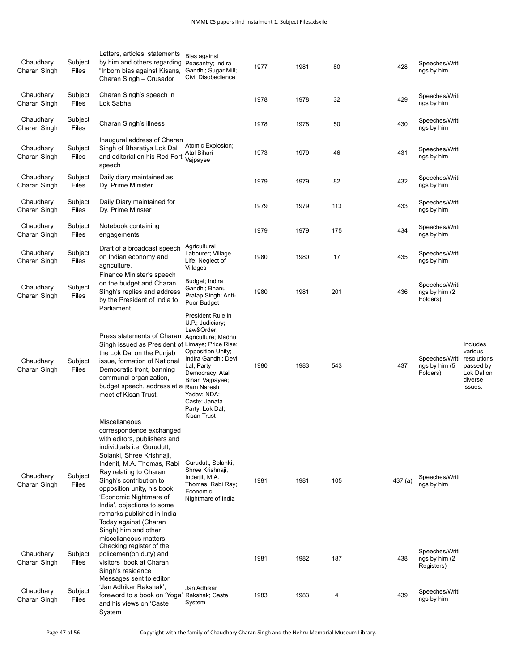| Chaudhary<br>Charan Singh                              | Subject<br>Files                     | Letters, articles, statements<br>by him and others regarding<br>"Inborn bias against Kisans,<br>Charan Singh - Crusador                                                                                                                                                                                                                                                                                                                                                                                                                                   | Bias against<br>Peasantry; Indira<br>Gandhi; Sugar Mill;<br>Civil Disobedience                                                                                                                                                              | 1977         | 1981         | 80         | 428            | Speeches/Writi<br>ngs by him                                                   |                                                                                     |
|--------------------------------------------------------|--------------------------------------|-----------------------------------------------------------------------------------------------------------------------------------------------------------------------------------------------------------------------------------------------------------------------------------------------------------------------------------------------------------------------------------------------------------------------------------------------------------------------------------------------------------------------------------------------------------|---------------------------------------------------------------------------------------------------------------------------------------------------------------------------------------------------------------------------------------------|--------------|--------------|------------|----------------|--------------------------------------------------------------------------------|-------------------------------------------------------------------------------------|
| Chaudhary<br>Charan Singh                              | Subject<br>Files                     | Charan Singh's speech in<br>Lok Sabha                                                                                                                                                                                                                                                                                                                                                                                                                                                                                                                     |                                                                                                                                                                                                                                             | 1978         | 1978         | 32         | 429            | Speeches/Writi<br>ngs by him                                                   |                                                                                     |
| Chaudhary<br>Charan Singh                              | Subject<br>Files                     | Charan Singh's illness                                                                                                                                                                                                                                                                                                                                                                                                                                                                                                                                    |                                                                                                                                                                                                                                             | 1978         | 1978         | 50         | 430            | Speeches/Writi<br>ngs by him                                                   |                                                                                     |
| Chaudhary<br>Charan Singh                              | Subject<br>Files                     | Inaugural address of Charan<br>Singh of Bharatiya Lok Dal<br>and editorial on his Red Fort<br>speech                                                                                                                                                                                                                                                                                                                                                                                                                                                      | Atomic Explosion;<br>Atal Bihari<br>Vajpayee                                                                                                                                                                                                | 1973         | 1979         | 46         | 431            | Speeches/Writi<br>ngs by him                                                   |                                                                                     |
| Chaudhary<br>Charan Singh                              | Subject<br>Files                     | Daily diary maintained as<br>Dy. Prime Minister                                                                                                                                                                                                                                                                                                                                                                                                                                                                                                           |                                                                                                                                                                                                                                             | 1979         | 1979         | 82         | 432            | Speeches/Writi<br>ngs by him                                                   |                                                                                     |
| Chaudhary<br>Charan Singh                              | Subject<br>Files                     | Daily Diary maintained for<br>Dy. Prime Minster                                                                                                                                                                                                                                                                                                                                                                                                                                                                                                           |                                                                                                                                                                                                                                             | 1979         | 1979         | 113        | 433            | Speeches/Writi<br>ngs by him                                                   |                                                                                     |
| Chaudhary<br>Charan Singh                              | Subject<br>Files                     | Notebook containing<br>engagements                                                                                                                                                                                                                                                                                                                                                                                                                                                                                                                        |                                                                                                                                                                                                                                             | 1979         | 1979         | 175        | 434            | Speeches/Writi<br>ngs by him                                                   |                                                                                     |
| Chaudhary<br>Charan Singh                              | Subject<br>Files                     | Draft of a broadcast speech<br>on Indian economy and<br>agriculture.                                                                                                                                                                                                                                                                                                                                                                                                                                                                                      | Agricultural<br>Labourer; Village<br>Life; Neglect of<br>Villages                                                                                                                                                                           | 1980         | 1980         | 17         | 435            | Speeches/Writi<br>ngs by him                                                   |                                                                                     |
| Chaudhary<br>Charan Singh                              | Subject<br>Files                     | Finance Minister's speech<br>on the budget and Charan<br>Singh's replies and address<br>by the President of India to<br>Parliament                                                                                                                                                                                                                                                                                                                                                                                                                        | Budget; Indira<br>Gandhi; Bhanu<br>Pratap Singh; Anti-<br>Poor Budget                                                                                                                                                                       | 1980         | 1981         | 201        | 436            | Speeches/Writi<br>ngs by him (2)<br>Folders)                                   |                                                                                     |
| Chaudhary<br>Charan Singh                              | Subject<br>Files                     | Press statements of Charan<br>Singh issued as President of Limaye; Price Rise;<br>the Lok Dal on the Punjab<br>issue, formation of National<br>Democratic front, banning<br>communal organization,<br>budget speech, address at a Ram Naresh<br>meet of Kisan Trust.                                                                                                                                                                                                                                                                                      | President Rule in<br>U.P.; Judiciary;<br>Law&Order<br>Agriculture; Madhu<br>Opposition Unity;<br>Indira Gandhi; Devi<br>Lal; Party<br>Democracy; Atal<br>Bihari Vajpayee;<br>Yadav; NDA;<br>Caste; Janata<br>Party; Lok Dal;<br>Kisan Trust | 1980         | 1983         | 543        | 437            | Speeches/Writi<br>ngs by him (5<br>Folders)                                    | Includes<br>various<br>resolutions<br>passed by<br>Lok Dal on<br>diverse<br>issues. |
| Chaudhary<br>Charan Singh<br>Chaudhary<br>Charan Singh | Subject<br>Files<br>Subject<br>Files | Miscellaneous<br>correspondence exchanged<br>with editors, publishers and<br>individuals i.e. Gurudutt,<br>Solanki, Shree Krishnaji,<br>Inderjit, M.A. Thomas, Rabi<br>Ray relating to Charan<br>Singh's contribution to<br>opposition unity, his book<br>'Economic Nightmare of<br>India', objections to some<br>remarks published in India<br>Today against (Charan<br>Singh) him and other<br>miscellaneous matters.<br>Checking register of the<br>policemen(on duty) and<br>visitors book at Charan<br>Singh's residence<br>Messages sent to editor, | Gurudutt, Solanki,<br>Shree Krishnaji,<br>Inderjit, M.A.<br>Thomas, Rabi Ray;<br>Economic<br>Nightmare of India                                                                                                                             | 1981<br>1981 | 1981<br>1982 | 105<br>187 | 437 (a)<br>438 | Speeches/Writi<br>ngs by him<br>Speeches/Writi<br>ngs by him (2)<br>Registers) |                                                                                     |
| Chaudhary<br>Charan Singh                              | Subject<br>Files                     | 'Jan Adhikar Rakshak',<br>foreword to a book on 'Yoga'<br>and his views on 'Caste<br>System                                                                                                                                                                                                                                                                                                                                                                                                                                                               | Jan Adhikar<br>Rakshak; Caste<br>System                                                                                                                                                                                                     | 1983         | 1983         | 4          | 439            | Speeches/Writi<br>ngs by him                                                   |                                                                                     |

Page 47 of 56 Copyright with the family of Chaudhary Charan Singh and the Nehru Memorial Museum Library.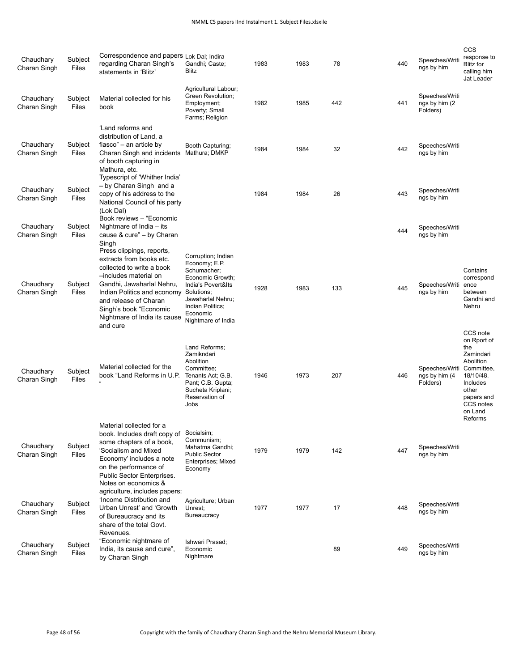| Chaudhary<br>Charan Singh | Subject<br>Files | Correspondence and papers Lok Dal; Indira<br>regarding Charan Singh's<br>statements in 'Blitz'                                                                                                                                                                                  | Gandhi; Caste;<br>Blitz                                                                                                                                                               | 1983 | 1983 | 78  | 440 | Speeches/Writi<br>ngs by him                 | CCS<br>response to<br><b>Blitz</b> for<br>calling him<br>Jat Leader                                                                |
|---------------------------|------------------|---------------------------------------------------------------------------------------------------------------------------------------------------------------------------------------------------------------------------------------------------------------------------------|---------------------------------------------------------------------------------------------------------------------------------------------------------------------------------------|------|------|-----|-----|----------------------------------------------|------------------------------------------------------------------------------------------------------------------------------------|
| Chaudhary<br>Charan Singh | Subject<br>Files | Material collected for his<br>book                                                                                                                                                                                                                                              | Agricultural Labour;<br><b>Green Revolution:</b><br>Employment;<br>Poverty; Small<br>Farms; Religion                                                                                  | 1982 | 1985 | 442 | 441 | Speeches/Writi<br>ngs by him (2)<br>Folders) |                                                                                                                                    |
| Chaudhary<br>Charan Singh | Subject<br>Files | 'Land reforms and<br>distribution of Land, a<br>fiasco" – an article by<br>Charan Singh and incidents<br>of booth capturing in<br>Mathura, etc.<br>Typescript of 'Whither India'                                                                                                | Booth Capturing;<br>Mathura; DMKP                                                                                                                                                     | 1984 | 1984 | 32  | 442 | Speeches/Writi<br>ngs by him                 |                                                                                                                                    |
| Chaudhary<br>Charan Singh | Subject<br>Files | - by Charan Singh and a<br>copy of his address to the<br>National Council of his party<br>(Lok Dal)<br>Book reviews - "Economic                                                                                                                                                 |                                                                                                                                                                                       | 1984 | 1984 | 26  | 443 | Speeches/Writi<br>ngs by him                 |                                                                                                                                    |
| Chaudhary<br>Charan Singh | Subject<br>Files | Nightmare of India - its<br>cause & cure" - by Charan                                                                                                                                                                                                                           |                                                                                                                                                                                       |      |      |     | 444 | Speeches/Writi<br>ngs by him                 |                                                                                                                                    |
| Chaudhary<br>Charan Singh | Subject<br>Files | Singh<br>Press clippings, reports,<br>extracts from books etc.<br>collected to write a book<br>-includes material on<br>Gandhi, Jawaharlal Nehru,<br>Indian Politics and economy<br>and release of Charan<br>Singh's book "Economic<br>Nightmare of India its cause<br>and cure | Corruption; Indian<br>Economy; E.P.<br>Schumacher;<br>Economic Growth;<br>India's Povert&Its<br>Solutions;<br>Jawaharlal Nehru;<br>Indian Politics;<br>Economic<br>Nightmare of India | 1928 | 1983 | 133 | 445 | Speeches/Writi<br>ngs by him                 | Contains<br>correspond<br>ence<br>between<br>Gandhi and<br>Nehru<br>CCS note                                                       |
| Chaudhary<br>Charan Singh | Subject<br>Files | Material collected for the<br>book "Land Reforms in U.P.                                                                                                                                                                                                                        | Land Reforms;<br>Zamikndari<br>Abolition<br>Committee:<br>Tenants Act; G.B.<br>Pant; C.B. Gupta;<br>Sucheta Kriplani;<br>Reservation of<br>Jobs                                       | 1946 | 1973 | 207 | 446 | Speeches/Writi<br>ngs by him (4<br>Folders)  | on Rport of<br>the<br>Zamindari<br>Abolition<br>Committee,<br>18/10/48.<br>Includes<br>other<br>papers and<br>CCS notes<br>on Land |
| Chaudhary<br>Charan Singh | Subject<br>Files | Material collected for a<br>book. Includes draft copy of<br>some chapters of a book,<br>'Socialism and Mixed<br>Economy' includes a note<br>on the performance of<br>Public Sector Enterprises.<br>Notes on economics &                                                         | Socialsim;<br>Communism;<br>Mahatma Gandhi;<br><b>Public Sector</b><br>Enterprises; Mixed<br>Economy                                                                                  | 1979 | 1979 | 142 | 447 | Speeches/Writi<br>ngs by him                 | Reforms                                                                                                                            |
| Chaudhary<br>Charan Singh | Subject<br>Files | agriculture, includes papers:<br>'Income Distribution and<br>Urban Unrest' and 'Growth<br>of Bureaucracy and its<br>share of the total Govt.<br>Revenues.                                                                                                                       | Agriculture; Urban<br>Unrest:<br>Bureaucracy                                                                                                                                          | 1977 | 1977 | 17  | 448 | Speeches/Writi<br>ngs by him                 |                                                                                                                                    |
| Chaudhary<br>Charan Singh | Subject<br>Files | "Economic nightmare of<br>India, its cause and cure",<br>by Charan Singh                                                                                                                                                                                                        | Ishwari Prasad;<br>Economic<br>Nightmare                                                                                                                                              |      |      | 89  | 449 | Speeches/Writi<br>ngs by him                 |                                                                                                                                    |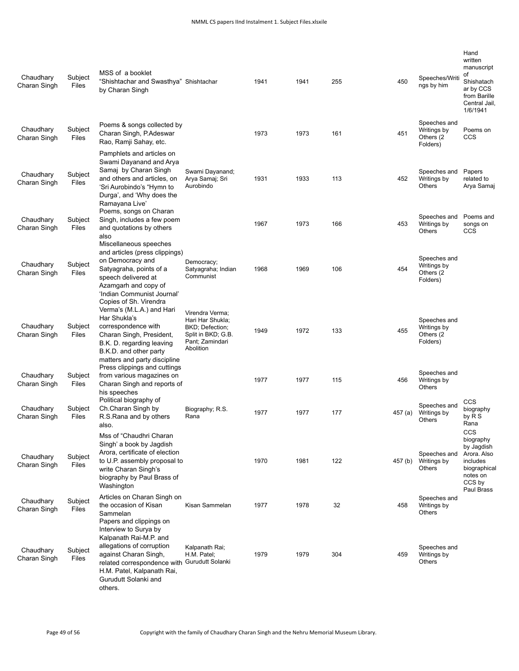| Chaudhary<br>Charan Singh | Subject<br>Files | MSS of a booklet<br>"Shishtachar and Swasthya" Shishtachar<br>by Charan Singh                                                                                                                                          |                                                                                                              | 1941 | 1941 | 255 | 450     | Speeches/Writi<br>ngs by him                          | Hand<br>written<br>manuscript<br>οf<br>Shishatach<br>ar by CCS<br>from Barille<br>Central Jail,<br>1/6/1941 |
|---------------------------|------------------|------------------------------------------------------------------------------------------------------------------------------------------------------------------------------------------------------------------------|--------------------------------------------------------------------------------------------------------------|------|------|-----|---------|-------------------------------------------------------|-------------------------------------------------------------------------------------------------------------|
| Chaudhary<br>Charan Singh | Subject<br>Files | Poems & songs collected by<br>Charan Singh, P.Adeswar<br>Rao, Ramji Sahay, etc.                                                                                                                                        |                                                                                                              | 1973 | 1973 | 161 | 451     | Speeches and<br>Writings by<br>Others (2<br>Folders)  | Poems on<br><b>CCS</b>                                                                                      |
| Chaudhary<br>Charan Singh | Subject<br>Files | Pamphlets and articles on<br>Swami Dayanand and Arya<br>Samaj by Charan Singh<br>and others and articles, on<br>'Sri Aurobindo's "Hymn to<br>Durga', and 'Why does the<br>Ramayana Live'                               | Swami Dayanand;<br>Arva Samaj; Sri<br>Aurobindo                                                              | 1931 | 1933 | 113 | 452     | Speeches and<br>Writings by<br>Others                 | Papers<br>related to<br>Arya Samaj                                                                          |
| Chaudhary<br>Charan Singh | Subject<br>Files | Poems, songs on Charan<br>Singh, includes a few poem<br>and quotations by others<br>also                                                                                                                               |                                                                                                              | 1967 | 1973 | 166 | 453     | Speeches and<br>Writings by<br>Others                 | Poems and<br>songs on<br>CCS                                                                                |
| Chaudhary<br>Charan Singh | Subject<br>Files | Miscellaneous speeches<br>and articles (press clippings)<br>on Democracy and<br>Satyagraha, points of a<br>speech delivered at<br>Azamgarh and copy of<br>'Indian Communist Journal'                                   | Democracy;<br>Satyagraha; Indian<br>Communist                                                                | 1968 | 1969 | 106 | 454     | Speeches and<br>Writings by<br>Others (2)<br>Folders) |                                                                                                             |
| Chaudhary<br>Charan Singh | Subject<br>Files | Copies of Sh. Virendra<br>Verma's (M.L.A.) and Hari<br>Har Shukla's<br>correspondence with<br>Charan Singh, President,<br>B.K. D. regarding leaving<br>B.K.D. and other party                                          | Virendra Verma;<br>Hari Har Shukla;<br>BKD; Defection;<br>Split in BKD; G.B.<br>Pant; Zamindari<br>Abolition | 1949 | 1972 | 133 | 455     | Speeches and<br>Writings by<br>Others (2)<br>Folders) |                                                                                                             |
| Chaudhary<br>Charan Singh | Subject<br>Files | matters and party discipline<br>Press clippings and cuttings<br>from various magazines on<br>Charan Singh and reports of<br>his speeches                                                                               |                                                                                                              | 1977 | 1977 | 115 | 456     | Speeches and<br>Writings by<br>Others                 |                                                                                                             |
| Chaudhary<br>Charan Singh | Subject<br>Files | Political biography of<br>Ch. Charan Singh by<br>R.S.Rana and by others<br>also.                                                                                                                                       | Biography; R.S.<br>Rana                                                                                      | 1977 | 1977 | 177 | 457 (a) | Speeches and<br>Writings by<br>Others                 | <b>CCS</b><br>biography<br>by R S<br>Rana                                                                   |
| Chaudhary<br>Charan Singh | Subject<br>Files | Mss of "Chaudhri Charan<br>Singh' a book by Jagdish<br>Arora, certificate of election<br>to U.P. assembly proposal to<br>write Charan Singh's<br>biography by Paul Brass of<br>Washington                              |                                                                                                              | 1970 | 1981 | 122 | 457 (b) | Speeches and<br>Writings by<br>Others                 | CCS<br>biography<br>by Jagdish<br>Arora. Also<br>includes<br>biographical<br>notes on<br>CCS by             |
| Chaudhary<br>Charan Singh | Subject<br>Files | Articles on Charan Singh on<br>the occasion of Kisan<br>Sammelan<br>Papers and clippings on                                                                                                                            | Kisan Sammelan                                                                                               | 1977 | 1978 | 32  | 458     | Speeches and<br>Writings by<br>Others                 | Paul Brass                                                                                                  |
| Chaudhary<br>Charan Singh | Subject<br>Files | Interview to Surya by<br>Kalpanath Rai-M.P. and<br>allegations of corruption<br>against Charan Singh,<br>related correspondence with Gurudutt Solanki<br>H.M. Patel, Kalpanath Rai,<br>Gurudutt Solanki and<br>others. | Kalpanath Rai;<br>H.M. Patel;                                                                                | 1979 | 1979 | 304 | 459     | Speeches and<br>Writings by<br>Others                 |                                                                                                             |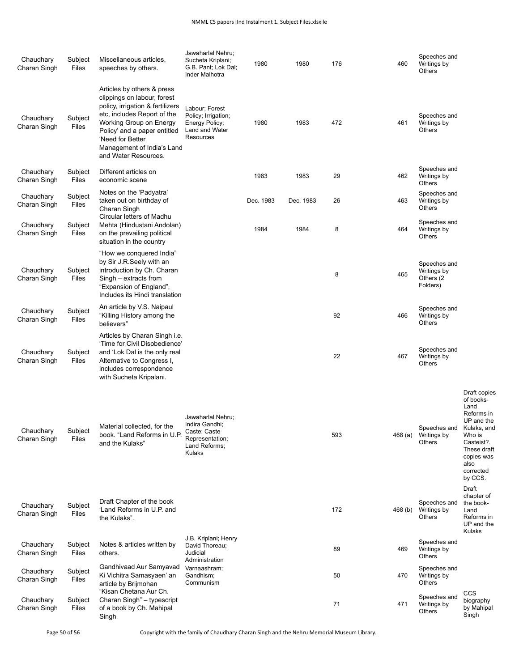| Chaudhary<br>Charan Singh | Subject<br>Files | Miscellaneous articles,<br>speeches by others.                                                                                                                                                                                                                    | Jawaharlal Nehru;<br>Sucheta Kriplani;<br>G.B. Pant; Lok Dal;<br>Inder Malhotra                   | 1980      | 1980      | 176 | 460     | Speeches and<br>Writings by<br>Others                 |                                                                                                                                                    |
|---------------------------|------------------|-------------------------------------------------------------------------------------------------------------------------------------------------------------------------------------------------------------------------------------------------------------------|---------------------------------------------------------------------------------------------------|-----------|-----------|-----|---------|-------------------------------------------------------|----------------------------------------------------------------------------------------------------------------------------------------------------|
| Chaudhary<br>Charan Singh | Subject<br>Files | Articles by others & press<br>clippings on labour, forest<br>policy, irrigation & fertilizers<br>etc, includes Report of the<br>Working Group on Energy<br>Policy' and a paper entitled<br>'Need for Better<br>Management of India's Land<br>and Water Resources. | Labour; Forest<br>Policy; Irrigation;<br>Energy Policy;<br>Land and Water<br>Resources            | 1980      | 1983      | 472 | 461     | Speeches and<br>Writings by<br>Others                 |                                                                                                                                                    |
| Chaudhary<br>Charan Singh | Subject<br>Files | Different articles on<br>economic scene                                                                                                                                                                                                                           |                                                                                                   | 1983      | 1983      | 29  | 462     | Speeches and<br>Writings by<br>Others                 |                                                                                                                                                    |
| Chaudhary<br>Charan Singh | Subject<br>Files | Notes on the 'Padyatra'<br>taken out on birthday of<br>Charan Singh                                                                                                                                                                                               |                                                                                                   | Dec. 1983 | Dec. 1983 | 26  | 463     | Speeches and<br>Writings by<br>Others                 |                                                                                                                                                    |
| Chaudhary<br>Charan Singh | Subject<br>Files | Circular letters of Madhu<br>Mehta (Hindustani Andolan)<br>on the prevailing political<br>situation in the country                                                                                                                                                |                                                                                                   | 1984      | 1984      | 8   | 464     | Speeches and<br>Writings by<br>Others                 |                                                                                                                                                    |
| Chaudhary<br>Charan Singh | Subject<br>Files | "How we conquered India"<br>by Sir J.R. Seely with an<br>introduction by Ch. Charan<br>Singh - extracts from<br>"Expansion of England",<br>Includes its Hindi translation                                                                                         |                                                                                                   |           |           | 8   | 465     | Speeches and<br>Writings by<br>Others (2)<br>Folders) |                                                                                                                                                    |
| Chaudhary<br>Charan Singh | Subject<br>Files | An article by V.S. Naipaul<br>"Killing History among the<br>believers"                                                                                                                                                                                            |                                                                                                   |           |           | 92  | 466     | Speeches and<br>Writings by<br>Others                 |                                                                                                                                                    |
| Chaudhary<br>Charan Singh | Subject<br>Files | Articles by Charan Singh i.e.<br>'Time for Civil Disobedience'<br>and 'Lok Dal is the only real<br>Alternative to Congress I,<br>includes correspondence<br>with Sucheta Kripalani.                                                                               |                                                                                                   |           |           | 22  | 467     | Speeches and<br>Writings by<br>Others                 |                                                                                                                                                    |
| Chaudhary<br>Charan Singh | Subject<br>Files | Material collected, for the<br>book. "Land Reforms in U.P.<br>and the Kulaks"                                                                                                                                                                                     | Jawaharlal Nehru;<br>Indira Gandhi;<br>Caste; Caste<br>Representation;<br>Land Reforms;<br>Kulaks |           |           | 593 | 468 (a) | Speeches and Kulaks, and<br>Writings by<br>Others     | Draft copies<br>of books-<br>Land<br>Reforms in<br>UP and the<br>Who is<br>Casteist?.<br>These draft<br>copies was<br>also<br>corrected<br>by CCS. |
| Chaudhary<br>Charan Singh | Subject<br>Files | Draft Chapter of the book<br>'Land Reforms in U.P. and<br>the Kulaks".                                                                                                                                                                                            |                                                                                                   |           |           | 172 | 468 (b) | Speeches and<br>Writings by<br>Others                 | Draft<br>chapter of<br>the book-<br>Land<br>Reforms in<br>UP and the<br>Kulaks                                                                     |
| Chaudhary<br>Charan Singh | Subject<br>Files | Notes & articles written by<br>others.                                                                                                                                                                                                                            | J.B. Kriplani; Henry<br>David Thoreau;<br>Judicial<br>Administration                              |           |           | 89  | 469     | Speeches and<br>Writings by<br>Others                 |                                                                                                                                                    |
| Chaudhary<br>Charan Singh | Subject<br>Files | Gandhivaad Aur Samyavad<br>Ki Vichitra Samasyaen' an<br>article by Brijmohan                                                                                                                                                                                      | Varnaashram;<br>Gandhism;<br>Communism                                                            |           |           | 50  | 470     | Speeches and<br>Writings by<br>Others                 |                                                                                                                                                    |
| Chaudhary<br>Charan Singh | Subject<br>Files | "Kisan Chetana Aur Ch.<br>Charan Singh" - typescript<br>of a book by Ch. Mahipal<br>Singh                                                                                                                                                                         |                                                                                                   |           |           | 71  | 471     | Speeches and<br>Writings by<br>Others                 | CCS<br>biography<br>by Mahipal<br>Singh                                                                                                            |

Page 50 of 56 Copyright with the family of Chaudhary Charan Singh and the Nehru Memorial Museum Library.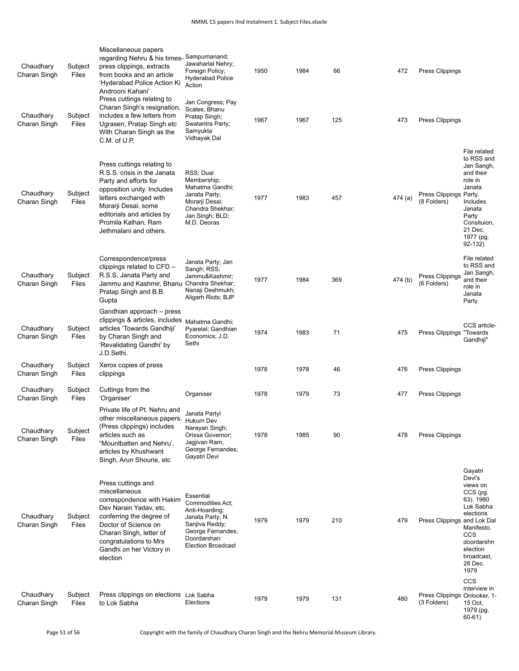| Chaudhary<br>Charan Singh<br>Chaudhary<br>Charan Singh | Subject<br>Files<br>Subject<br>Files | Miscellaneous papers<br>regarding Nehru & his times-<br>press clippings, extracts<br>from books and an article<br>'Hyderabad Police Action Ki<br>Androoni Kahani'<br>Press cuttings relating to<br>Charan Singh's resignation,<br>includes a few letters from<br>Ugrasen, Pratap Singh etc | Sampurnanand;<br>Jawaharlal Nehry;<br>Foreign Policy;<br><b>Hyderabad Police</b><br>Action<br>Jan Congress; Pay<br>Scales; Bhanu<br>Pratap Singh;<br>Swatantra Party; | 1950<br>1967 | 1984<br>1967 | 66<br>125 | 472<br>473 | Press Clippings<br>Press Clippings          |                                                                                                                                                                                |
|--------------------------------------------------------|--------------------------------------|--------------------------------------------------------------------------------------------------------------------------------------------------------------------------------------------------------------------------------------------------------------------------------------------|-----------------------------------------------------------------------------------------------------------------------------------------------------------------------|--------------|--------------|-----------|------------|---------------------------------------------|--------------------------------------------------------------------------------------------------------------------------------------------------------------------------------|
|                                                        |                                      | With Charan Singh as the<br>C.M. of U.P.                                                                                                                                                                                                                                                   | Samyukta<br>Vidhayak Dal                                                                                                                                              |              |              |           |            |                                             |                                                                                                                                                                                |
| Chaudhary<br>Charan Singh                              | Subject<br>Files                     | Press cuttings relating to<br>R.S.S. crisis in the Janata<br>Party and efforts for<br>opposition unity. Includes<br>letters exchanged with<br>Morarji Desai, some<br>editorials and articles by<br>Promila Kalhan, Ram<br>Jethmalani and others.                                           | RSS; Dual<br>Membership;<br>Mahatma Gandhi;<br>Janata Party;<br>Morarji Desai;<br>Chandra Shekhar;<br>Jan Singh; BLD;<br>M.D. Deoras                                  | 1977         | 1983         | 457       | 474 (a)    | Press Clippings Party.<br>(8 Folders)       | File related<br>to RSS and<br>Jan Sangh,<br>and their<br>role in<br>Janata<br>Includes<br>Janata<br>Party<br>Consituion,<br>21 Dec.<br>1977 (pg.<br>92-132)                    |
| Chaudhary<br>Charan Singh                              | Subject<br>Files                     | Correspondence/press<br>clippings related to CFD -<br>R.S.S, Janata Party and<br>Jammu and Kashmir, Bhanu<br>Pratap Singh and B.B.<br>Gupta                                                                                                                                                | Janata Party; Jan<br>Sangh; RSS;<br>Jammu&Kashmir<br>Chandra Shekhar;<br>Nanaji Deshmukh;<br>Aligarh Riots; BJP                                                       | 1977         | 1984         | 369       | 474 (b)    | Press Clippings<br>(6 Folders)              | File related<br>to RSS and<br>Jan Sangh,<br>and their<br>role in<br>Janata<br>Party                                                                                            |
| Chaudhary<br>Charan Singh                              | Subject<br>Files                     | Gandhian approach - press<br>clippings & articles, includes<br>articles 'Towards Gandhiji'<br>by Charan Singh and<br>'Revalidating Gandhi' by<br>J.D.Sethi.                                                                                                                                | Mahatma Gandhi;<br>Pyarelal; Gandhian<br>Economics; J.D.<br>Sethi                                                                                                     | 1974         | 1983         | 71        | 475        | Press Clippings "Towards                    | CCS article-<br>Gandhiji"                                                                                                                                                      |
| Chaudhary<br>Charan Singh                              | Subject<br>Files                     | Xerox copies of press<br>clippings                                                                                                                                                                                                                                                         |                                                                                                                                                                       | 1978         | 1978         | 46        | 476        | Press Clippings                             |                                                                                                                                                                                |
| Chaudhary<br>Charan Singh                              | Subject<br>Files                     | Cuttings from the<br>'Organiser'                                                                                                                                                                                                                                                           | Organiser                                                                                                                                                             | 1978         | 1979         | 73        | 477        | Press Clippings                             |                                                                                                                                                                                |
| Chaudhary<br>Charan Singh                              | Subject<br>Files                     | Private life of Pt. Nehru and<br>other miscellaneous papers.<br>(Press clippings) includes<br>articles such as<br>"Mountbatten and Nehru',<br>articles by Khushwant<br>Singh, Arun Shourie, etc                                                                                            | Janata Partyl<br>Hukum Dev<br>Narayan Singh;<br>Orissa Governor;<br>Jagjivan Ram;<br>George Fernandes;<br>Gayatri Devi                                                | 1978         | 1985         | 90        | 478        | Press Clippings                             |                                                                                                                                                                                |
| Chaudhary<br>Charan Singh                              | Subject<br>Files                     | Press cuttings and<br>miscellaneous<br>correspondence with Hakim<br>Dev Narain Yadav, etc.<br>conferring the degree of<br>Doctor of Science on<br>Charan Singh, letter of<br>congratulations to Mrs<br>Gandhi on her Victory in<br>election                                                | Essential<br>Commodities Act:<br>Anti-Hoarding;<br>Janata Party; N.<br>Sanjiva Reddy;<br>George Fernandes;<br>Doordarshan<br><b>Election Broadcast</b>                | 1979         | 1979         | 210       | 479        | Press Clippings and Lok Dal                 | Gayatri<br>Devi's<br>views on<br>CCS (pg.<br>63). 1980<br>Lok Sabha<br>elections<br>Manifesto.<br><b>CCS</b><br>doordarshn<br>election<br>broadcast,<br>28 Dec.<br>1979<br>CCS |
| Chaudhary<br>Charan Singh                              | Subject<br>Files                     | Press clippings on elections Lok Sabha<br>to Lok Sabha                                                                                                                                                                                                                                     | Elections                                                                                                                                                             | 1979         | 1979         | 131       | 480        | Press Clippings Onlooker, 1-<br>(3 Folders) | interview in<br>15 Oct,<br>1979 (pg.<br>$60-61)$                                                                                                                               |

Page 51 of 56 Copyright with the family of Chaudhary Charan Singh and the Nehru Memorial Museum Library.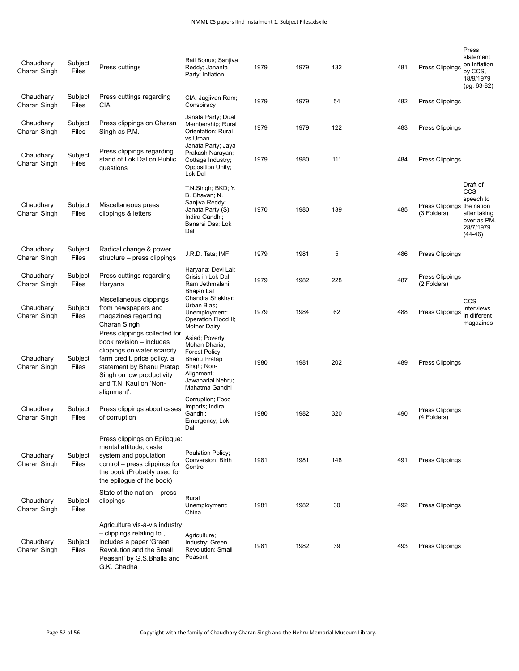| Chaudhary<br>Charan Singh | Subject<br>Files | Press cuttings                                                                                                                                                                              | Rail Bonus; Sanjiva<br>Reddy; Jananta<br>Party; Inflation                                                                                     | 1979 | 1979 | 132 | 481 | Press Clippings                           | Press<br>statement<br>on Inflation<br>by CCS,<br>18/9/1979<br>$(pq. 63-82)$                  |
|---------------------------|------------------|---------------------------------------------------------------------------------------------------------------------------------------------------------------------------------------------|-----------------------------------------------------------------------------------------------------------------------------------------------|------|------|-----|-----|-------------------------------------------|----------------------------------------------------------------------------------------------|
| Chaudhary<br>Charan Singh | Subject<br>Files | Press cuttings regarding<br><b>CIA</b>                                                                                                                                                      | CIA; Jagjivan Ram;<br>Conspiracy                                                                                                              | 1979 | 1979 | 54  | 482 | Press Clippings                           |                                                                                              |
| Chaudhary<br>Charan Singh | Subject<br>Files | Press clippings on Charan<br>Singh as P.M.                                                                                                                                                  | Janata Party; Dual<br>Membership; Rural<br>Orientation; Rural<br>vs Urban<br>Janata Party; Jaya                                               | 1979 | 1979 | 122 | 483 | Press Clippings                           |                                                                                              |
| Chaudhary<br>Charan Singh | Subject<br>Files | Press clippings regarding<br>stand of Lok Dal on Public<br>questions                                                                                                                        | Prakash Narayan;<br>Cottage Industry;<br>Opposition Unity;<br>Lok Dal                                                                         | 1979 | 1980 | 111 | 484 | Press Clippings                           |                                                                                              |
| Chaudhary<br>Charan Singh | Subject<br>Files | Miscellaneous press<br>clippings & letters                                                                                                                                                  | T.N.Singh; BKD; Y.<br>B. Chavan; N.<br>Sanjiva Reddy;<br>Janata Party (S);<br>Indira Gandhi;<br>Banarsi Das; Lok<br>Dal                       | 1970 | 1980 | 139 | 485 | Press Clippings the nation<br>(3 Folders) | Draft of<br><b>CCS</b><br>speech to<br>after taking<br>over as PM.<br>28/7/1979<br>$(44-46)$ |
| Chaudhary<br>Charan Singh | Subject<br>Files | Radical change & power<br>structure – press clippings                                                                                                                                       | J.R.D. Tata; IMF                                                                                                                              | 1979 | 1981 | 5   | 486 | Press Clippings                           |                                                                                              |
| Chaudhary<br>Charan Singh | Subject<br>Files | Press cuttings regarding<br>Haryana                                                                                                                                                         | Haryana; Devi Lal;<br>Crisis in Lok Dal;<br>Ram Jethmalani;<br>Bhajan Lal                                                                     | 1979 | 1982 | 228 | 487 | Press Clippings<br>(2 Folders)            |                                                                                              |
| Chaudhary<br>Charan Singh | Subject<br>Files | Miscellaneous clippings<br>from newspapers and<br>magazines regarding<br>Charan Singh<br>Press clippings collected for                                                                      | Chandra Shekhar;<br>Urban Bias:<br>Unemployment;<br>Operation Flood II;<br><b>Mother Dairy</b>                                                | 1979 | 1984 | 62  | 488 | Press Clippings                           | CCS<br>interviews<br>in different<br>magazines                                               |
| Chaudhary<br>Charan Singh | Subject<br>Files | book revision - includes<br>clippings on water scarcity,<br>farm credit, price policy, a<br>statement by Bhanu Pratap<br>Singh on low productivity<br>and T.N. Kaul on 'Non-<br>alignment'. | Asiad; Poverty;<br>Mohan Dharia;<br>Forest Policy;<br><b>Bhanu Pratap</b><br>Singh; Non-<br>Alignment;<br>Jawaharlal Nehru;<br>Mahatma Gandhi | 1980 | 1981 | 202 | 489 | Press Clippings                           |                                                                                              |
| Chaudhary<br>Charan Singh | Subject<br>Files | Press clippings about cases<br>of corruption                                                                                                                                                | Corruption; Food<br>Imports; Indira<br>Gandhi:<br>Emergency; Lok<br>Dal                                                                       | 1980 | 1982 | 320 | 490 | Press Clippings<br>(4 Folders)            |                                                                                              |
| Chaudhary<br>Charan Singh | Subject<br>Files | Press clippings on Epiloque:<br>mental attitude, caste<br>system and population<br>control - press clippings for<br>the book (Probably used for<br>the epilogue of the book)                | Poulation Policy;<br>Conversion; Birth<br>Control                                                                                             | 1981 | 1981 | 148 | 491 | Press Clippings                           |                                                                                              |
| Chaudhary<br>Charan Singh | Subject<br>Files | State of the nation – press<br>clippings                                                                                                                                                    | Rural<br>Unemployment:<br>China                                                                                                               | 1981 | 1982 | 30  | 492 | Press Clippings                           |                                                                                              |
| Chaudhary<br>Charan Singh | Subject<br>Files | Agriculture vis-à-vis industry<br>$-$ clippings relating to,<br>includes a paper 'Green<br>Revolution and the Small<br>Peasant' by G.S. Bhalla and<br>G.K. Chadha                           | Agriculture;<br>Industry; Green<br>Revolution; Small<br>Peasant                                                                               | 1981 | 1982 | 39  | 493 | Press Clippings                           |                                                                                              |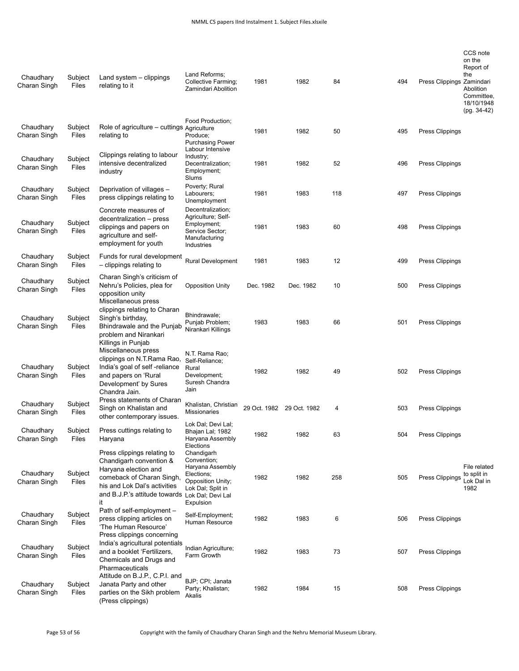| Chaudhary<br>Charan Singh | Subject<br>Files | Land system $-$ clippings<br>relating to it                                                                                                                                         | Land Reforms:<br>Collective Farming;<br>Zamindari Abolition                                                                             | 1981         | 1982         | 84  | 494 | Press Clippings Zamindari | CCS note<br>on the<br>Report of<br>the<br>Abolition<br>Committee.<br>18/10/1948<br>$(pg. 34-42)$ |
|---------------------------|------------------|-------------------------------------------------------------------------------------------------------------------------------------------------------------------------------------|-----------------------------------------------------------------------------------------------------------------------------------------|--------------|--------------|-----|-----|---------------------------|--------------------------------------------------------------------------------------------------|
| Chaudhary<br>Charan Singh | Subject<br>Files | Role of agriculture - cuttings Agriculture<br>relating to                                                                                                                           | Food Production;<br>Produce;<br><b>Purchasing Power</b><br>Labour Intensive                                                             | 1981         | 1982         | 50  | 495 | <b>Press Clippings</b>    |                                                                                                  |
| Chaudhary<br>Charan Singh | Subject<br>Files | Clippings relating to labour<br>intensive decentralized<br>industry                                                                                                                 | Industry;<br>Decentralization;<br>Employment;<br>Slums                                                                                  | 1981         | 1982         | 52  | 496 | Press Clippings           |                                                                                                  |
| Chaudhary<br>Charan Singh | Subject<br>Files | Deprivation of villages -<br>press clippings relating to                                                                                                                            | Poverty; Rural<br>Labourers;<br>Unemployment                                                                                            | 1981         | 1983         | 118 | 497 | Press Clippings           |                                                                                                  |
| Chaudhary<br>Charan Singh | Subject<br>Files | Concrete measures of<br>decentralization - press<br>clippings and papers on<br>agriculture and self-<br>employment for youth                                                        | Decentralization;<br>Agriculture; Self-<br>Employment;<br>Service Sector;<br>Manufacturing<br>Industries                                | 1981         | 1983         | 60  | 498 | Press Clippings           |                                                                                                  |
| Chaudhary<br>Charan Singh | Subject<br>Files | Funds for rural development<br>- clippings relating to                                                                                                                              | Rural Development                                                                                                                       | 1981         | 1983         | 12  | 499 | Press Clippings           |                                                                                                  |
| Chaudhary<br>Charan Singh | Subject<br>Files | Charan Singh's criticism of<br>Nehru's Policies, plea for<br>opposition unity<br>Miscellaneous press                                                                                | <b>Opposition Unity</b>                                                                                                                 | Dec. 1982    | Dec. 1982    | 10  | 500 | Press Clippings           |                                                                                                  |
| Chaudhary<br>Charan Singh | Subject<br>Files | clippings relating to Charan<br>Singh's birthday,<br>Bhindrawale and the Punjab<br>problem and Nirankari<br>Killings in Punjab<br>Miscellaneous press<br>clippings on N.T.Rama Rao, | Bhindrawale;<br>Punjab Problem;<br>Nirankari Killings<br>N.T. Rama Rao;                                                                 | 1983         | 1983         | 66  | 501 | Press Clippings           |                                                                                                  |
| Chaudhary<br>Charan Singh | Subject<br>Files | India's goal of self-reliance<br>and papers on 'Rural<br>Development' by Sures<br>Chandra Jain.                                                                                     | Self-Reliance;<br>Rural<br>Development;<br>Suresh Chandra<br>Jain                                                                       | 1982         | 1982         | 49  | 502 | Press Clippings           |                                                                                                  |
| Chaudhary<br>Charan Singh | Subject<br>Files | Press statements of Charan<br>Singh on Khalistan and<br>other contemporary issues.                                                                                                  | Khalistan, Christian<br><b>Missionaries</b>                                                                                             | 29 Oct. 1982 | 29 Oct. 1982 | 4   | 503 | Press Clippings           |                                                                                                  |
| Chaudhary<br>Charan Singh | Subject<br>Files | Press cuttings relating to<br>Haryana<br>Press clippings relating to                                                                                                                | Lok Dal; Devi Lal;<br>Bhajan Lal; 1982<br>Haryana Assembly<br>Elections                                                                 | 1982         | 1982         | 63  | 504 | Press Clippings           |                                                                                                  |
| Chaudhary<br>Charan Singh | Subject<br>Files | Chandigarh convention &<br>Haryana election and<br>comeback of Charan Singh,<br>his and Lok Dal's activities<br>and B.J.P.'s attitude towards<br>it                                 | Chandigarh<br>Convention;<br>Haryana Assembly<br>Elections;<br>Opposition Unity;<br>Lok Dal; Split in<br>Lok Dal; Devi Lal<br>Expulsion | 1982         | 1982         | 258 | 505 | Press Clippings           | File related<br>to split in<br>Lok Dal in<br>1982                                                |
| Chaudhary<br>Charan Singh | Subject<br>Files | Path of self-employment -<br>press clipping articles on<br>'The Human Resource'<br>Press clippings concerning                                                                       | Self-Employment;<br>Human Resource                                                                                                      | 1982         | 1983         | 6   | 506 | Press Clippings           |                                                                                                  |
| Chaudhary<br>Charan Singh | Subject<br>Files | India's agricultural potentials<br>and a booklet 'Fertilizers,<br>Chemicals and Drugs and<br>Pharmaceuticals                                                                        | Indian Agriculture;<br>Farm Growth                                                                                                      | 1982         | 1983         | 73  | 507 | Press Clippings           |                                                                                                  |
| Chaudhary<br>Charan Singh | Subject<br>Files | Attitude on B.J.P., C.P.I. and<br>Janata Party and other<br>parties on the Sikh problem<br>(Press clippings)                                                                        | BJP; CPI; Janata<br>Party; Khalistan;<br>Akalis                                                                                         | 1982         | 1984         | 15  | 508 | Press Clippings           |                                                                                                  |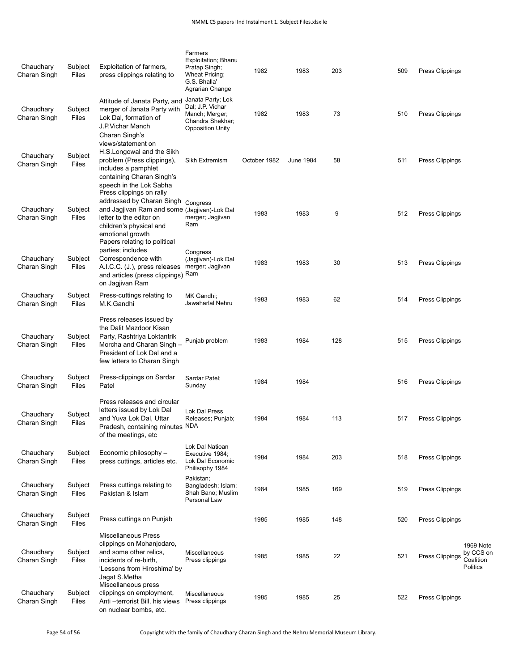| Chaudhary<br>Charan Singh | Subject<br>Files        | Exploitation of farmers,<br>press clippings relating to                                                                                                                                                         | Farmers<br>Exploitation; Bhanu<br>Pratap Singh;<br>Wheat Pricing;<br>G.S. Bhalla'<br>Agrarian Change   | 1982         | 1983             | 203 | 509 | Press Clippings                                                           |
|---------------------------|-------------------------|-----------------------------------------------------------------------------------------------------------------------------------------------------------------------------------------------------------------|--------------------------------------------------------------------------------------------------------|--------------|------------------|-----|-----|---------------------------------------------------------------------------|
| Chaudhary<br>Charan Singh | Subject<br>Files        | Attitude of Janata Party, and<br>merger of Janata Party with<br>Lok Dal, formation of<br>J.P.Vichar Manch<br>Charan Singh's                                                                                     | Janata Party; Lok<br>Dal; J.P. Vichar<br>Manch; Merger;<br>Chandra Shekhar;<br><b>Opposition Unity</b> | 1982         | 1983             | 73  | 510 | Press Clippings                                                           |
| Chaudhary<br>Charan Singh | Subject<br>Files        | views/statement on<br>H.S.Longowal and the Sikh<br>problem (Press clippings),<br>includes a pamphlet<br>containing Charan Singh's<br>speech in the Lok Sabha                                                    | Sikh Extremism                                                                                         | October 1982 | <b>June 1984</b> | 58  | 511 | Press Clippings                                                           |
| Chaudhary<br>Charan Singh | Subject<br>Files        | Press clippings on rally<br>addressed by Charan Singh<br>and Jagjivan Ram and some (Jagjivan)-Lok Dal<br>letter to the editor on<br>children's physical and<br>emotional growth<br>Papers relating to political | Congress<br>merger; Jagjivan<br>Ram                                                                    | 1983         | 1983             | 9   | 512 | Press Clippings                                                           |
| Chaudhary<br>Charan Singh | Subject<br>Files        | parties; includes<br>Correspondence with<br>A.I.C.C. (J.), press releases<br>and articles (press clippings)<br>on Jagjivan Ram                                                                                  | Congress<br>(Jagjivan)-Lok Dal<br>merger; Jagjivan<br>Ram                                              | 1983         | 1983             | 30  | 513 | <b>Press Clippings</b>                                                    |
| Chaudhary<br>Charan Singh | Subject<br>Files        | Press-cuttings relating to<br>M.K.Gandhi                                                                                                                                                                        | MK Gandhi;<br>Jawaharlal Nehru                                                                         | 1983         | 1983             | 62  | 514 | Press Clippings                                                           |
| Chaudhary<br>Charan Singh | Subject<br>Files        | Press releases issued by<br>the Dalit Mazdoor Kisan<br>Party, Rashtriya Loktantrik<br>Morcha and Charan Singh -<br>President of Lok Dal and a<br>few letters to Charan Singh                                    | Punjab problem                                                                                         | 1983         | 1984             | 128 | 515 | Press Clippings                                                           |
| Chaudhary<br>Charan Singh | Subject<br><b>Files</b> | Press-clippings on Sardar<br>Patel                                                                                                                                                                              | Sardar Patel;<br>Sunday                                                                                | 1984         | 1984             |     | 516 | Press Clippings                                                           |
| Chaudhary<br>Charan Singh | Subject<br>Files        | Press releases and circular<br>letters issued by Lok Dal<br>and Yuva Lok Dal, Uttar<br>Pradesh, containing minutes NDA<br>of the meetings, etc                                                                  | Lok Dal Press<br>Releases; Punjab;                                                                     | 1984         | 1984             | 113 | 517 | Press Clippings                                                           |
| Chaudhary<br>Charan Singh | Subject<br><b>Files</b> | Economic philosophy -<br>press cuttings, articles etc.                                                                                                                                                          | Lok Dal Natioan<br>Executive 1984;<br>Lok Dal Economic<br>Philisophy 1984                              | 1984         | 1984             | 203 | 518 | Press Clippings                                                           |
| Chaudhary<br>Charan Singh | Subject<br><b>Files</b> | Press cuttings relating to<br>Pakistan & Islam                                                                                                                                                                  | Pakistan;<br>Bangladesh; Islam;<br>Shah Bano: Muslim<br>Personal Law                                   | 1984         | 1985             | 169 | 519 | Press Clippings                                                           |
| Chaudhary<br>Charan Singh | Subject<br><b>Files</b> | Press cuttings on Punjab                                                                                                                                                                                        |                                                                                                        | 1985         | 1985             | 148 | 520 | Press Clippings                                                           |
| Chaudhary<br>Charan Singh | Subject<br>Files        | <b>Miscellaneous Press</b><br>clippings on Mohanjodaro,<br>and some other relics,<br>incidents of re-birth,<br>'Lessons from Hiroshima' by<br>Jagat S.Metha                                                     | Miscellaneous<br>Press clippings                                                                       | 1985         | 1985             | 22  | 521 | 1969 Note<br>by CCS on<br><b>Press Clippings</b><br>Coalition<br>Politics |
| Chaudhary<br>Charan Singh | Subject<br><b>Files</b> | Miscellaneous press<br>clippings on employment,<br>Anti-terrorist Bill, his views<br>on nuclear bombs, etc.                                                                                                     | <b>Miscellaneous</b><br>Press clippings                                                                | 1985         | 1985             | 25  | 522 | Press Clippings                                                           |

Page 54 of 56 Copyright with the family of Chaudhary Charan Singh and the Nehru Memorial Museum Library.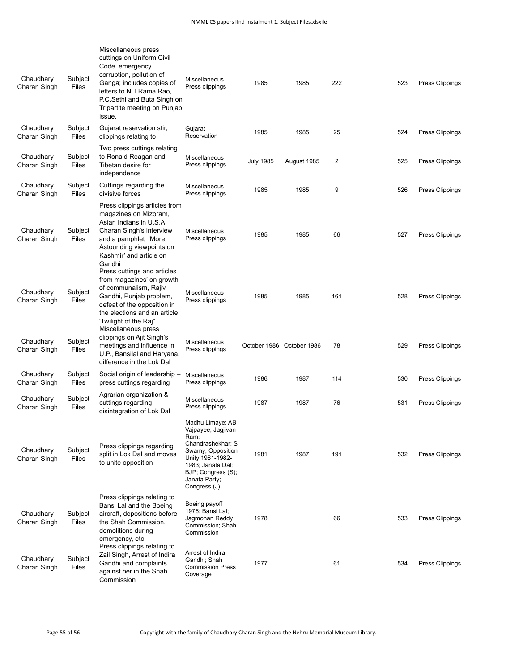| Chaudhary<br>Charan Singh | Subject<br>Files | Miscellaneous press<br>cuttings on Uniform Civil<br>Code, emergency,<br>corruption, pollution of<br>Ganga; includes copies of<br>letters to N.T.Rama Rao,<br>P.C.Sethi and Buta Singh on<br>Tripartite meeting on Punjab<br>issue. | Miscellaneous<br>Press clippings                                                                                                                                                         | 1985             | 1985                      | 222 | 523 | Press Clippings        |
|---------------------------|------------------|------------------------------------------------------------------------------------------------------------------------------------------------------------------------------------------------------------------------------------|------------------------------------------------------------------------------------------------------------------------------------------------------------------------------------------|------------------|---------------------------|-----|-----|------------------------|
| Chaudhary<br>Charan Singh | Subject<br>Files | Gujarat reservation stir,<br>clippings relating to                                                                                                                                                                                 | Gujarat<br>Reservation                                                                                                                                                                   | 1985             | 1985                      | 25  | 524 | Press Clippings        |
| Chaudhary<br>Charan Singh | Subject<br>Files | Two press cuttings relating<br>to Ronald Reagan and<br>Tibetan desire for<br>independence                                                                                                                                          | Miscellaneous<br>Press clippings                                                                                                                                                         | <b>July 1985</b> | August 1985               | 2   | 525 | Press Clippings        |
| Chaudhary<br>Charan Singh | Subject<br>Files | Cuttings regarding the<br>divisive forces                                                                                                                                                                                          | Miscellaneous<br>Press clippings                                                                                                                                                         | 1985             | 1985                      | 9   | 526 | Press Clippings        |
| Chaudhary<br>Charan Singh | Subject<br>Files | Press clippings articles from<br>magazines on Mizoram,<br>Asian Indians in U.S.A.<br>Charan Singh's interview<br>and a pamphlet 'More<br>Astounding viewpoints on<br>Kashmir' and article on<br>Gandhi                             | Miscellaneous<br>Press clippings                                                                                                                                                         | 1985             | 1985                      | 66  | 527 | Press Clippings        |
| Chaudhary<br>Charan Singh | Subject<br>Files | Press cuttings and articles<br>from magazines' on growth<br>of communalism, Rajiv<br>Gandhi, Punjab problem,<br>defeat of the opposition in<br>the elections and an article<br>'Twilight of the Raj".<br>Miscellaneous press       | Miscellaneous<br>Press clippings                                                                                                                                                         | 1985             | 1985                      | 161 | 528 | Press Clippings        |
| Chaudhary<br>Charan Singh | Subject<br>Files | clippings on Ajit Singh's<br>meetings and influence in<br>U.P., Bansilal and Haryana,<br>difference in the Lok Dal                                                                                                                 | Miscellaneous<br>Press clippings                                                                                                                                                         |                  | October 1986 October 1986 | 78  | 529 | Press Clippings        |
| Chaudhary<br>Charan Singh | Subject<br>Files | Social origin of leadership -<br>press cuttings regarding                                                                                                                                                                          | <b>Miscellaneous</b><br>Press clippings                                                                                                                                                  | 1986             | 1987                      | 114 | 530 | Press Clippings        |
| Chaudhary<br>Charan Singh | Subject<br>Files | Agrarian organization &<br>cuttings regarding<br>disintegration of Lok Dal                                                                                                                                                         | Miscellaneous<br>Press clippings                                                                                                                                                         | 1987             | 1987                      | 76  | 531 | Press Clippings        |
| Chaudhary<br>Charan Singh | Subject<br>Files | Press clippings regarding<br>split in Lok Dal and moves<br>to unite opposition                                                                                                                                                     | Madhu Limaye; AB<br>Vajpayee; Jagjivan<br>Ram;<br>Chandrashekhar; S<br>Swamy; Opposition<br>Unity 1981-1982-<br>1983; Janata Dal;<br>BJP; Congress (S);<br>Janata Party;<br>Congress (J) | 1981             | 1987                      | 191 | 532 | Press Clippings        |
| Chaudhary<br>Charan Singh | Subject<br>Files | Press clippings relating to<br>Bansi Lal and the Boeing<br>aircraft, depositions before<br>the Shah Commission,<br>demolitions during<br>emergency, etc.                                                                           | Boeing payoff<br>1976; Bansi Lal;<br>Jagmohan Reddy<br>Commission; Shah<br>Commission                                                                                                    | 1978             |                           | 66  | 533 | Press Clippings        |
| Chaudhary<br>Charan Singh | Subject<br>Files | Press clippings relating to<br>Zail Singh, Arrest of Indira<br>Gandhi and complaints<br>against her in the Shah<br>Commission                                                                                                      | Arrest of Indira<br>Gandhi; Shah<br><b>Commission Press</b><br>Coverage                                                                                                                  | 1977             |                           | 61  | 534 | <b>Press Clippings</b> |